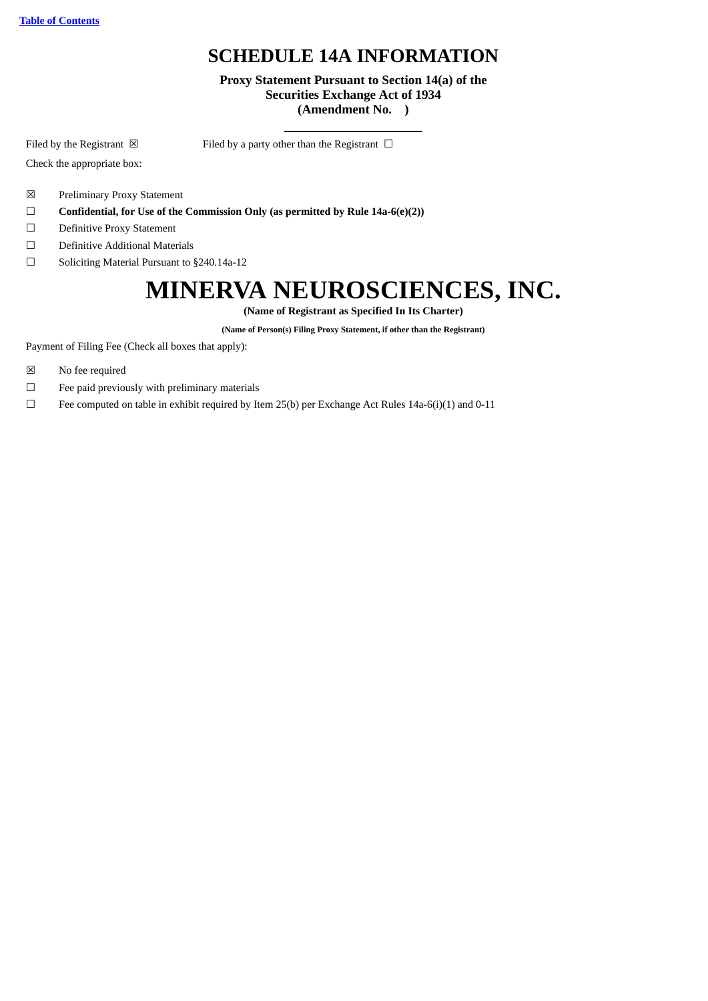## **SCHEDULE 14A INFORMATION**

**Proxy Statement Pursuant to Section 14(a) of the Securities Exchange Act of 1934 (Amendment No. )**

Filed by the Registrant  $\boxtimes$  Filed by a party other than the Registrant  $\Box$ 

Check the appropriate box:

- ☒ Preliminary Proxy Statement
- ☐ **Confidential, for Use of the Commission Only (as permitted by Rule 14a-6(e)(2))**
- ☐ Definitive Proxy Statement
- ☐ Definitive Additional Materials
- ☐ Soliciting Material Pursuant to §240.14a-12

# **MINERVA NEUROSCIENCES, INC.**

**(Name of Registrant as Specified In Its Charter)**

**(Name of Person(s) Filing Proxy Statement, if other than the Registrant)**

Payment of Filing Fee (Check all boxes that apply):

- ☒ No fee required
- $□$  Fee paid previously with preliminary materials

☐ Fee computed on table in exhibit required by Item 25(b) per Exchange Act Rules 14a-6(i)(1) and 0-11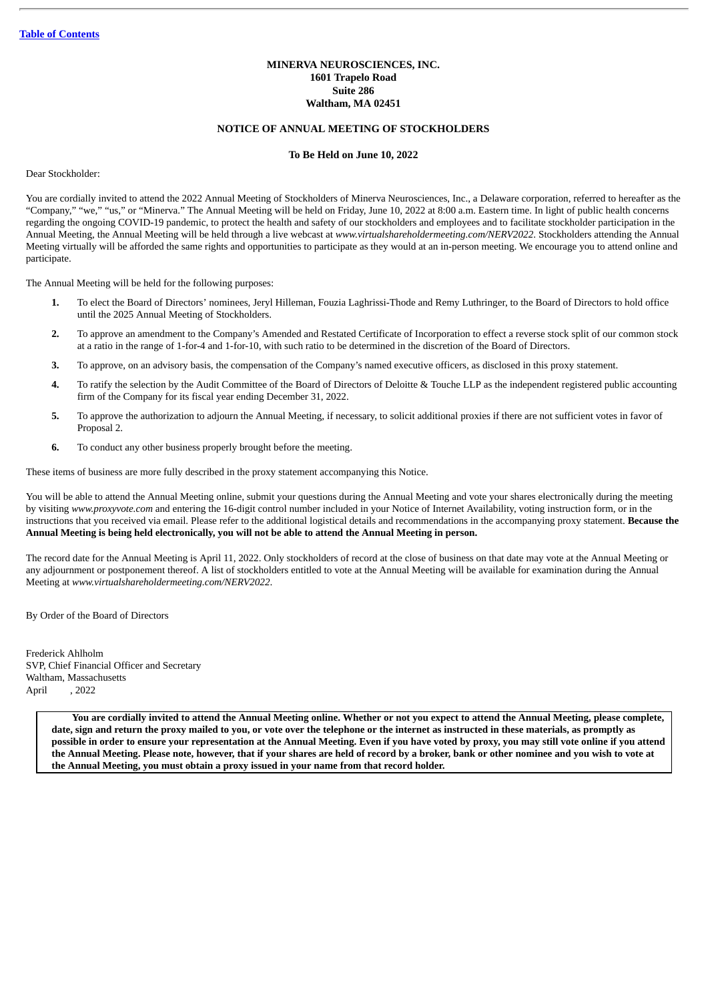#### **MINERVA NEUROSCIENCES, INC. 1601 Trapelo Road Suite 286 Waltham, MA 02451**

#### **NOTICE OF ANNUAL MEETING OF STOCKHOLDERS**

#### **To Be Held on June 10, 2022**

Dear Stockholder:

You are cordially invited to attend the 2022 Annual Meeting of Stockholders of Minerva Neurosciences, Inc., a Delaware corporation, referred to hereafter as the "Company," "we," "us," or "Minerva." The Annual Meeting will be held on Friday, June 10, 2022 at 8:00 a.m. Eastern time. In light of public health concerns regarding the ongoing COVID-19 pandemic, to protect the health and safety of our stockholders and employees and to facilitate stockholder participation in the Annual Meeting, the Annual Meeting will be held through a live webcast at *www.virtualshareholdermeeting.com/NERV2022*. Stockholders attending the Annual Meeting virtually will be afforded the same rights and opportunities to participate as they would at an in-person meeting. We encourage you to attend online and participate.

The Annual Meeting will be held for the following purposes:

- **1.** To elect the Board of Directors' nominees, Jeryl Hilleman, Fouzia Laghrissi-Thode and Remy Luthringer, to the Board of Directors to hold office until the 2025 Annual Meeting of Stockholders.
- **2.** To approve an amendment to the Company's Amended and Restated Certificate of Incorporation to effect a reverse stock split of our common stock at a ratio in the range of 1-for-4 and 1-for-10, with such ratio to be determined in the discretion of the Board of Directors.
- **3.** To approve, on an advisory basis, the compensation of the Company's named executive officers, as disclosed in this proxy statement.
- **4.** To ratify the selection by the Audit Committee of the Board of Directors of Deloitte & Touche LLP as the independent registered public accounting firm of the Company for its fiscal year ending December 31, 2022.
- **5.** To approve the authorization to adjourn the Annual Meeting, if necessary, to solicit additional proxies if there are not sufficient votes in favor of Proposal 2.
- **6.** To conduct any other business properly brought before the meeting.

These items of business are more fully described in the proxy statement accompanying this Notice.

You will be able to attend the Annual Meeting online, submit your questions during the Annual Meeting and vote your shares electronically during the meeting by visiting *www.proxyvote.com* and entering the 16-digit control number included in your Notice of Internet Availability, voting instruction form, or in the instructions that you received via email. Please refer to the additional logistical details and recommendations in the accompanying proxy statement. **Because the** Annual Meeting is being held electronically, you will not be able to attend the Annual Meeting in person.

The record date for the Annual Meeting is April 11, 2022. Only stockholders of record at the close of business on that date may vote at the Annual Meeting or any adjournment or postponement thereof. A list of stockholders entitled to vote at the Annual Meeting will be available for examination during the Annual Meeting at *www.virtualshareholdermeeting.com/NERV2022*.

By Order of the Board of Directors

Frederick Ahlholm SVP, Chief Financial Officer and Secretary Waltham, Massachusetts April , 2022

> You are cordially invited to attend the Annual Meeting online. Whether or not you expect to attend the Annual Meeting, please complete, date, sign and return the proxy mailed to you, or vote over the telephone or the internet as instructed in these materials, as promptly as possible in order to ensure your representation at the Annual Meeting. Even if you have voted by proxy, you may still vote online if you attend the Annual Meeting. Please note, however, that if your shares are held of record by a broker, bank or other nominee and you wish to vote at **the Annual Meeting, you must obtain a proxy issued in your name from that record holder.**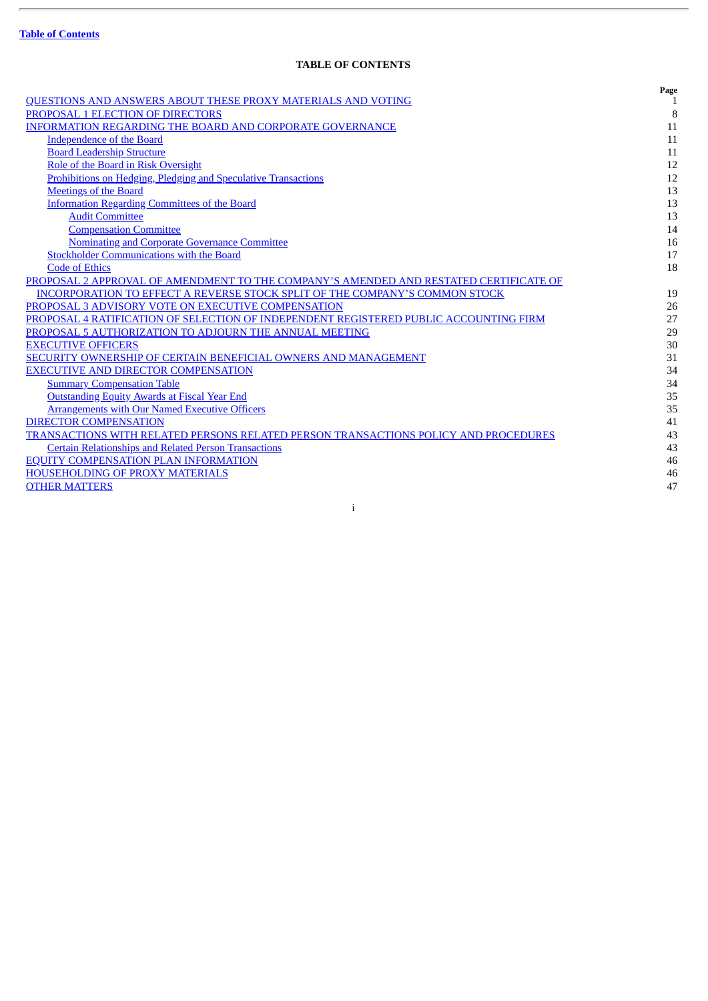$\overline{a}$ 

### **TABLE OF CONTENTS**

<span id="page-2-0"></span>

|                                                                                       | Page         |
|---------------------------------------------------------------------------------------|--------------|
| QUESTIONS AND ANSWERS ABOUT THESE PROXY MATERIALS AND VOTING                          | $\mathbf{1}$ |
| PROPOSAL 1 ELECTION OF DIRECTORS                                                      | 8            |
| INFORMATION REGARDING THE BOARD AND CORPORATE GOVERNANCE                              | 11           |
| Independence of the Board                                                             | 11           |
| <b>Board Leadership Structure</b>                                                     | 11           |
| Role of the Board in Risk Oversight                                                   | 12           |
| <b>Prohibitions on Hedging, Pledging and Speculative Transactions</b>                 | 12           |
| <b>Meetings of the Board</b>                                                          | 13           |
| <b>Information Regarding Committees of the Board</b>                                  | 13           |
| <b>Audit Committee</b>                                                                | 13           |
| <b>Compensation Committee</b>                                                         | 14           |
| <b>Nominating and Corporate Governance Committee</b>                                  | 16           |
| <b>Stockholder Communications with the Board</b>                                      | 17           |
| <b>Code of Ethics</b>                                                                 | 18           |
| PROPOSAL 2 APPROVAL OF AMENDMENT TO THE COMPANY'S AMENDED AND RESTATED CERTIFICATE OF |              |
| <b>INCORPORATION TO EFFECT A REVERSE STOCK SPLIT OF THE COMPANY'S COMMON STOCK</b>    | 19           |
| PROPOSAL 3 ADVISORY VOTE ON EXECUTIVE COMPENSATION                                    | 26           |
| PROPOSAL 4 RATIFICATION OF SELECTION OF INDEPENDENT REGISTERED PUBLIC ACCOUNTING FIRM | 27           |
| PROPOSAL 5 AUTHORIZATION TO ADJOURN THE ANNUAL MEETING                                | 29           |
| <b>EXECUTIVE OFFICERS</b>                                                             | 30           |
| SECURITY OWNERSHIP OF CERTAIN BENEFICIAL OWNERS AND MANAGEMENT                        | 31           |
| <b>EXECUTIVE AND DIRECTOR COMPENSATION</b>                                            | 34           |
| <b>Summary Compensation Table</b>                                                     | 34           |
| <b>Outstanding Equity Awards at Fiscal Year End</b>                                   | 35           |
| <b>Arrangements with Our Named Executive Officers</b>                                 | 35           |
| <b>DIRECTOR COMPENSATION</b>                                                          | 41           |
| TRANSACTIONS WITH RELATED PERSONS RELATED PERSON TRANSACTIONS POLICY AND PROCEDURES   | 43           |
| <b>Certain Relationships and Related Person Transactions</b>                          | 43           |
| <b>EQUITY COMPENSATION PLAN INFORMATION</b>                                           | 46           |
| <b>HOUSEHOLDING OF PROXY MATERIALS</b>                                                | 46           |
| <b>OTHER MATTERS</b>                                                                  | 47           |
|                                                                                       |              |

i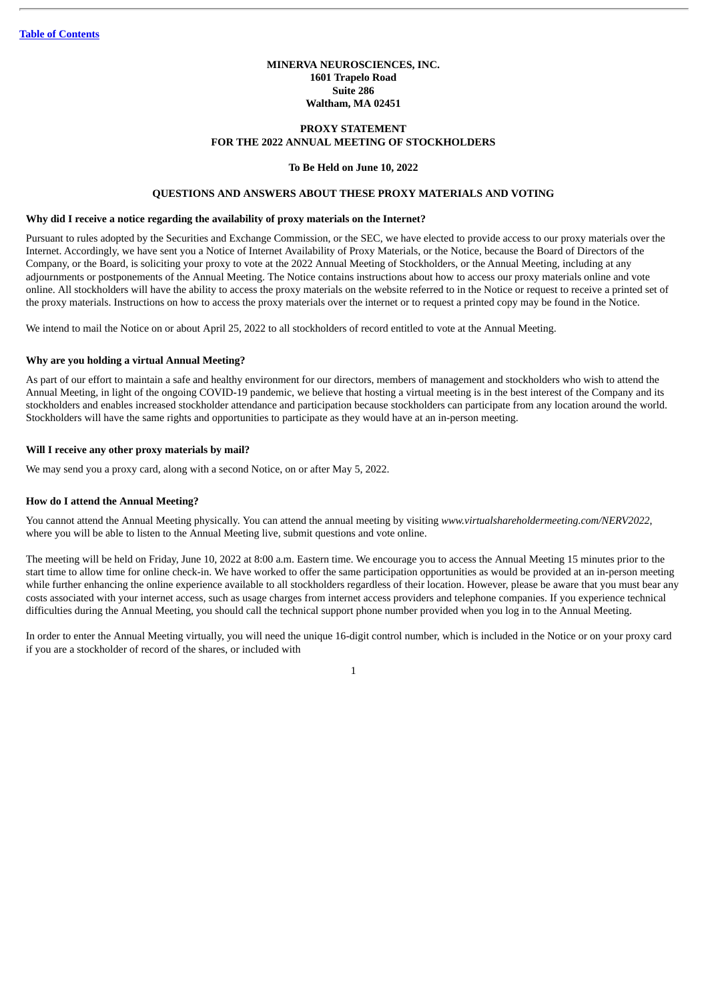#### **MINERVA NEUROSCIENCES, INC. 1601 Trapelo Road Suite 286 Waltham, MA 02451**

#### **PROXY STATEMENT FOR THE 2022 ANNUAL MEETING OF STOCKHOLDERS**

#### **To Be Held on June 10, 2022**

#### **QUESTIONS AND ANSWERS ABOUT THESE PROXY MATERIALS AND VOTING**

#### <span id="page-3-0"></span>**Why did I receive a notice regarding the availability of proxy materials on the Internet?**

Pursuant to rules adopted by the Securities and Exchange Commission, or the SEC, we have elected to provide access to our proxy materials over the Internet. Accordingly, we have sent you a Notice of Internet Availability of Proxy Materials, or the Notice, because the Board of Directors of the Company, or the Board, is soliciting your proxy to vote at the 2022 Annual Meeting of Stockholders, or the Annual Meeting, including at any adjournments or postponements of the Annual Meeting. The Notice contains instructions about how to access our proxy materials online and vote online. All stockholders will have the ability to access the proxy materials on the website referred to in the Notice or request to receive a printed set of the proxy materials. Instructions on how to access the proxy materials over the internet or to request a printed copy may be found in the Notice.

We intend to mail the Notice on or about April 25, 2022 to all stockholders of record entitled to vote at the Annual Meeting.

#### **Why are you holding a virtual Annual Meeting?**

As part of our effort to maintain a safe and healthy environment for our directors, members of management and stockholders who wish to attend the Annual Meeting, in light of the ongoing COVID-19 pandemic, we believe that hosting a virtual meeting is in the best interest of the Company and its stockholders and enables increased stockholder attendance and participation because stockholders can participate from any location around the world. Stockholders will have the same rights and opportunities to participate as they would have at an in-person meeting.

#### **Will I receive any other proxy materials by mail?**

We may send you a proxy card, along with a second Notice, on or after May 5, 2022.

#### **How do I attend the Annual Meeting?**

You cannot attend the Annual Meeting physically. You can attend the annual meeting by visiting *www.virtualshareholdermeeting.com/NERV2022*, where you will be able to listen to the Annual Meeting live, submit questions and vote online.

The meeting will be held on Friday, June 10, 2022 at 8:00 a.m. Eastern time. We encourage you to access the Annual Meeting 15 minutes prior to the start time to allow time for online check-in. We have worked to offer the same participation opportunities as would be provided at an in-person meeting while further enhancing the online experience available to all stockholders regardless of their location. However, please be aware that you must bear any costs associated with your internet access, such as usage charges from internet access providers and telephone companies. If you experience technical difficulties during the Annual Meeting, you should call the technical support phone number provided when you log in to the Annual Meeting.

In order to enter the Annual Meeting virtually, you will need the unique 16-digit control number, which is included in the Notice or on your proxy card if you are a stockholder of record of the shares, or included with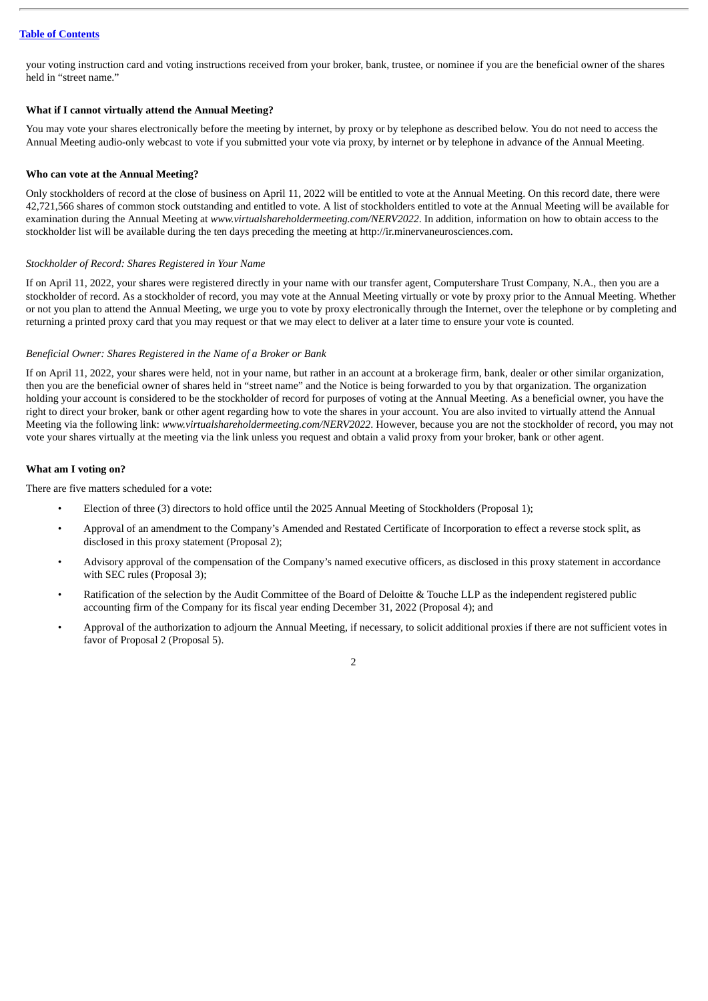your voting instruction card and voting instructions received from your broker, bank, trustee, or nominee if you are the beneficial owner of the shares held in "street name."

#### **What if I cannot virtually attend the Annual Meeting?**

You may vote your shares electronically before the meeting by internet, by proxy or by telephone as described below. You do not need to access the Annual Meeting audio-only webcast to vote if you submitted your vote via proxy, by internet or by telephone in advance of the Annual Meeting.

#### **Who can vote at the Annual Meeting?**

Only stockholders of record at the close of business on April 11, 2022 will be entitled to vote at the Annual Meeting. On this record date, there were 42,721,566 shares of common stock outstanding and entitled to vote. A list of stockholders entitled to vote at the Annual Meeting will be available for examination during the Annual Meeting at *www.virtualshareholdermeeting.com/NERV2022*. In addition, information on how to obtain access to the stockholder list will be available during the ten days preceding the meeting at http://ir.minervaneurosciences.com.

#### *Stockholder of Record: Shares Registered in Your Name*

If on April 11, 2022, your shares were registered directly in your name with our transfer agent, Computershare Trust Company, N.A., then you are a stockholder of record. As a stockholder of record, you may vote at the Annual Meeting virtually or vote by proxy prior to the Annual Meeting. Whether or not you plan to attend the Annual Meeting, we urge you to vote by proxy electronically through the Internet, over the telephone or by completing and returning a printed proxy card that you may request or that we may elect to deliver at a later time to ensure your vote is counted.

#### *Beneficial Owner: Shares Registered in the Name of a Broker or Bank*

If on April 11, 2022, your shares were held, not in your name, but rather in an account at a brokerage firm, bank, dealer or other similar organization, then you are the beneficial owner of shares held in "street name" and the Notice is being forwarded to you by that organization. The organization holding your account is considered to be the stockholder of record for purposes of voting at the Annual Meeting. As a beneficial owner, you have the right to direct your broker, bank or other agent regarding how to vote the shares in your account. You are also invited to virtually attend the Annual Meeting via the following link: *www.virtualshareholdermeeting.com/NERV2022*. However, because you are not the stockholder of record, you may not vote your shares virtually at the meeting via the link unless you request and obtain a valid proxy from your broker, bank or other agent.

#### **What am I voting on?**

There are five matters scheduled for a vote:

- Election of three (3) directors to hold office until the 2025 Annual Meeting of Stockholders (Proposal 1);
- Approval of an amendment to the Company's Amended and Restated Certificate of Incorporation to effect a reverse stock split, as disclosed in this proxy statement (Proposal 2);
- Advisory approval of the compensation of the Company's named executive officers, as disclosed in this proxy statement in accordance with SEC rules (Proposal 3);
- Ratification of the selection by the Audit Committee of the Board of Deloitte & Touche LLP as the independent registered public accounting firm of the Company for its fiscal year ending December 31, 2022 (Proposal 4); and
- Approval of the authorization to adjourn the Annual Meeting, if necessary, to solicit additional proxies if there are not sufficient votes in favor of Proposal 2 (Proposal 5).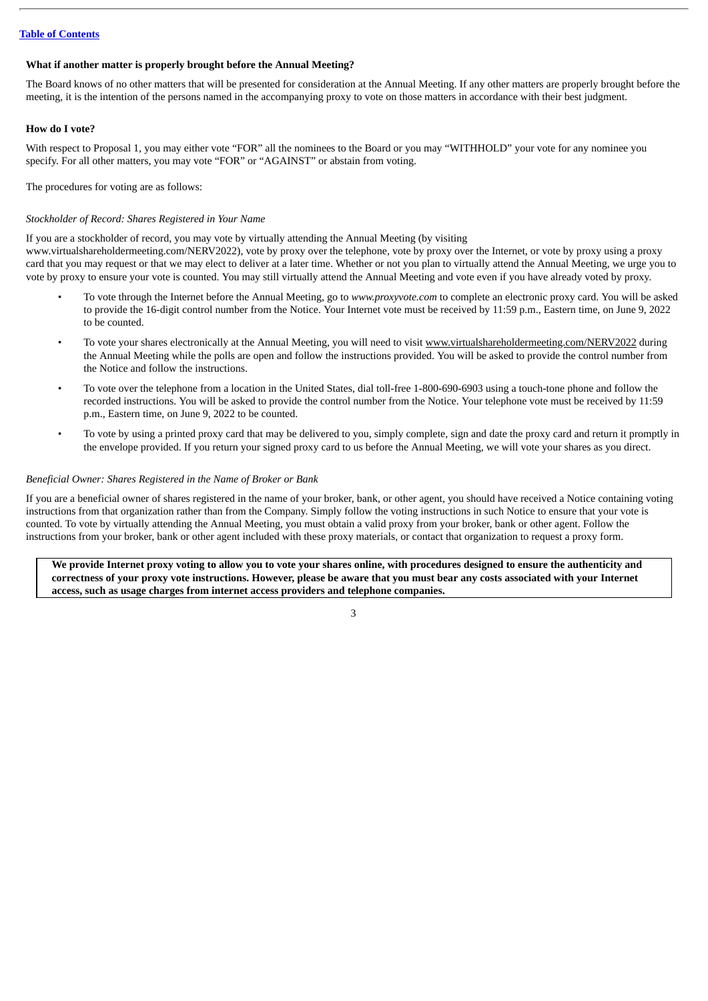#### **What if another matter is properly brought before the Annual Meeting?**

The Board knows of no other matters that will be presented for consideration at the Annual Meeting. If any other matters are properly brought before the meeting, it is the intention of the persons named in the accompanying proxy to vote on those matters in accordance with their best judgment.

#### **How do I vote?**

With respect to Proposal 1, you may either vote "FOR" all the nominees to the Board or you may "WITHHOLD" your vote for any nominee you specify. For all other matters, you may vote "FOR" or "AGAINST" or abstain from voting.

The procedures for voting are as follows:

#### *Stockholder of Record: Shares Registered in Your Name*

If you are a stockholder of record, you may vote by virtually attending the Annual Meeting (by visiting

www.virtualshareholdermeeting.com/NERV2022), vote by proxy over the telephone, vote by proxy over the Internet, or vote by proxy using a proxy card that you may request or that we may elect to deliver at a later time. Whether or not you plan to virtually attend the Annual Meeting, we urge you to vote by proxy to ensure your vote is counted. You may still virtually attend the Annual Meeting and vote even if you have already voted by proxy.

- To vote through the Internet before the Annual Meeting, go to *www.proxyvote.com* to complete an electronic proxy card. You will be asked to provide the 16-digit control number from the Notice. Your Internet vote must be received by 11:59 p.m., Eastern time, on June 9, 2022 to be counted.
- To vote your shares electronically at the Annual Meeting, you will need to visit www.virtualshareholdermeeting.com/NERV2022 during the Annual Meeting while the polls are open and follow the instructions provided. You will be asked to provide the control number from the Notice and follow the instructions.
- To vote over the telephone from a location in the United States, dial toll-free 1-800-690-6903 using a touch-tone phone and follow the recorded instructions. You will be asked to provide the control number from the Notice. Your telephone vote must be received by 11:59 p.m., Eastern time, on June 9, 2022 to be counted.
- To vote by using a printed proxy card that may be delivered to you, simply complete, sign and date the proxy card and return it promptly in the envelope provided. If you return your signed proxy card to us before the Annual Meeting, we will vote your shares as you direct.

#### *Beneficial Owner: Shares Registered in the Name of Broker or Bank*

If you are a beneficial owner of shares registered in the name of your broker, bank, or other agent, you should have received a Notice containing voting instructions from that organization rather than from the Company. Simply follow the voting instructions in such Notice to ensure that your vote is counted. To vote by virtually attending the Annual Meeting, you must obtain a valid proxy from your broker, bank or other agent. Follow the instructions from your broker, bank or other agent included with these proxy materials, or contact that organization to request a proxy form.

We provide Internet proxy voting to allow you to vote your shares online, with procedures designed to ensure the authenticity and correctness of your proxy vote instructions. However, please be aware that you must bear any costs associated with your Internet **access, such as usage charges from internet access providers and telephone companies.**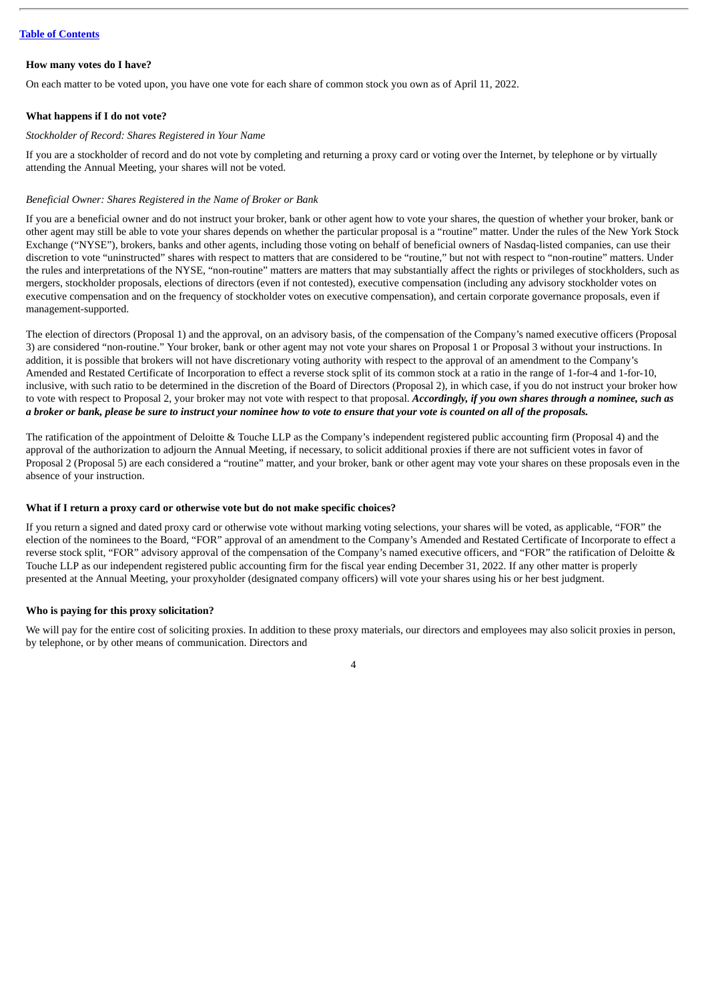#### **How many votes do I have?**

On each matter to be voted upon, you have one vote for each share of common stock you own as of April 11, 2022.

#### **What happens if I do not vote?**

#### *Stockholder of Record: Shares Registered in Your Name*

If you are a stockholder of record and do not vote by completing and returning a proxy card or voting over the Internet, by telephone or by virtually attending the Annual Meeting, your shares will not be voted.

#### *Beneficial Owner: Shares Registered in the Name of Broker or Bank*

If you are a beneficial owner and do not instruct your broker, bank or other agent how to vote your shares, the question of whether your broker, bank or other agent may still be able to vote your shares depends on whether the particular proposal is a "routine" matter. Under the rules of the New York Stock Exchange ("NYSE"), brokers, banks and other agents, including those voting on behalf of beneficial owners of Nasdaq-listed companies, can use their discretion to vote "uninstructed" shares with respect to matters that are considered to be "routine," but not with respect to "non-routine" matters. Under the rules and interpretations of the NYSE, "non-routine" matters are matters that may substantially affect the rights or privileges of stockholders, such as mergers, stockholder proposals, elections of directors (even if not contested), executive compensation (including any advisory stockholder votes on executive compensation and on the frequency of stockholder votes on executive compensation), and certain corporate governance proposals, even if management-supported.

The election of directors (Proposal 1) and the approval, on an advisory basis, of the compensation of the Company's named executive officers (Proposal 3) are considered "non-routine." Your broker, bank or other agent may not vote your shares on Proposal 1 or Proposal 3 without your instructions. In addition, it is possible that brokers will not have discretionary voting authority with respect to the approval of an amendment to the Company's Amended and Restated Certificate of Incorporation to effect a reverse stock split of its common stock at a ratio in the range of 1-for-4 and 1-for-10, inclusive, with such ratio to be determined in the discretion of the Board of Directors (Proposal 2), in which case, if you do not instruct your broker how to vote with respect to Proposal 2, your broker may not vote with respect to that proposal. *Accordingly, if you own shares through a nominee, such as* a broker or bank, please be sure to instruct your nominee how to vote to ensure that your vote is counted on all of the proposals.

The ratification of the appointment of Deloitte & Touche LLP as the Company's independent registered public accounting firm (Proposal 4) and the approval of the authorization to adjourn the Annual Meeting, if necessary, to solicit additional proxies if there are not sufficient votes in favor of Proposal 2 (Proposal 5) are each considered a "routine" matter, and your broker, bank or other agent may vote your shares on these proposals even in the absence of your instruction.

#### **What if I return a proxy card or otherwise vote but do not make specific choices?**

If you return a signed and dated proxy card or otherwise vote without marking voting selections, your shares will be voted, as applicable, "FOR" the election of the nominees to the Board, "FOR" approval of an amendment to the Company's Amended and Restated Certificate of Incorporate to effect a reverse stock split, "FOR" advisory approval of the compensation of the Company's named executive officers, and "FOR" the ratification of Deloitte & Touche LLP as our independent registered public accounting firm for the fiscal year ending December 31, 2022. If any other matter is properly presented at the Annual Meeting, your proxyholder (designated company officers) will vote your shares using his or her best judgment.

#### **Who is paying for this proxy solicitation?**

We will pay for the entire cost of soliciting proxies. In addition to these proxy materials, our directors and employees may also solicit proxies in person, by telephone, or by other means of communication. Directors and

 $\overline{A}$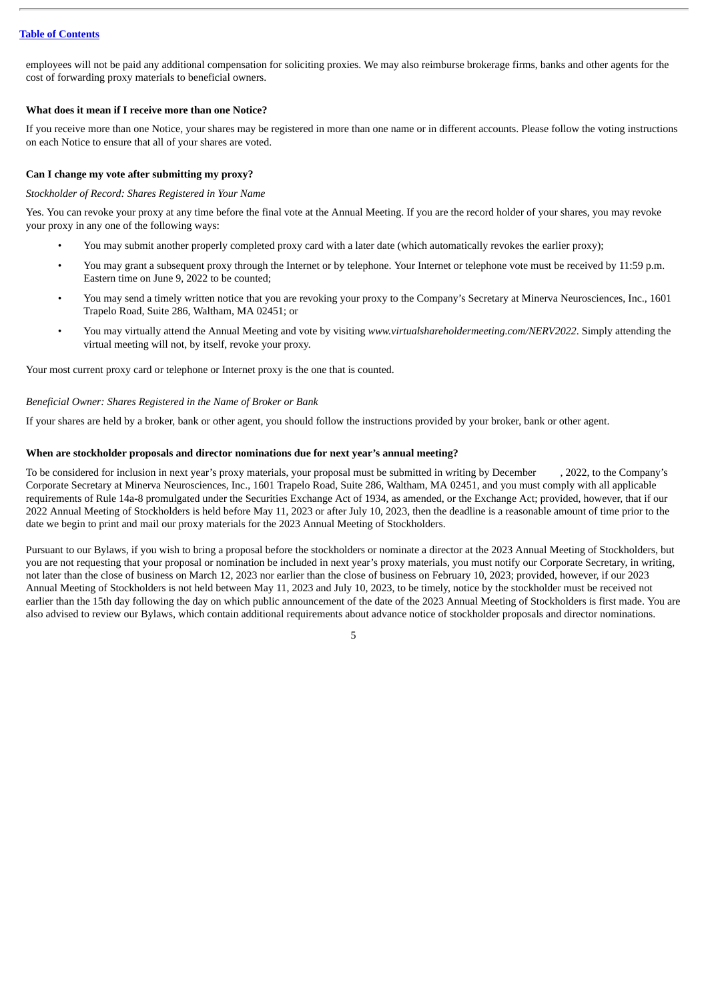employees will not be paid any additional compensation for soliciting proxies. We may also reimburse brokerage firms, banks and other agents for the cost of forwarding proxy materials to beneficial owners.

#### **What does it mean if I receive more than one Notice?**

If you receive more than one Notice, your shares may be registered in more than one name or in different accounts. Please follow the voting instructions on each Notice to ensure that all of your shares are voted.

#### **Can I change my vote after submitting my proxy?**

#### *Stockholder of Record: Shares Registered in Your Name*

Yes. You can revoke your proxy at any time before the final vote at the Annual Meeting. If you are the record holder of your shares, you may revoke your proxy in any one of the following ways:

- You may submit another properly completed proxy card with a later date (which automatically revokes the earlier proxy);
- You may grant a subsequent proxy through the Internet or by telephone. Your Internet or telephone vote must be received by 11:59 p.m. Eastern time on June 9, 2022 to be counted;
- You may send a timely written notice that you are revoking your proxy to the Company's Secretary at Minerva Neurosciences, Inc., 1601 Trapelo Road, Suite 286, Waltham, MA 02451; or
- You may virtually attend the Annual Meeting and vote by visiting *www.virtualshareholdermeeting.com/NERV2022*. Simply attending the virtual meeting will not, by itself, revoke your proxy.

Your most current proxy card or telephone or Internet proxy is the one that is counted.

#### *Beneficial Owner: Shares Registered in the Name of Broker or Bank*

If your shares are held by a broker, bank or other agent, you should follow the instructions provided by your broker, bank or other agent.

#### **When are stockholder proposals and director nominations due for next year's annual meeting?**

To be considered for inclusion in next year's proxy materials, your proposal must be submitted in writing by December , 2022, to the Company's Corporate Secretary at Minerva Neurosciences, Inc., 1601 Trapelo Road, Suite 286, Waltham, MA 02451, and you must comply with all applicable requirements of Rule 14a-8 promulgated under the Securities Exchange Act of 1934, as amended, or the Exchange Act; provided, however, that if our 2022 Annual Meeting of Stockholders is held before May 11, 2023 or after July 10, 2023, then the deadline is a reasonable amount of time prior to the date we begin to print and mail our proxy materials for the 2023 Annual Meeting of Stockholders.

Pursuant to our Bylaws, if you wish to bring a proposal before the stockholders or nominate a director at the 2023 Annual Meeting of Stockholders, but you are not requesting that your proposal or nomination be included in next year's proxy materials, you must notify our Corporate Secretary, in writing, not later than the close of business on March 12, 2023 nor earlier than the close of business on February 10, 2023; provided, however, if our 2023 Annual Meeting of Stockholders is not held between May 11, 2023 and July 10, 2023, to be timely, notice by the stockholder must be received not earlier than the 15th day following the day on which public announcement of the date of the 2023 Annual Meeting of Stockholders is first made. You are also advised to review our Bylaws, which contain additional requirements about advance notice of stockholder proposals and director nominations.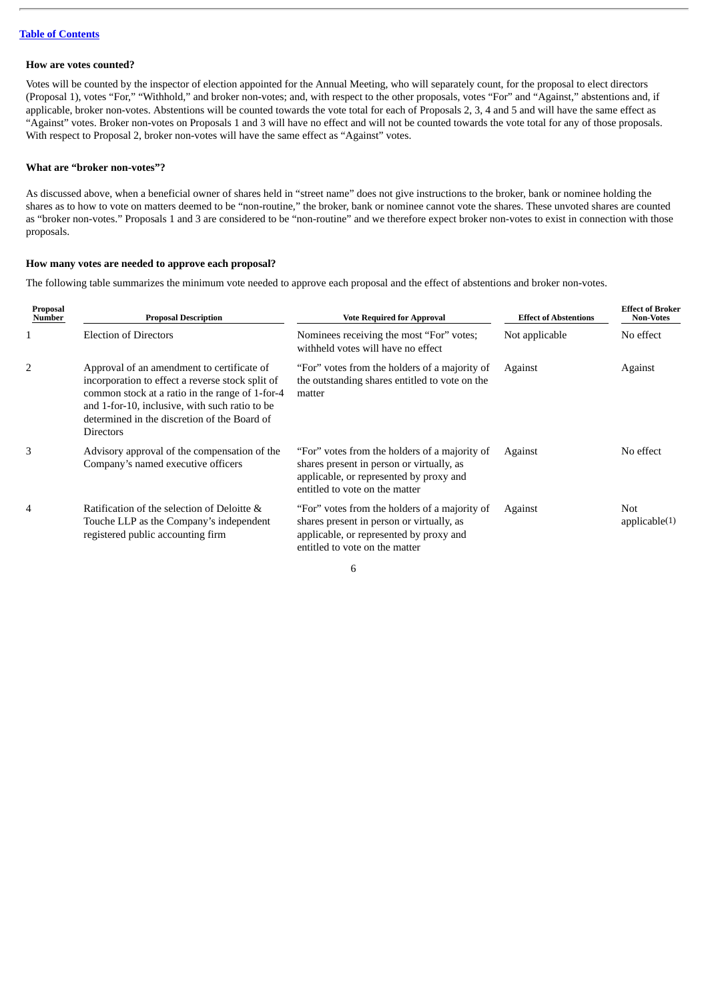#### **How are votes counted?**

Votes will be counted by the inspector of election appointed for the Annual Meeting, who will separately count, for the proposal to elect directors (Proposal 1), votes "For," "Withhold," and broker non-votes; and, with respect to the other proposals, votes "For" and "Against," abstentions and, if applicable, broker non-votes. Abstentions will be counted towards the vote total for each of Proposals 2, 3, 4 and 5 and will have the same effect as "Against" votes. Broker non-votes on Proposals 1 and 3 will have no effect and will not be counted towards the vote total for any of those proposals. With respect to Proposal 2, broker non-votes will have the same effect as "Against" votes.

#### **What are "broker non-votes"?**

As discussed above, when a beneficial owner of shares held in "street name" does not give instructions to the broker, bank or nominee holding the shares as to how to vote on matters deemed to be "non-routine," the broker, bank or nominee cannot vote the shares. These unvoted shares are counted as "broker non-votes." Proposals 1 and 3 are considered to be "non-routine" and we therefore expect broker non-votes to exist in connection with those proposals.

#### **How many votes are needed to approve each proposal?**

The following table summarizes the minimum vote needed to approve each proposal and the effect of abstentions and broker non-votes.

| <b>Proposal Description</b>                                                                                                                                                                                                                                             | <b>Vote Required for Approval</b>                                                                                                                                       | <b>Effect of Abstentions</b> | <b>Effect of Broker</b><br><b>Non-Votes</b><br>No effect |  |
|-------------------------------------------------------------------------------------------------------------------------------------------------------------------------------------------------------------------------------------------------------------------------|-------------------------------------------------------------------------------------------------------------------------------------------------------------------------|------------------------------|----------------------------------------------------------|--|
| <b>Election of Directors</b>                                                                                                                                                                                                                                            | Nominees receiving the most "For" votes;<br>withheld votes will have no effect                                                                                          | Not applicable               |                                                          |  |
| Approval of an amendment to certificate of<br>incorporation to effect a reverse stock split of<br>common stock at a ratio in the range of 1-for-4<br>and 1-for-10, inclusive, with such ratio to be<br>determined in the discretion of the Board of<br><b>Directors</b> | "For" votes from the holders of a majority of<br>the outstanding shares entitled to vote on the<br>matter                                                               | Against                      | Against                                                  |  |
| Advisory approval of the compensation of the<br>Company's named executive officers                                                                                                                                                                                      | "For" votes from the holders of a majority of<br>shares present in person or virtually, as<br>applicable, or represented by proxy and<br>entitled to vote on the matter | Against                      | No effect                                                |  |
| Ratification of the selection of Deloitte &<br>Touche LLP as the Company's independent<br>registered public accounting firm                                                                                                                                             | "For" votes from the holders of a majority of<br>shares present in person or virtually, as<br>applicable, or represented by proxy and<br>entitled to vote on the matter | Against                      | <b>Not</b><br>appliedbe(1)                               |  |
|                                                                                                                                                                                                                                                                         |                                                                                                                                                                         |                              |                                                          |  |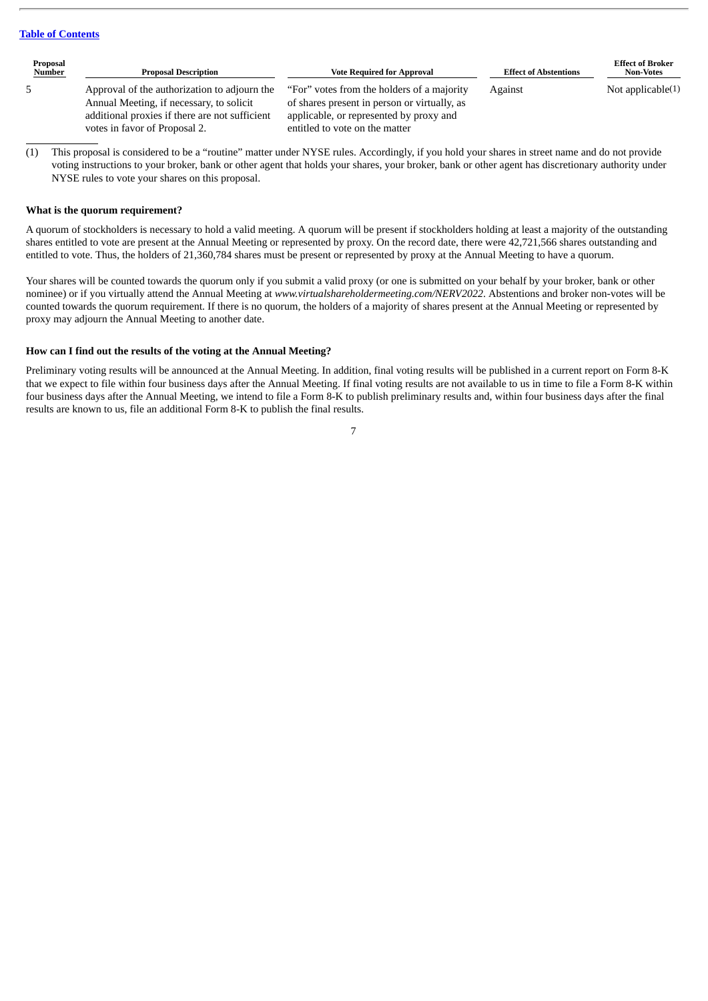| Proposal<br>Number | <b>Proposal Description</b>                                                              | <b>Vote Required for Approval</b>                                                           | <b>Effect of Abstentions</b> | <b>Effect of Broker</b><br><b>Non-Votes</b> |
|--------------------|------------------------------------------------------------------------------------------|---------------------------------------------------------------------------------------------|------------------------------|---------------------------------------------|
| 5                  | Approval of the authorization to adjourn the<br>Annual Meeting, if necessary, to solicit | "For" votes from the holders of a majority"<br>of shares present in person or virtually, as | Against                      | Not applicable $(1)$                        |
|                    | additional proxies if there are not sufficient                                           | applicable, or represented by proxy and                                                     |                              |                                             |
|                    | votes in favor of Proposal 2.                                                            | entitled to vote on the matter                                                              |                              |                                             |

(1) This proposal is considered to be a "routine" matter under NYSE rules. Accordingly, if you hold your shares in street name and do not provide voting instructions to your broker, bank or other agent that holds your shares, your broker, bank or other agent has discretionary authority under NYSE rules to vote your shares on this proposal.

#### **What is the quorum requirement?**

A quorum of stockholders is necessary to hold a valid meeting. A quorum will be present if stockholders holding at least a majority of the outstanding shares entitled to vote are present at the Annual Meeting or represented by proxy. On the record date, there were 42,721,566 shares outstanding and entitled to vote. Thus, the holders of 21,360,784 shares must be present or represented by proxy at the Annual Meeting to have a quorum.

Your shares will be counted towards the quorum only if you submit a valid proxy (or one is submitted on your behalf by your broker, bank or other nominee) or if you virtually attend the Annual Meeting at *www.virtualshareholdermeeting.com/NERV2022*. Abstentions and broker non-votes will be counted towards the quorum requirement. If there is no quorum, the holders of a majority of shares present at the Annual Meeting or represented by proxy may adjourn the Annual Meeting to another date.

#### **How can I find out the results of the voting at the Annual Meeting?**

Preliminary voting results will be announced at the Annual Meeting. In addition, final voting results will be published in a current report on Form 8-K that we expect to file within four business days after the Annual Meeting. If final voting results are not available to us in time to file a Form 8-K within four business days after the Annual Meeting, we intend to file a Form 8-K to publish preliminary results and, within four business days after the final results are known to us, file an additional Form 8-K to publish the final results.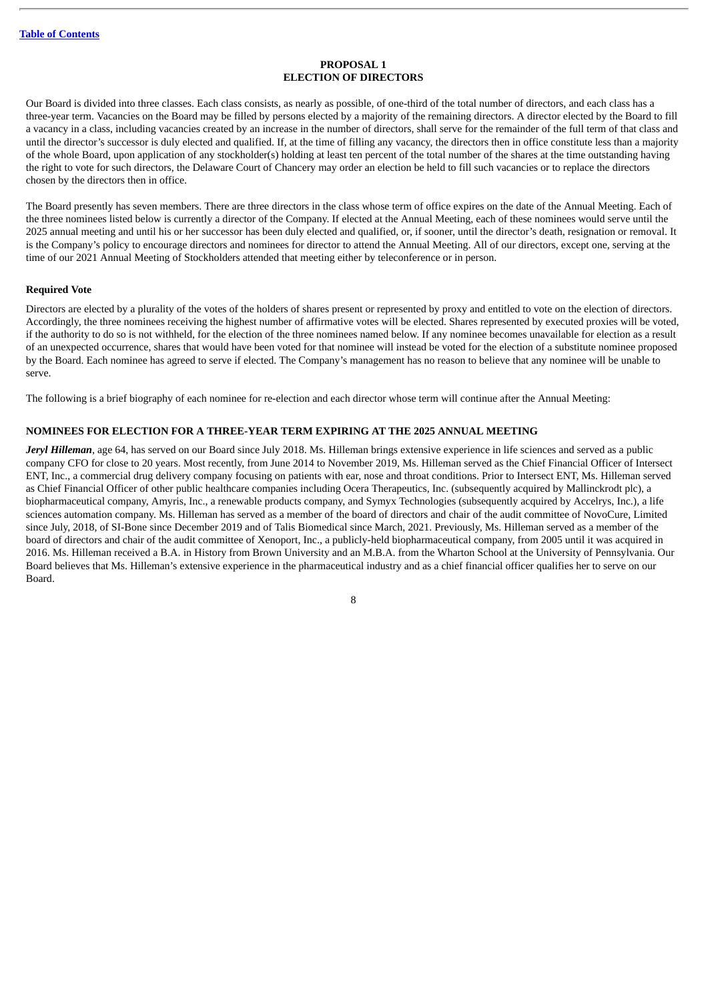#### **PROPOSAL 1 ELECTION OF DIRECTORS**

<span id="page-10-0"></span>Our Board is divided into three classes. Each class consists, as nearly as possible, of one-third of the total number of directors, and each class has a three-year term. Vacancies on the Board may be filled by persons elected by a majority of the remaining directors. A director elected by the Board to fill a vacancy in a class, including vacancies created by an increase in the number of directors, shall serve for the remainder of the full term of that class and until the director's successor is duly elected and qualified. If, at the time of filling any vacancy, the directors then in office constitute less than a majority of the whole Board, upon application of any stockholder(s) holding at least ten percent of the total number of the shares at the time outstanding having the right to vote for such directors, the Delaware Court of Chancery may order an election be held to fill such vacancies or to replace the directors chosen by the directors then in office.

The Board presently has seven members. There are three directors in the class whose term of office expires on the date of the Annual Meeting. Each of the three nominees listed below is currently a director of the Company. If elected at the Annual Meeting, each of these nominees would serve until the 2025 annual meeting and until his or her successor has been duly elected and qualified, or, if sooner, until the director's death, resignation or removal. It is the Company's policy to encourage directors and nominees for director to attend the Annual Meeting. All of our directors, except one, serving at the time of our 2021 Annual Meeting of Stockholders attended that meeting either by teleconference or in person.

#### **Required Vote**

Directors are elected by a plurality of the votes of the holders of shares present or represented by proxy and entitled to vote on the election of directors. Accordingly, the three nominees receiving the highest number of affirmative votes will be elected. Shares represented by executed proxies will be voted, if the authority to do so is not withheld, for the election of the three nominees named below. If any nominee becomes unavailable for election as a result of an unexpected occurrence, shares that would have been voted for that nominee will instead be voted for the election of a substitute nominee proposed by the Board. Each nominee has agreed to serve if elected. The Company's management has no reason to believe that any nominee will be unable to serve.

The following is a brief biography of each nominee for re-election and each director whose term will continue after the Annual Meeting:

#### **NOMINEES FOR ELECTION FOR A THREE-YEAR TERM EXPIRING AT THE 2025 ANNUAL MEETING**

*Jeryl Hilleman*, age 64, has served on our Board since July 2018. Ms. Hilleman brings extensive experience in life sciences and served as a public company CFO for close to 20 years. Most recently, from June 2014 to November 2019, Ms. Hilleman served as the Chief Financial Officer of Intersect ENT, Inc., a commercial drug delivery company focusing on patients with ear, nose and throat conditions. Prior to Intersect ENT, Ms. Hilleman served as Chief Financial Officer of other public healthcare companies including Ocera Therapeutics, Inc. (subsequently acquired by Mallinckrodt plc), a biopharmaceutical company, Amyris, Inc., a renewable products company, and Symyx Technologies (subsequently acquired by Accelrys, Inc.), a life sciences automation company. Ms. Hilleman has served as a member of the board of directors and chair of the audit committee of NovoCure, Limited since July, 2018, of SI-Bone since December 2019 and of Talis Biomedical since March, 2021. Previously, Ms. Hilleman served as a member of the board of directors and chair of the audit committee of Xenoport, Inc., a publicly-held biopharmaceutical company, from 2005 until it was acquired in 2016. Ms. Hilleman received a B.A. in History from Brown University and an M.B.A. from the Wharton School at the University of Pennsylvania. Our Board believes that Ms. Hilleman's extensive experience in the pharmaceutical industry and as a chief financial officer qualifies her to serve on our Board.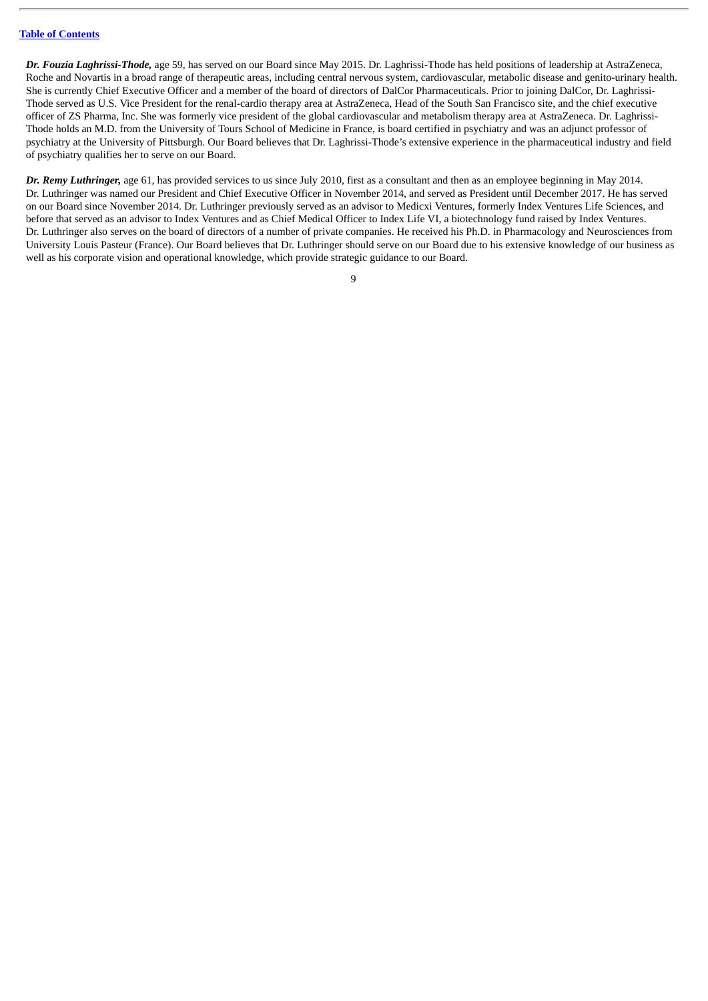*Dr. Fouzia Laghrissi-Thode,* age 59, has served on our Board since May 2015. Dr. Laghrissi-Thode has held positions of leadership at AstraZeneca, Roche and Novartis in a broad range of therapeutic areas, including central nervous system, cardiovascular, metabolic disease and genito-urinary health. She is currently Chief Executive Officer and a member of the board of directors of DalCor Pharmaceuticals. Prior to joining DalCor, Dr. Laghrissi-Thode served as U.S. Vice President for the renal-cardio therapy area at AstraZeneca, Head of the South San Francisco site, and the chief executive officer of ZS Pharma, Inc. She was formerly vice president of the global cardiovascular and metabolism therapy area at AstraZeneca. Dr. Laghrissi-Thode holds an M.D. from the University of Tours School of Medicine in France, is board certified in psychiatry and was an adjunct professor of psychiatry at the University of Pittsburgh. Our Board believes that Dr. Laghrissi-Thode's extensive experience in the pharmaceutical industry and field of psychiatry qualifies her to serve on our Board.

*Dr. Remy Luthringer,* age 61, has provided services to us since July 2010, first as a consultant and then as an employee beginning in May 2014. Dr. Luthringer was named our President and Chief Executive Officer in November 2014, and served as President until December 2017. He has served on our Board since November 2014. Dr. Luthringer previously served as an advisor to Medicxi Ventures, formerly Index Ventures Life Sciences, and before that served as an advisor to Index Ventures and as Chief Medical Officer to Index Life VI, a biotechnology fund raised by Index Ventures. Dr. Luthringer also serves on the board of directors of a number of private companies. He received his Ph.D. in Pharmacology and Neurosciences from University Louis Pasteur (France). Our Board believes that Dr. Luthringer should serve on our Board due to his extensive knowledge of our business as well as his corporate vision and operational knowledge, which provide strategic guidance to our Board.

 $\alpha$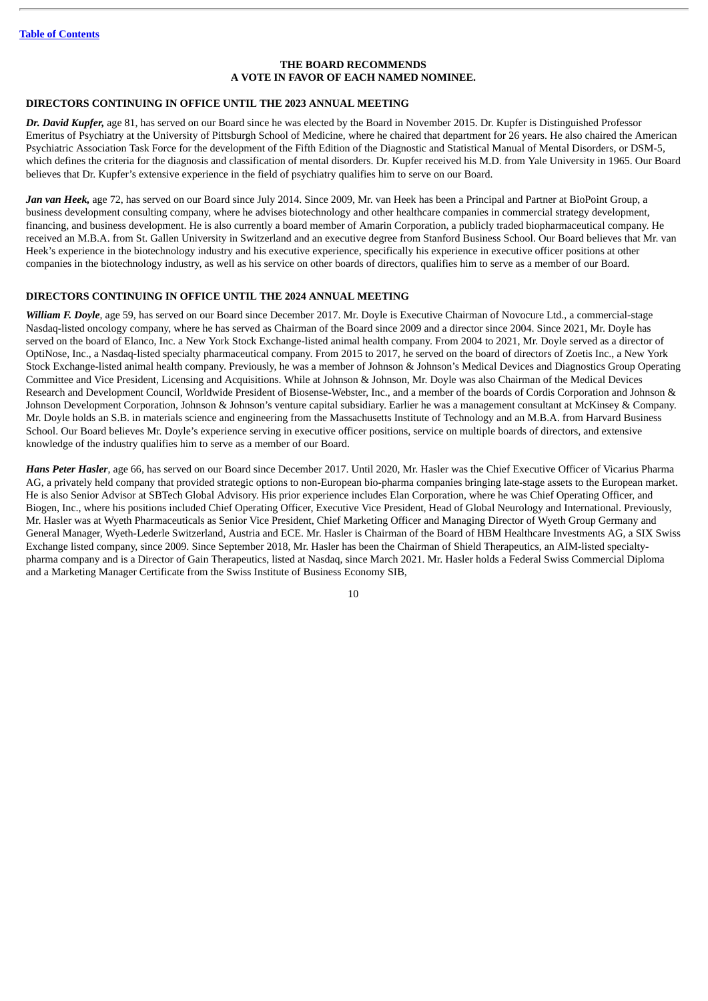#### **THE BOARD RECOMMENDS A VOTE IN FAVOR OF EACH NAMED NOMINEE.**

#### **DIRECTORS CONTINUING IN OFFICE UNTIL THE 2023 ANNUAL MEETING**

*Dr. David Kupfer,* age 81, has served on our Board since he was elected by the Board in November 2015. Dr. Kupfer is Distinguished Professor Emeritus of Psychiatry at the University of Pittsburgh School of Medicine, where he chaired that department for 26 years. He also chaired the American Psychiatric Association Task Force for the development of the Fifth Edition of the Diagnostic and Statistical Manual of Mental Disorders, or DSM-5, which defines the criteria for the diagnosis and classification of mental disorders. Dr. Kupfer received his M.D. from Yale University in 1965. Our Board believes that Dr. Kupfer's extensive experience in the field of psychiatry qualifies him to serve on our Board.

*Jan van Heek,* age 72, has served on our Board since July 2014. Since 2009, Mr. van Heek has been a Principal and Partner at BioPoint Group, a business development consulting company, where he advises biotechnology and other healthcare companies in commercial strategy development, financing, and business development. He is also currently a board member of Amarin Corporation, a publicly traded biopharmaceutical company. He received an M.B.A. from St. Gallen University in Switzerland and an executive degree from Stanford Business School. Our Board believes that Mr. van Heek's experience in the biotechnology industry and his executive experience, specifically his experience in executive officer positions at other companies in the biotechnology industry, as well as his service on other boards of directors, qualifies him to serve as a member of our Board.

#### **DIRECTORS CONTINUING IN OFFICE UNTIL THE 2024 ANNUAL MEETING**

*William F. Doyle*, age 59, has served on our Board since December 2017. Mr. Doyle is Executive Chairman of Novocure Ltd., a commercial-stage Nasdaq-listed oncology company, where he has served as Chairman of the Board since 2009 and a director since 2004. Since 2021, Mr. Doyle has served on the board of Elanco, Inc. a New York Stock Exchange-listed animal health company. From 2004 to 2021, Mr. Doyle served as a director of OptiNose, Inc., a Nasdaq-listed specialty pharmaceutical company. From 2015 to 2017, he served on the board of directors of Zoetis Inc., a New York Stock Exchange-listed animal health company. Previously, he was a member of Johnson & Johnson's Medical Devices and Diagnostics Group Operating Committee and Vice President, Licensing and Acquisitions. While at Johnson & Johnson, Mr. Doyle was also Chairman of the Medical Devices Research and Development Council, Worldwide President of Biosense-Webster, Inc., and a member of the boards of Cordis Corporation and Johnson & Johnson Development Corporation, Johnson & Johnson's venture capital subsidiary. Earlier he was a management consultant at McKinsey & Company. Mr. Doyle holds an S.B. in materials science and engineering from the Massachusetts Institute of Technology and an M.B.A. from Harvard Business School. Our Board believes Mr. Doyle's experience serving in executive officer positions, service on multiple boards of directors, and extensive knowledge of the industry qualifies him to serve as a member of our Board.

*Hans Peter Hasler*, age 66, has served on our Board since December 2017. Until 2020, Mr. Hasler was the Chief Executive Officer of Vicarius Pharma AG, a privately held company that provided strategic options to non-European bio-pharma companies bringing late-stage assets to the European market. He is also Senior Advisor at SBTech Global Advisory. His prior experience includes Elan Corporation, where he was Chief Operating Officer, and Biogen, Inc., where his positions included Chief Operating Officer, Executive Vice President, Head of Global Neurology and International. Previously, Mr. Hasler was at Wyeth Pharmaceuticals as Senior Vice President, Chief Marketing Officer and Managing Director of Wyeth Group Germany and General Manager, Wyeth-Lederle Switzerland, Austria and ECE. Mr. Hasler is Chairman of the Board of HBM Healthcare Investments AG, a SIX Swiss Exchange listed company, since 2009. Since September 2018, Mr. Hasler has been the Chairman of Shield Therapeutics, an AIM-listed specialtypharma company and is a Director of Gain Therapeutics, listed at Nasdaq, since March 2021. Mr. Hasler holds a Federal Swiss Commercial Diploma and a Marketing Manager Certificate from the Swiss Institute of Business Economy SIB,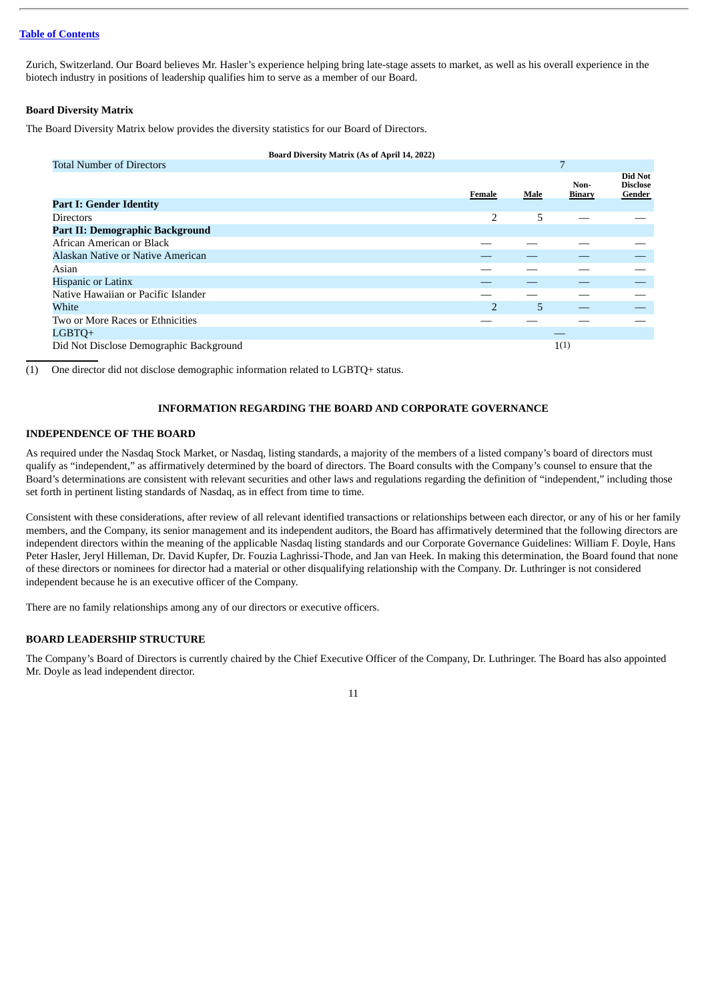Zurich, Switzerland. Our Board believes Mr. Hasler's experience helping bring late-stage assets to market, as well as his overall experience in the biotech industry in positions of leadership qualifies him to serve as a member of our Board.

#### **Board Diversity Matrix**

The Board Diversity Matrix below provides the diversity statistics for our Board of Directors.

| Board Diversity Matrix (As of April 14, 2022) |                |      |                       |                                      |
|-----------------------------------------------|----------------|------|-----------------------|--------------------------------------|
| <b>Total Number of Directors</b>              |                |      | 7                     |                                      |
|                                               | Female         | Male | Non-<br><b>Binary</b> | Did Not<br><b>Disclose</b><br>Gender |
| <b>Part I: Gender Identity</b>                |                |      |                       |                                      |
| <b>Directors</b>                              | $\overline{2}$ | 5    |                       |                                      |
| Part II: Demographic Background               |                |      |                       |                                      |
| African American or Black                     |                |      |                       |                                      |
| Alaskan Native or Native American             |                |      |                       |                                      |
| Asian                                         |                |      |                       |                                      |
| <b>Hispanic or Latinx</b>                     |                |      |                       |                                      |
| Native Hawaiian or Pacific Islander           |                |      |                       |                                      |
| White                                         | $\overline{2}$ | 5    |                       |                                      |
| Two or More Races or Ethnicities              |                |      |                       |                                      |
| LGBTQ+                                        |                |      |                       |                                      |
| Did Not Disclose Demographic Background       |                |      | 1(1)                  |                                      |

(1) One director did not disclose demographic information related to LGBTQ+ status.

#### **INFORMATION REGARDING THE BOARD AND CORPORATE GOVERNANCE**

#### <span id="page-13-1"></span><span id="page-13-0"></span>**INDEPENDENCE OF THE BOARD**

As required under the Nasdaq Stock Market, or Nasdaq, listing standards, a majority of the members of a listed company's board of directors must qualify as "independent," as affirmatively determined by the board of directors. The Board consults with the Company's counsel to ensure that the Board's determinations are consistent with relevant securities and other laws and regulations regarding the definition of "independent," including those set forth in pertinent listing standards of Nasdaq, as in effect from time to time.

Consistent with these considerations, after review of all relevant identified transactions or relationships between each director, or any of his or her family members, and the Company, its senior management and its independent auditors, the Board has affirmatively determined that the following directors are independent directors within the meaning of the applicable Nasdaq listing standards and our Corporate Governance Guidelines: William F. Doyle, Hans Peter Hasler, Jeryl Hilleman, Dr. David Kupfer, Dr. Fouzia Laghrissi-Thode, and Jan van Heek. In making this determination, the Board found that none of these directors or nominees for director had a material or other disqualifying relationship with the Company. Dr. Luthringer is not considered independent because he is an executive officer of the Company.

There are no family relationships among any of our directors or executive officers.

#### <span id="page-13-2"></span>**BOARD LEADERSHIP STRUCTURE**

The Company's Board of Directors is currently chaired by the Chief Executive Officer of the Company, Dr. Luthringer. The Board has also appointed Mr. Doyle as lead independent director.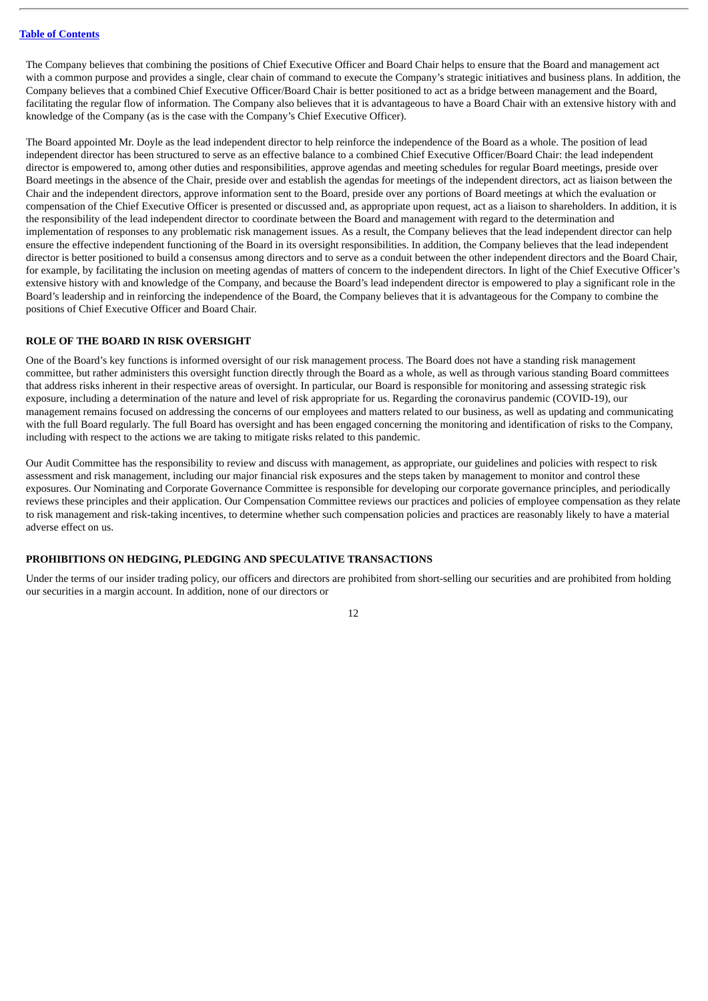The Company believes that combining the positions of Chief Executive Officer and Board Chair helps to ensure that the Board and management act with a common purpose and provides a single, clear chain of command to execute the Company's strategic initiatives and business plans. In addition, the Company believes that a combined Chief Executive Officer/Board Chair is better positioned to act as a bridge between management and the Board, facilitating the regular flow of information. The Company also believes that it is advantageous to have a Board Chair with an extensive history with and knowledge of the Company (as is the case with the Company's Chief Executive Officer).

The Board appointed Mr. Doyle as the lead independent director to help reinforce the independence of the Board as a whole. The position of lead independent director has been structured to serve as an effective balance to a combined Chief Executive Officer/Board Chair: the lead independent director is empowered to, among other duties and responsibilities, approve agendas and meeting schedules for regular Board meetings, preside over Board meetings in the absence of the Chair, preside over and establish the agendas for meetings of the independent directors, act as liaison between the Chair and the independent directors, approve information sent to the Board, preside over any portions of Board meetings at which the evaluation or compensation of the Chief Executive Officer is presented or discussed and, as appropriate upon request, act as a liaison to shareholders. In addition, it is the responsibility of the lead independent director to coordinate between the Board and management with regard to the determination and implementation of responses to any problematic risk management issues. As a result, the Company believes that the lead independent director can help ensure the effective independent functioning of the Board in its oversight responsibilities. In addition, the Company believes that the lead independent director is better positioned to build a consensus among directors and to serve as a conduit between the other independent directors and the Board Chair, for example, by facilitating the inclusion on meeting agendas of matters of concern to the independent directors. In light of the Chief Executive Officer's extensive history with and knowledge of the Company, and because the Board's lead independent director is empowered to play a significant role in the Board's leadership and in reinforcing the independence of the Board, the Company believes that it is advantageous for the Company to combine the positions of Chief Executive Officer and Board Chair.

#### <span id="page-14-0"></span>**ROLE OF THE BOARD IN RISK OVERSIGHT**

One of the Board's key functions is informed oversight of our risk management process. The Board does not have a standing risk management committee, but rather administers this oversight function directly through the Board as a whole, as well as through various standing Board committees that address risks inherent in their respective areas of oversight. In particular, our Board is responsible for monitoring and assessing strategic risk exposure, including a determination of the nature and level of risk appropriate for us. Regarding the coronavirus pandemic (COVID-19), our management remains focused on addressing the concerns of our employees and matters related to our business, as well as updating and communicating with the full Board regularly. The full Board has oversight and has been engaged concerning the monitoring and identification of risks to the Company, including with respect to the actions we are taking to mitigate risks related to this pandemic.

Our Audit Committee has the responsibility to review and discuss with management, as appropriate, our guidelines and policies with respect to risk assessment and risk management, including our major financial risk exposures and the steps taken by management to monitor and control these exposures. Our Nominating and Corporate Governance Committee is responsible for developing our corporate governance principles, and periodically reviews these principles and their application. Our Compensation Committee reviews our practices and policies of employee compensation as they relate to risk management and risk-taking incentives, to determine whether such compensation policies and practices are reasonably likely to have a material adverse effect on us.

#### <span id="page-14-1"></span>**PROHIBITIONS ON HEDGING, PLEDGING AND SPECULATIVE TRANSACTIONS**

Under the terms of our insider trading policy, our officers and directors are prohibited from short-selling our securities and are prohibited from holding our securities in a margin account. In addition, none of our directors or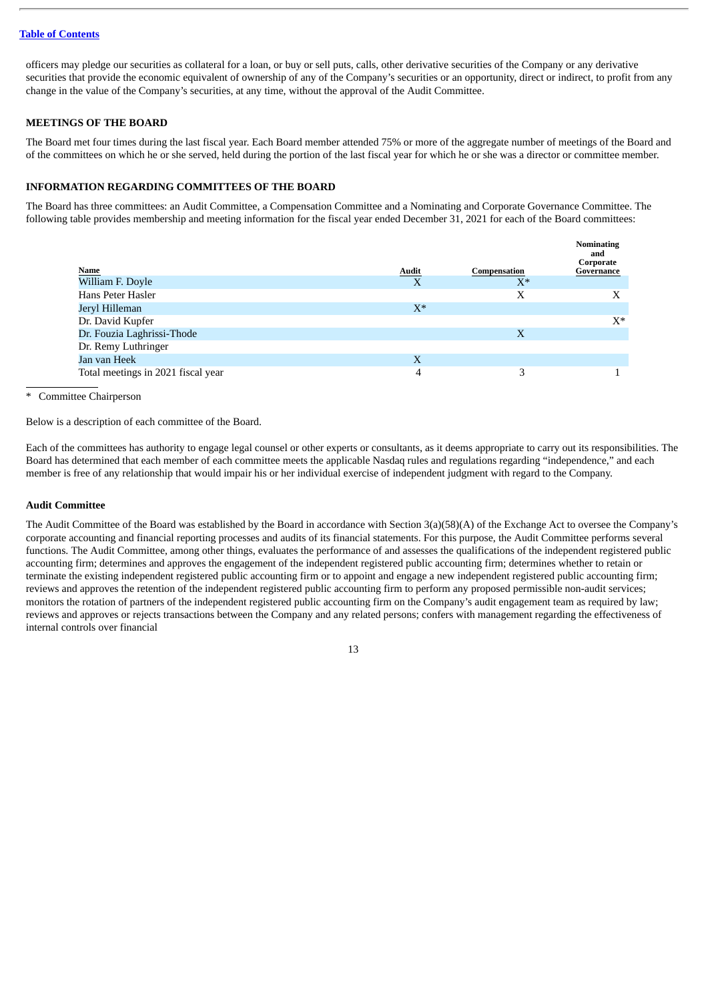officers may pledge our securities as collateral for a loan, or buy or sell puts, calls, other derivative securities of the Company or any derivative securities that provide the economic equivalent of ownership of any of the Company's securities or an opportunity, direct or indirect, to profit from any change in the value of the Company's securities, at any time, without the approval of the Audit Committee.

#### <span id="page-15-0"></span>**MEETINGS OF THE BOARD**

The Board met four times during the last fiscal year. Each Board member attended 75% or more of the aggregate number of meetings of the Board and of the committees on which he or she served, held during the portion of the last fiscal year for which he or she was a director or committee member.

#### <span id="page-15-1"></span>**INFORMATION REGARDING COMMITTEES OF THE BOARD**

The Board has three committees: an Audit Committee, a Compensation Committee and a Nominating and Corporate Governance Committee. The following table provides membership and meeting information for the fiscal year ended December 31, 2021 for each of the Board committees:

|                                    |              |              | <b>Nominating</b><br>and<br>Corporate |
|------------------------------------|--------------|--------------|---------------------------------------|
| <b>Name</b>                        | <b>Audit</b> | Compensation | Governance                            |
| William F. Doyle                   | X            | $X^*$        |                                       |
| Hans Peter Hasler                  |              | Х            | Χ                                     |
| Jeryl Hilleman                     | $X^*$        |              |                                       |
| Dr. David Kupfer                   |              |              | $X^*$                                 |
| Dr. Fouzia Laghrissi-Thode         |              | X            |                                       |
| Dr. Remy Luthringer                |              |              |                                       |
| Jan van Heek                       | X            |              |                                       |
| Total meetings in 2021 fiscal year | 4            | 3            |                                       |

Committee Chairperson

Below is a description of each committee of the Board.

Each of the committees has authority to engage legal counsel or other experts or consultants, as it deems appropriate to carry out its responsibilities. The Board has determined that each member of each committee meets the applicable Nasdaq rules and regulations regarding "independence," and each member is free of any relationship that would impair his or her individual exercise of independent judgment with regard to the Company.

#### <span id="page-15-2"></span>**Audit Committee**

The Audit Committee of the Board was established by the Board in accordance with Section 3(a)(58)(A) of the Exchange Act to oversee the Company's corporate accounting and financial reporting processes and audits of its financial statements. For this purpose, the Audit Committee performs several functions. The Audit Committee, among other things, evaluates the performance of and assesses the qualifications of the independent registered public accounting firm; determines and approves the engagement of the independent registered public accounting firm; determines whether to retain or terminate the existing independent registered public accounting firm or to appoint and engage a new independent registered public accounting firm; reviews and approves the retention of the independent registered public accounting firm to perform any proposed permissible non-audit services; monitors the rotation of partners of the independent registered public accounting firm on the Company's audit engagement team as required by law; reviews and approves or rejects transactions between the Company and any related persons; confers with management regarding the effectiveness of internal controls over financial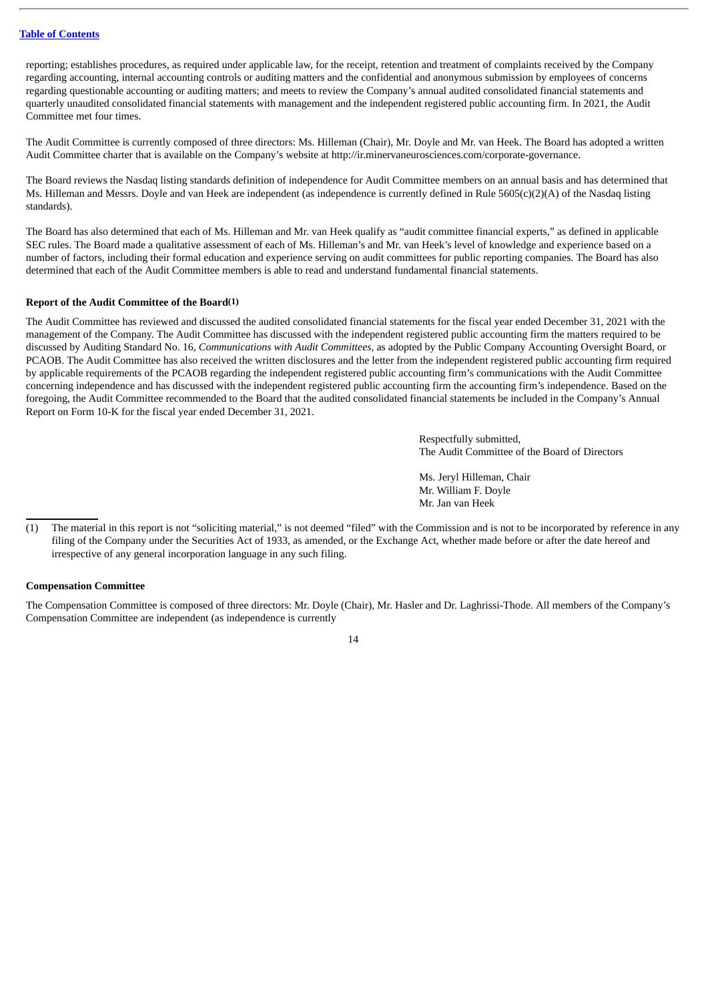reporting; establishes procedures, as required under applicable law, for the receipt, retention and treatment of complaints received by the Company regarding accounting, internal accounting controls or auditing matters and the confidential and anonymous submission by employees of concerns regarding questionable accounting or auditing matters; and meets to review the Company's annual audited consolidated financial statements and quarterly unaudited consolidated financial statements with management and the independent registered public accounting firm. In 2021, the Audit Committee met four times.

The Audit Committee is currently composed of three directors: Ms. Hilleman (Chair), Mr. Doyle and Mr. van Heek. The Board has adopted a written Audit Committee charter that is available on the Company's website at http://ir.minervaneurosciences.com/corporate-governance.

The Board reviews the Nasdaq listing standards definition of independence for Audit Committee members on an annual basis and has determined that Ms. Hilleman and Messrs. Doyle and van Heek are independent (as independence is currently defined in Rule 5605(c)(2)(A) of the Nasdaq listing standards).

The Board has also determined that each of Ms. Hilleman and Mr. van Heek qualify as "audit committee financial experts," as defined in applicable SEC rules. The Board made a qualitative assessment of each of Ms. Hilleman's and Mr. van Heek's level of knowledge and experience based on a number of factors, including their formal education and experience serving on audit committees for public reporting companies. The Board has also determined that each of the Audit Committee members is able to read and understand fundamental financial statements.

#### **Report of the Audit Committee of the Board(1)**

The Audit Committee has reviewed and discussed the audited consolidated financial statements for the fiscal year ended December 31, 2021 with the management of the Company. The Audit Committee has discussed with the independent registered public accounting firm the matters required to be discussed by Auditing Standard No. 16, *Communications with Audit Committees,* as adopted by the Public Company Accounting Oversight Board, or PCAOB. The Audit Committee has also received the written disclosures and the letter from the independent registered public accounting firm required by applicable requirements of the PCAOB regarding the independent registered public accounting firm's communications with the Audit Committee concerning independence and has discussed with the independent registered public accounting firm the accounting firm's independence. Based on the foregoing, the Audit Committee recommended to the Board that the audited consolidated financial statements be included in the Company's Annual Report on Form 10-K for the fiscal year ended December 31, 2021.

> Respectfully submitted, The Audit Committee of the Board of Directors

Ms. Jeryl Hilleman, Chair Mr. William F. Doyle Mr. Jan van Heek

#### <span id="page-16-0"></span>**Compensation Committee**

The Compensation Committee is composed of three directors: Mr. Doyle (Chair), Mr. Hasler and Dr. Laghrissi-Thode. All members of the Company's Compensation Committee are independent (as independence is currently

<sup>(1)</sup> The material in this report is not "soliciting material," is not deemed "filed" with the Commission and is not to be incorporated by reference in any filing of the Company under the Securities Act of 1933, as amended, or the Exchange Act, whether made before or after the date hereof and irrespective of any general incorporation language in any such filing.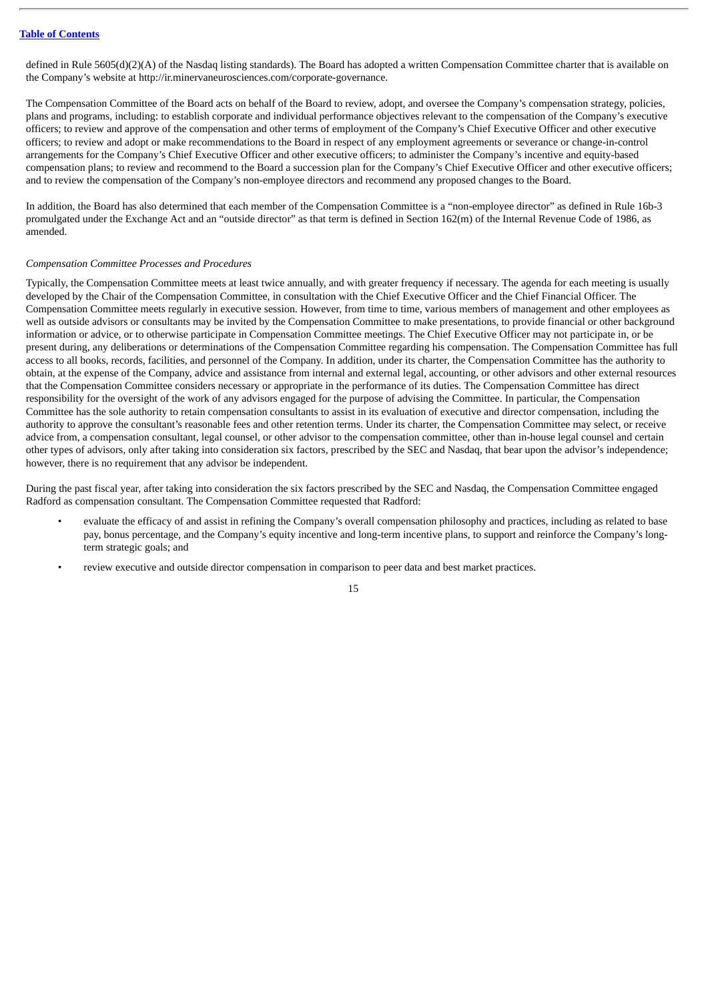defined in Rule 5605(d)(2)(A) of the Nasdaq listing standards). The Board has adopted a written Compensation Committee charter that is available on the Company's website at http://ir.minervaneurosciences.com/corporate-governance.

The Compensation Committee of the Board acts on behalf of the Board to review, adopt, and oversee the Company's compensation strategy, policies, plans and programs, including: to establish corporate and individual performance objectives relevant to the compensation of the Company's executive officers; to review and approve of the compensation and other terms of employment of the Company's Chief Executive Officer and other executive officers; to review and adopt or make recommendations to the Board in respect of any employment agreements or severance or change-in-control arrangements for the Company's Chief Executive Officer and other executive officers; to administer the Company's incentive and equity-based compensation plans; to review and recommend to the Board a succession plan for the Company's Chief Executive Officer and other executive officers; and to review the compensation of the Company's non-employee directors and recommend any proposed changes to the Board.

In addition, the Board has also determined that each member of the Compensation Committee is a "non-employee director" as defined in Rule 16b-3 promulgated under the Exchange Act and an "outside director" as that term is defined in Section 162(m) of the Internal Revenue Code of 1986, as amended.

#### *Compensation Committee Processes and Procedures*

Typically, the Compensation Committee meets at least twice annually, and with greater frequency if necessary. The agenda for each meeting is usually developed by the Chair of the Compensation Committee, in consultation with the Chief Executive Officer and the Chief Financial Officer. The Compensation Committee meets regularly in executive session. However, from time to time, various members of management and other employees as well as outside advisors or consultants may be invited by the Compensation Committee to make presentations, to provide financial or other background information or advice, or to otherwise participate in Compensation Committee meetings. The Chief Executive Officer may not participate in, or be present during, any deliberations or determinations of the Compensation Committee regarding his compensation. The Compensation Committee has full access to all books, records, facilities, and personnel of the Company. In addition, under its charter, the Compensation Committee has the authority to obtain, at the expense of the Company, advice and assistance from internal and external legal, accounting, or other advisors and other external resources that the Compensation Committee considers necessary or appropriate in the performance of its duties. The Compensation Committee has direct responsibility for the oversight of the work of any advisors engaged for the purpose of advising the Committee. In particular, the Compensation Committee has the sole authority to retain compensation consultants to assist in its evaluation of executive and director compensation, including the authority to approve the consultant's reasonable fees and other retention terms. Under its charter, the Compensation Committee may select, or receive advice from, a compensation consultant, legal counsel, or other advisor to the compensation committee, other than in-house legal counsel and certain other types of advisors, only after taking into consideration six factors, prescribed by the SEC and Nasdaq, that bear upon the advisor's independence; however, there is no requirement that any advisor be independent.

During the past fiscal year, after taking into consideration the six factors prescribed by the SEC and Nasdaq, the Compensation Committee engaged Radford as compensation consultant. The Compensation Committee requested that Radford:

- evaluate the efficacy of and assist in refining the Company's overall compensation philosophy and practices, including as related to base pay, bonus percentage, and the Company's equity incentive and long-term incentive plans, to support and reinforce the Company's longterm strategic goals; and
- review executive and outside director compensation in comparison to peer data and best market practices.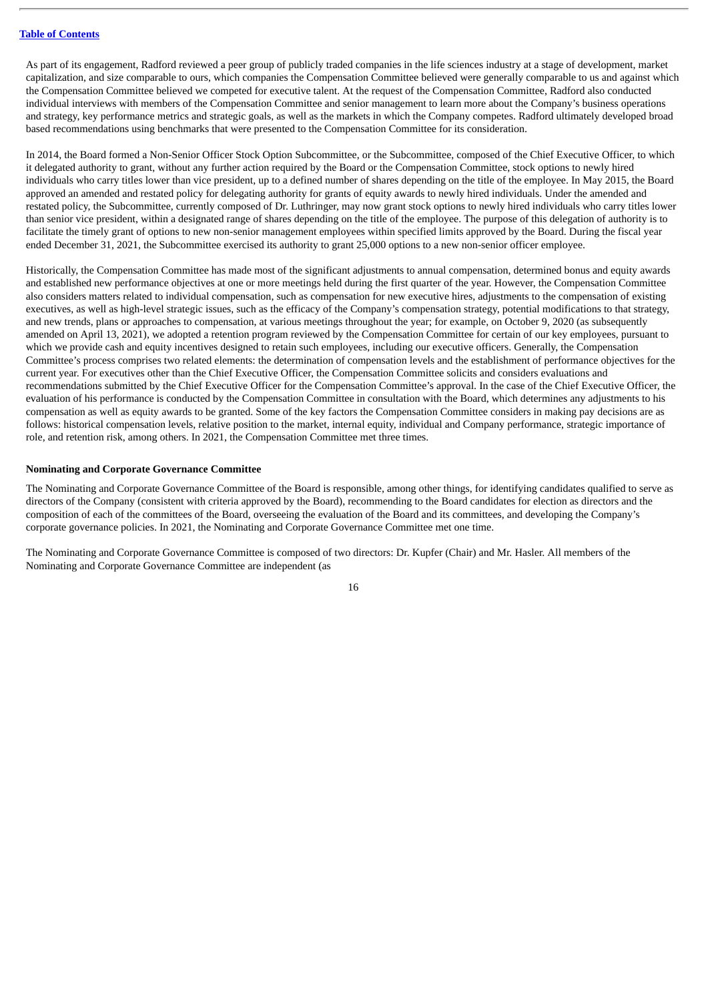As part of its engagement, Radford reviewed a peer group of publicly traded companies in the life sciences industry at a stage of development, market capitalization, and size comparable to ours, which companies the Compensation Committee believed were generally comparable to us and against which the Compensation Committee believed we competed for executive talent. At the request of the Compensation Committee, Radford also conducted individual interviews with members of the Compensation Committee and senior management to learn more about the Company's business operations and strategy, key performance metrics and strategic goals, as well as the markets in which the Company competes. Radford ultimately developed broad based recommendations using benchmarks that were presented to the Compensation Committee for its consideration.

In 2014, the Board formed a Non-Senior Officer Stock Option Subcommittee, or the Subcommittee, composed of the Chief Executive Officer, to which it delegated authority to grant, without any further action required by the Board or the Compensation Committee, stock options to newly hired individuals who carry titles lower than vice president, up to a defined number of shares depending on the title of the employee. In May 2015, the Board approved an amended and restated policy for delegating authority for grants of equity awards to newly hired individuals. Under the amended and restated policy, the Subcommittee, currently composed of Dr. Luthringer, may now grant stock options to newly hired individuals who carry titles lower than senior vice president, within a designated range of shares depending on the title of the employee. The purpose of this delegation of authority is to facilitate the timely grant of options to new non-senior management employees within specified limits approved by the Board. During the fiscal year ended December 31, 2021, the Subcommittee exercised its authority to grant 25,000 options to a new non-senior officer employee.

Historically, the Compensation Committee has made most of the significant adjustments to annual compensation, determined bonus and equity awards and established new performance objectives at one or more meetings held during the first quarter of the year. However, the Compensation Committee also considers matters related to individual compensation, such as compensation for new executive hires, adjustments to the compensation of existing executives, as well as high-level strategic issues, such as the efficacy of the Company's compensation strategy, potential modifications to that strategy, and new trends, plans or approaches to compensation, at various meetings throughout the year; for example, on October 9, 2020 (as subsequently amended on April 13, 2021), we adopted a retention program reviewed by the Compensation Committee for certain of our key employees, pursuant to which we provide cash and equity incentives designed to retain such employees, including our executive officers. Generally, the Compensation Committee's process comprises two related elements: the determination of compensation levels and the establishment of performance objectives for the current year. For executives other than the Chief Executive Officer, the Compensation Committee solicits and considers evaluations and recommendations submitted by the Chief Executive Officer for the Compensation Committee's approval. In the case of the Chief Executive Officer, the evaluation of his performance is conducted by the Compensation Committee in consultation with the Board, which determines any adjustments to his compensation as well as equity awards to be granted. Some of the key factors the Compensation Committee considers in making pay decisions are as follows: historical compensation levels, relative position to the market, internal equity, individual and Company performance, strategic importance of role, and retention risk, among others. In 2021, the Compensation Committee met three times.

#### <span id="page-18-0"></span>**Nominating and Corporate Governance Committee**

The Nominating and Corporate Governance Committee of the Board is responsible, among other things, for identifying candidates qualified to serve as directors of the Company (consistent with criteria approved by the Board), recommending to the Board candidates for election as directors and the composition of each of the committees of the Board, overseeing the evaluation of the Board and its committees, and developing the Company's corporate governance policies. In 2021, the Nominating and Corporate Governance Committee met one time.

The Nominating and Corporate Governance Committee is composed of two directors: Dr. Kupfer (Chair) and Mr. Hasler. All members of the Nominating and Corporate Governance Committee are independent (as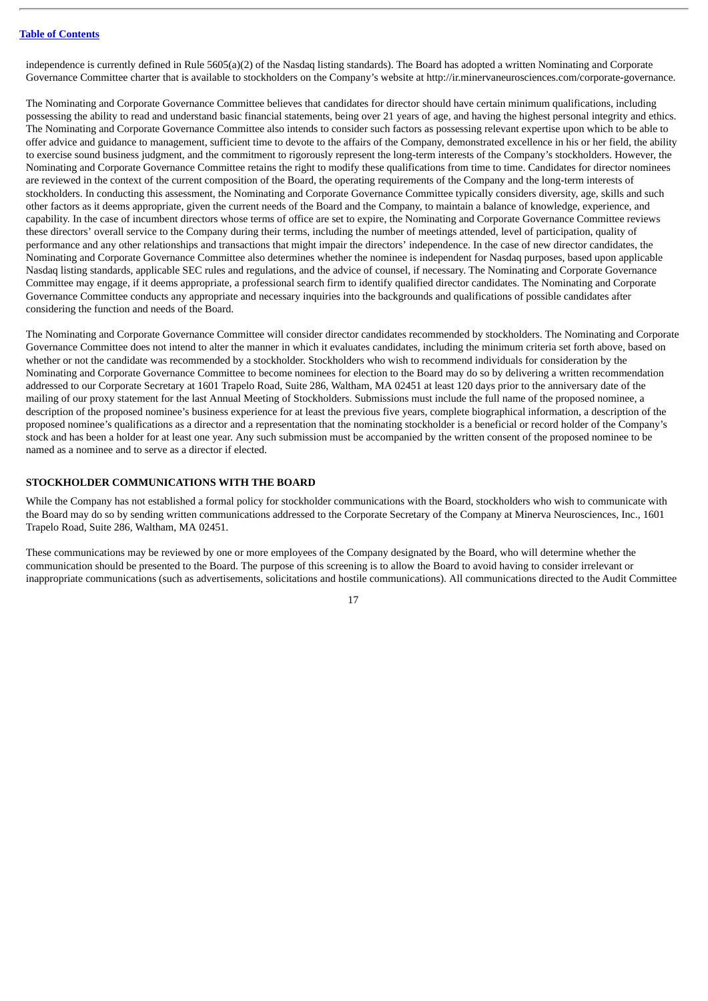independence is currently defined in Rule 5605(a)(2) of the Nasdaq listing standards). The Board has adopted a written Nominating and Corporate Governance Committee charter that is available to stockholders on the Company's website at http://ir.minervaneurosciences.com/corporate-governance.

The Nominating and Corporate Governance Committee believes that candidates for director should have certain minimum qualifications, including possessing the ability to read and understand basic financial statements, being over 21 years of age, and having the highest personal integrity and ethics. The Nominating and Corporate Governance Committee also intends to consider such factors as possessing relevant expertise upon which to be able to offer advice and guidance to management, sufficient time to devote to the affairs of the Company, demonstrated excellence in his or her field, the ability to exercise sound business judgment, and the commitment to rigorously represent the long-term interests of the Company's stockholders. However, the Nominating and Corporate Governance Committee retains the right to modify these qualifications from time to time. Candidates for director nominees are reviewed in the context of the current composition of the Board, the operating requirements of the Company and the long-term interests of stockholders. In conducting this assessment, the Nominating and Corporate Governance Committee typically considers diversity, age, skills and such other factors as it deems appropriate, given the current needs of the Board and the Company, to maintain a balance of knowledge, experience, and capability. In the case of incumbent directors whose terms of office are set to expire, the Nominating and Corporate Governance Committee reviews these directors' overall service to the Company during their terms, including the number of meetings attended, level of participation, quality of performance and any other relationships and transactions that might impair the directors' independence. In the case of new director candidates, the Nominating and Corporate Governance Committee also determines whether the nominee is independent for Nasdaq purposes, based upon applicable Nasdaq listing standards, applicable SEC rules and regulations, and the advice of counsel, if necessary. The Nominating and Corporate Governance Committee may engage, if it deems appropriate, a professional search firm to identify qualified director candidates. The Nominating and Corporate Governance Committee conducts any appropriate and necessary inquiries into the backgrounds and qualifications of possible candidates after considering the function and needs of the Board.

The Nominating and Corporate Governance Committee will consider director candidates recommended by stockholders. The Nominating and Corporate Governance Committee does not intend to alter the manner in which it evaluates candidates, including the minimum criteria set forth above, based on whether or not the candidate was recommended by a stockholder. Stockholders who wish to recommend individuals for consideration by the Nominating and Corporate Governance Committee to become nominees for election to the Board may do so by delivering a written recommendation addressed to our Corporate Secretary at 1601 Trapelo Road, Suite 286, Waltham, MA 02451 at least 120 days prior to the anniversary date of the mailing of our proxy statement for the last Annual Meeting of Stockholders. Submissions must include the full name of the proposed nominee, a description of the proposed nominee's business experience for at least the previous five years, complete biographical information, a description of the proposed nominee's qualifications as a director and a representation that the nominating stockholder is a beneficial or record holder of the Company's stock and has been a holder for at least one year. Any such submission must be accompanied by the written consent of the proposed nominee to be named as a nominee and to serve as a director if elected.

#### <span id="page-19-0"></span>**STOCKHOLDER COMMUNICATIONS WITH THE BOARD**

While the Company has not established a formal policy for stockholder communications with the Board, stockholders who wish to communicate with the Board may do so by sending written communications addressed to the Corporate Secretary of the Company at Minerva Neurosciences, Inc., 1601 Trapelo Road, Suite 286, Waltham, MA 02451.

These communications may be reviewed by one or more employees of the Company designated by the Board, who will determine whether the communication should be presented to the Board. The purpose of this screening is to allow the Board to avoid having to consider irrelevant or inappropriate communications (such as advertisements, solicitations and hostile communications). All communications directed to the Audit Committee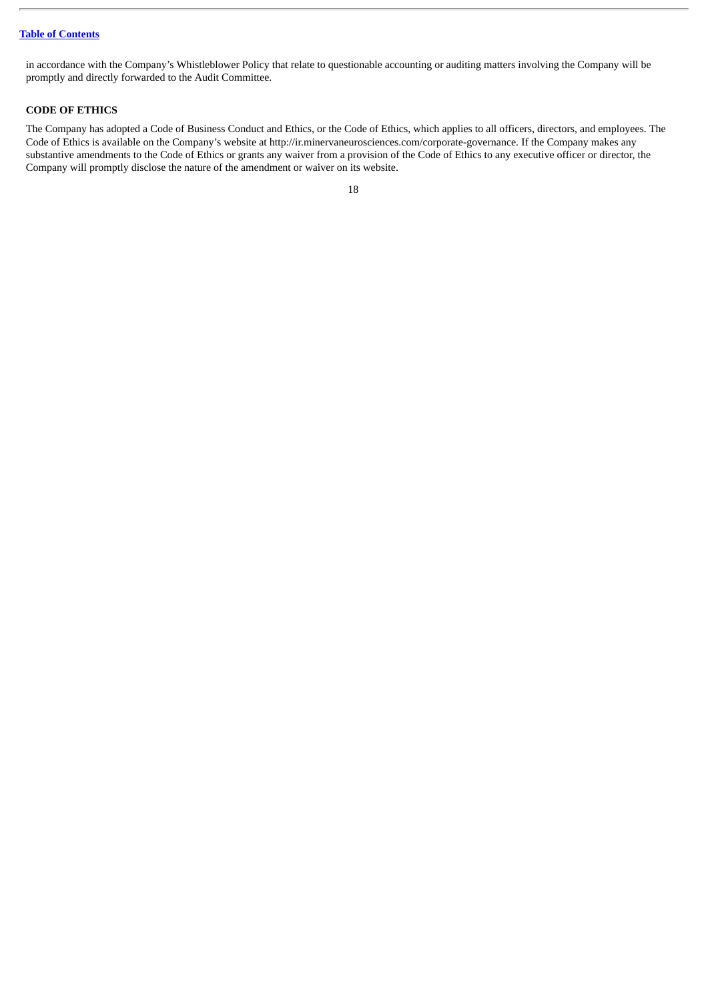in accordance with the Company's Whistleblower Policy that relate to questionable accounting or auditing matters involving the Company will be promptly and directly forwarded to the Audit Committee.

#### <span id="page-20-0"></span>**CODE OF ETHICS**

The Company has adopted a Code of Business Conduct and Ethics, or the Code of Ethics, which applies to all officers, directors, and employees. The Code of Ethics is available on the Company's website at http://ir.minervaneurosciences.com/corporate-governance. If the Company makes any substantive amendments to the Code of Ethics or grants any waiver from a provision of the Code of Ethics to any executive officer or director, the Company will promptly disclose the nature of the amendment or waiver on its website.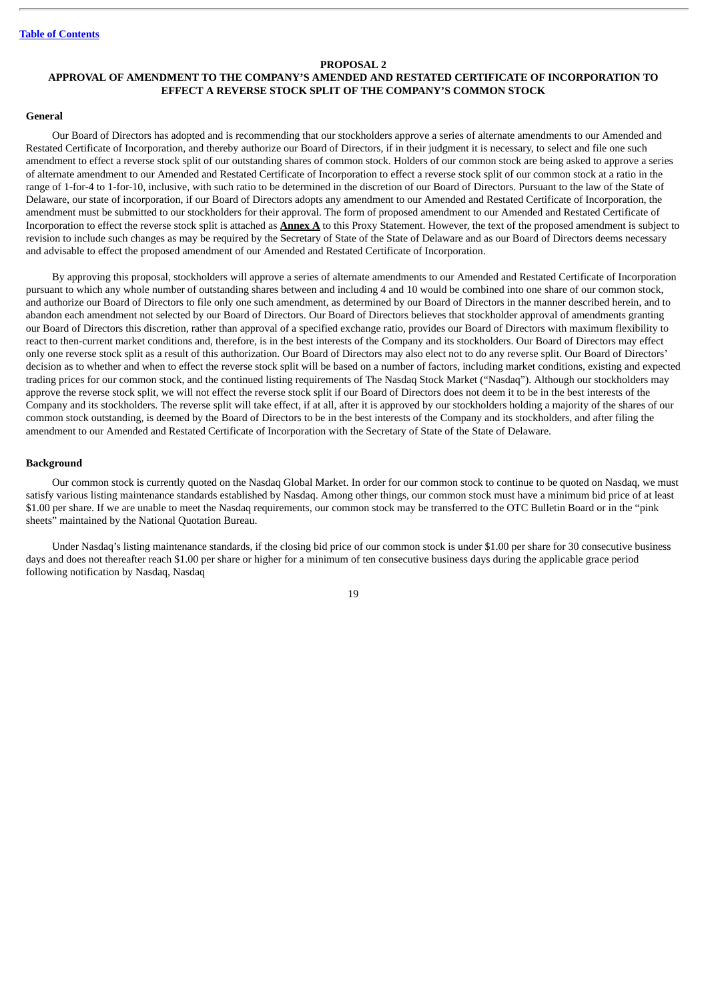#### **PROPOSAL 2**

#### <span id="page-21-0"></span>**APPROVAL OF AMENDMENT TO THE COMPANY'S AMENDED AND RESTATED CERTIFICATE OF INCORPORATION TO EFFECT A REVERSE STOCK SPLIT OF THE COMPANY'S COMMON STOCK**

#### **General**

Our Board of Directors has adopted and is recommending that our stockholders approve a series of alternate amendments to our Amended and Restated Certificate of Incorporation, and thereby authorize our Board of Directors, if in their judgment it is necessary, to select and file one such amendment to effect a reverse stock split of our outstanding shares of common stock. Holders of our common stock are being asked to approve a series of alternate amendment to our Amended and Restated Certificate of Incorporation to effect a reverse stock split of our common stock at a ratio in the range of 1-for-4 to 1-for-10, inclusive, with such ratio to be determined in the discretion of our Board of Directors. Pursuant to the law of the State of Delaware, our state of incorporation, if our Board of Directors adopts any amendment to our Amended and Restated Certificate of Incorporation, the amendment must be submitted to our stockholders for their approval. The form of proposed amendment to our Amended and Restated Certificate of Incorporation to effect the reverse stock split is attached as **Annex A** to this Proxy Statement. However, the text of the proposed amendment is subject to revision to include such changes as may be required by the Secretary of State of the State of Delaware and as our Board of Directors deems necessary and advisable to effect the proposed amendment of our Amended and Restated Certificate of Incorporation.

By approving this proposal, stockholders will approve a series of alternate amendments to our Amended and Restated Certificate of Incorporation pursuant to which any whole number of outstanding shares between and including 4 and 10 would be combined into one share of our common stock, and authorize our Board of Directors to file only one such amendment, as determined by our Board of Directors in the manner described herein, and to abandon each amendment not selected by our Board of Directors. Our Board of Directors believes that stockholder approval of amendments granting our Board of Directors this discretion, rather than approval of a specified exchange ratio, provides our Board of Directors with maximum flexibility to react to then-current market conditions and, therefore, is in the best interests of the Company and its stockholders. Our Board of Directors may effect only one reverse stock split as a result of this authorization. Our Board of Directors may also elect not to do any reverse split. Our Board of Directors' decision as to whether and when to effect the reverse stock split will be based on a number of factors, including market conditions, existing and expected trading prices for our common stock, and the continued listing requirements of The Nasdaq Stock Market ("Nasdaq"). Although our stockholders may approve the reverse stock split, we will not effect the reverse stock split if our Board of Directors does not deem it to be in the best interests of the Company and its stockholders. The reverse split will take effect, if at all, after it is approved by our stockholders holding a majority of the shares of our common stock outstanding, is deemed by the Board of Directors to be in the best interests of the Company and its stockholders, and after filing the amendment to our Amended and Restated Certificate of Incorporation with the Secretary of State of the State of Delaware.

#### **Background**

Our common stock is currently quoted on the Nasdaq Global Market. In order for our common stock to continue to be quoted on Nasdaq, we must satisfy various listing maintenance standards established by Nasdaq. Among other things, our common stock must have a minimum bid price of at least \$1.00 per share. If we are unable to meet the Nasdaq requirements, our common stock may be transferred to the OTC Bulletin Board or in the "pink sheets" maintained by the National Quotation Bureau.

Under Nasdaq's listing maintenance standards, if the closing bid price of our common stock is under \$1.00 per share for 30 consecutive business days and does not thereafter reach \$1.00 per share or higher for a minimum of ten consecutive business days during the applicable grace period following notification by Nasdaq, Nasdaq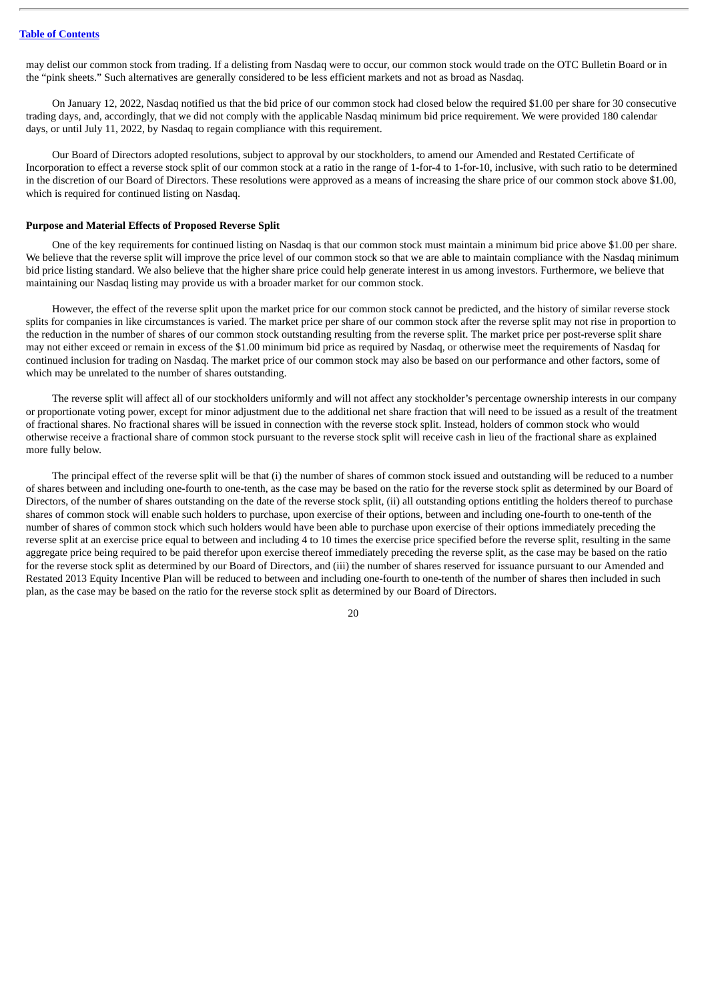may delist our common stock from trading. If a delisting from Nasdaq were to occur, our common stock would trade on the OTC Bulletin Board or in the "pink sheets." Such alternatives are generally considered to be less efficient markets and not as broad as Nasdaq.

On January 12, 2022, Nasdaq notified us that the bid price of our common stock had closed below the required \$1.00 per share for 30 consecutive trading days, and, accordingly, that we did not comply with the applicable Nasdaq minimum bid price requirement. We were provided 180 calendar days, or until July 11, 2022, by Nasdaq to regain compliance with this requirement.

Our Board of Directors adopted resolutions, subject to approval by our stockholders, to amend our Amended and Restated Certificate of Incorporation to effect a reverse stock split of our common stock at a ratio in the range of 1-for-4 to 1-for-10, inclusive, with such ratio to be determined in the discretion of our Board of Directors. These resolutions were approved as a means of increasing the share price of our common stock above \$1.00, which is required for continued listing on Nasdaq.

#### **Purpose and Material Effects of Proposed Reverse Split**

One of the key requirements for continued listing on Nasdaq is that our common stock must maintain a minimum bid price above \$1.00 per share. We believe that the reverse split will improve the price level of our common stock so that we are able to maintain compliance with the Nasdaq minimum bid price listing standard. We also believe that the higher share price could help generate interest in us among investors. Furthermore, we believe that maintaining our Nasdaq listing may provide us with a broader market for our common stock.

However, the effect of the reverse split upon the market price for our common stock cannot be predicted, and the history of similar reverse stock splits for companies in like circumstances is varied. The market price per share of our common stock after the reverse split may not rise in proportion to the reduction in the number of shares of our common stock outstanding resulting from the reverse split. The market price per post-reverse split share may not either exceed or remain in excess of the \$1.00 minimum bid price as required by Nasdaq, or otherwise meet the requirements of Nasdaq for continued inclusion for trading on Nasdaq. The market price of our common stock may also be based on our performance and other factors, some of which may be unrelated to the number of shares outstanding.

The reverse split will affect all of our stockholders uniformly and will not affect any stockholder's percentage ownership interests in our company or proportionate voting power, except for minor adjustment due to the additional net share fraction that will need to be issued as a result of the treatment of fractional shares. No fractional shares will be issued in connection with the reverse stock split. Instead, holders of common stock who would otherwise receive a fractional share of common stock pursuant to the reverse stock split will receive cash in lieu of the fractional share as explained more fully below.

The principal effect of the reverse split will be that (i) the number of shares of common stock issued and outstanding will be reduced to a number of shares between and including one-fourth to one-tenth, as the case may be based on the ratio for the reverse stock split as determined by our Board of Directors, of the number of shares outstanding on the date of the reverse stock split, (ii) all outstanding options entitling the holders thereof to purchase shares of common stock will enable such holders to purchase, upon exercise of their options, between and including one-fourth to one-tenth of the number of shares of common stock which such holders would have been able to purchase upon exercise of their options immediately preceding the reverse split at an exercise price equal to between and including 4 to 10 times the exercise price specified before the reverse split, resulting in the same aggregate price being required to be paid therefor upon exercise thereof immediately preceding the reverse split, as the case may be based on the ratio for the reverse stock split as determined by our Board of Directors, and (iii) the number of shares reserved for issuance pursuant to our Amended and Restated 2013 Equity Incentive Plan will be reduced to between and including one-fourth to one-tenth of the number of shares then included in such plan, as the case may be based on the ratio for the reverse stock split as determined by our Board of Directors.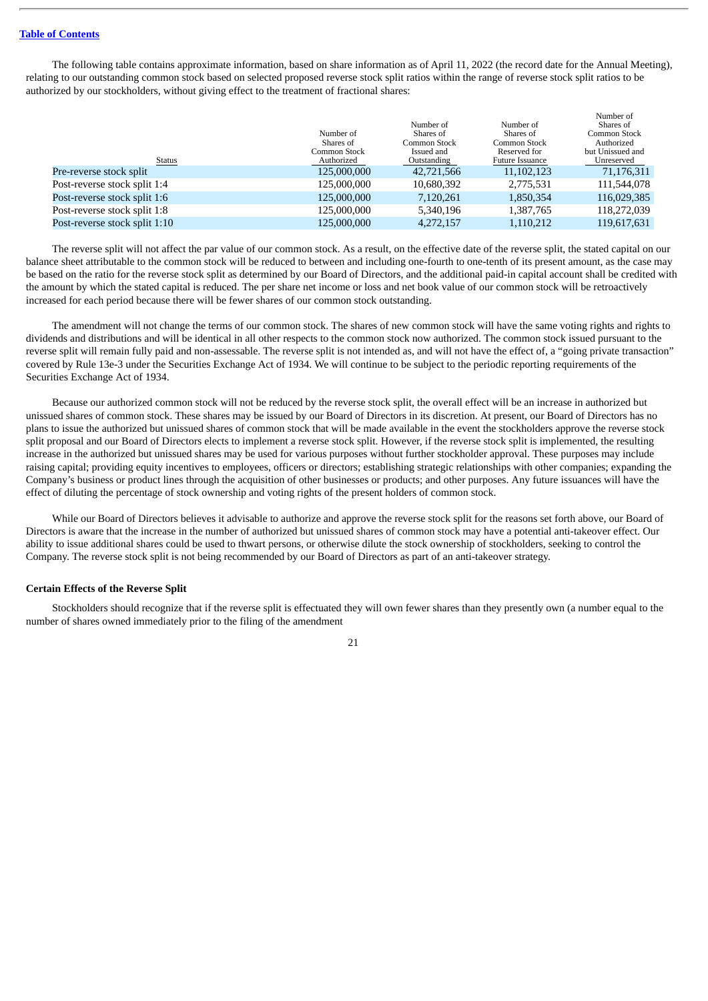The following table contains approximate information, based on share information as of April 11, 2022 (the record date for the Annual Meeting), relating to our outstanding common stock based on selected proposed reverse stock split ratios within the range of reverse stock split ratios to be authorized by our stockholders, without giving effect to the treatment of fractional shares:

|              |              |                 | Number of        |
|--------------|--------------|-----------------|------------------|
|              | Number of    | Number of       | Shares of        |
| Number of    | Shares of    | Shares of       | Common Stock     |
| Shares of    | Common Stock | Common Stock    | Authorized       |
| Common Stock | Issued and   | Reserved for    | but Unissued and |
| Authorized   | Outstanding  | Future Issuance | Unreserved       |
| 125,000,000  | 42,721,566   | 11, 102, 123    | 71,176,311       |
| 125,000,000  | 10,680,392   | 2,775,531       | 111,544,078      |
| 125,000,000  | 7,120,261    | 1,850,354       | 116,029,385      |
| 125,000,000  | 5,340,196    | 1,387,765       | 118,272,039      |
| 125,000,000  | 4,272,157    | 1,110,212       | 119,617,631      |
|              |              |                 |                  |

The reverse split will not affect the par value of our common stock. As a result, on the effective date of the reverse split, the stated capital on our balance sheet attributable to the common stock will be reduced to between and including one-fourth to one-tenth of its present amount, as the case may be based on the ratio for the reverse stock split as determined by our Board of Directors, and the additional paid-in capital account shall be credited with the amount by which the stated capital is reduced. The per share net income or loss and net book value of our common stock will be retroactively increased for each period because there will be fewer shares of our common stock outstanding.

The amendment will not change the terms of our common stock. The shares of new common stock will have the same voting rights and rights to dividends and distributions and will be identical in all other respects to the common stock now authorized. The common stock issued pursuant to the reverse split will remain fully paid and non-assessable. The reverse split is not intended as, and will not have the effect of, a "going private transaction" covered by Rule 13e-3 under the Securities Exchange Act of 1934. We will continue to be subject to the periodic reporting requirements of the Securities Exchange Act of 1934.

Because our authorized common stock will not be reduced by the reverse stock split, the overall effect will be an increase in authorized but unissued shares of common stock. These shares may be issued by our Board of Directors in its discretion. At present, our Board of Directors has no plans to issue the authorized but unissued shares of common stock that will be made available in the event the stockholders approve the reverse stock split proposal and our Board of Directors elects to implement a reverse stock split. However, if the reverse stock split is implemented, the resulting increase in the authorized but unissued shares may be used for various purposes without further stockholder approval. These purposes may include raising capital; providing equity incentives to employees, officers or directors; establishing strategic relationships with other companies; expanding the Company's business or product lines through the acquisition of other businesses or products; and other purposes. Any future issuances will have the effect of diluting the percentage of stock ownership and voting rights of the present holders of common stock.

While our Board of Directors believes it advisable to authorize and approve the reverse stock split for the reasons set forth above, our Board of Directors is aware that the increase in the number of authorized but unissued shares of common stock may have a potential anti-takeover effect. Our ability to issue additional shares could be used to thwart persons, or otherwise dilute the stock ownership of stockholders, seeking to control the Company. The reverse stock split is not being recommended by our Board of Directors as part of an anti-takeover strategy.

#### **Certain Effects of the Reverse Split**

Stockholders should recognize that if the reverse split is effectuated they will own fewer shares than they presently own (a number equal to the number of shares owned immediately prior to the filing of the amendment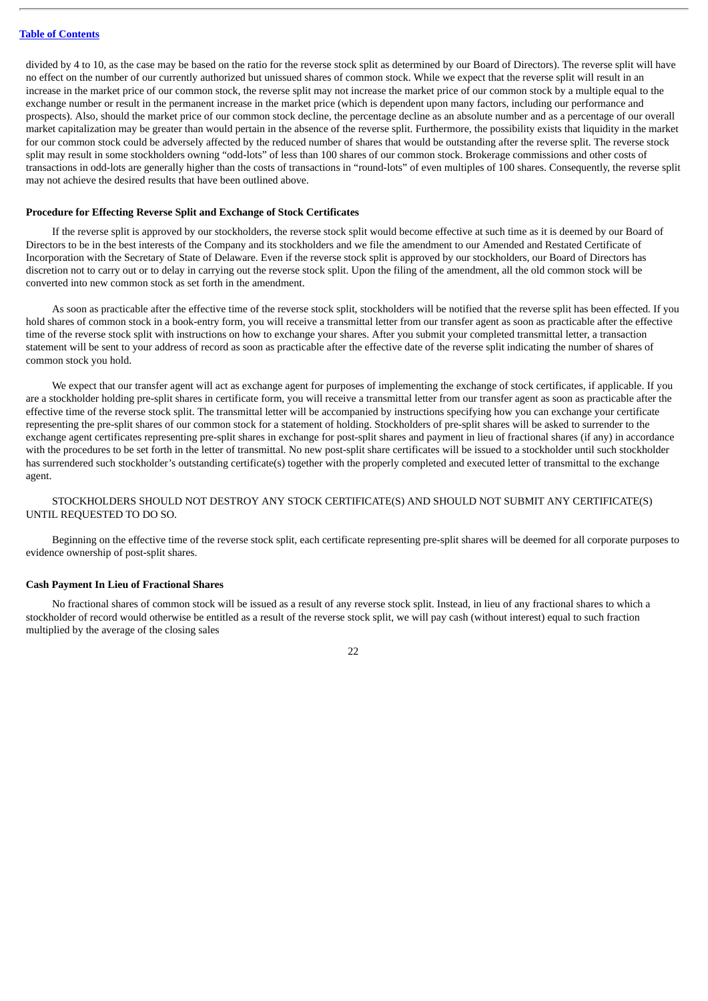divided by 4 to 10, as the case may be based on the ratio for the reverse stock split as determined by our Board of Directors). The reverse split will have no effect on the number of our currently authorized but unissued shares of common stock. While we expect that the reverse split will result in an increase in the market price of our common stock, the reverse split may not increase the market price of our common stock by a multiple equal to the exchange number or result in the permanent increase in the market price (which is dependent upon many factors, including our performance and prospects). Also, should the market price of our common stock decline, the percentage decline as an absolute number and as a percentage of our overall market capitalization may be greater than would pertain in the absence of the reverse split. Furthermore, the possibility exists that liquidity in the market for our common stock could be adversely affected by the reduced number of shares that would be outstanding after the reverse split. The reverse stock split may result in some stockholders owning "odd-lots" of less than 100 shares of our common stock. Brokerage commissions and other costs of transactions in odd-lots are generally higher than the costs of transactions in "round-lots" of even multiples of 100 shares. Consequently, the reverse split may not achieve the desired results that have been outlined above.

#### **Procedure for Effecting Reverse Split and Exchange of Stock Certificates**

If the reverse split is approved by our stockholders, the reverse stock split would become effective at such time as it is deemed by our Board of Directors to be in the best interests of the Company and its stockholders and we file the amendment to our Amended and Restated Certificate of Incorporation with the Secretary of State of Delaware. Even if the reverse stock split is approved by our stockholders, our Board of Directors has discretion not to carry out or to delay in carrying out the reverse stock split. Upon the filing of the amendment, all the old common stock will be converted into new common stock as set forth in the amendment.

As soon as practicable after the effective time of the reverse stock split, stockholders will be notified that the reverse split has been effected. If you hold shares of common stock in a book-entry form, you will receive a transmittal letter from our transfer agent as soon as practicable after the effective time of the reverse stock split with instructions on how to exchange your shares. After you submit your completed transmittal letter, a transaction statement will be sent to your address of record as soon as practicable after the effective date of the reverse split indicating the number of shares of common stock you hold.

We expect that our transfer agent will act as exchange agent for purposes of implementing the exchange of stock certificates, if applicable. If you are a stockholder holding pre-split shares in certificate form, you will receive a transmittal letter from our transfer agent as soon as practicable after the effective time of the reverse stock split. The transmittal letter will be accompanied by instructions specifying how you can exchange your certificate representing the pre-split shares of our common stock for a statement of holding. Stockholders of pre-split shares will be asked to surrender to the exchange agent certificates representing pre-split shares in exchange for post-split shares and payment in lieu of fractional shares (if any) in accordance with the procedures to be set forth in the letter of transmittal. No new post-split share certificates will be issued to a stockholder until such stockholder has surrendered such stockholder's outstanding certificate(s) together with the properly completed and executed letter of transmittal to the exchange agent.

#### STOCKHOLDERS SHOULD NOT DESTROY ANY STOCK CERTIFICATE(S) AND SHOULD NOT SUBMIT ANY CERTIFICATE(S) UNTIL REQUESTED TO DO SO.

Beginning on the effective time of the reverse stock split, each certificate representing pre-split shares will be deemed for all corporate purposes to evidence ownership of post-split shares.

#### **Cash Payment In Lieu of Fractional Shares**

No fractional shares of common stock will be issued as a result of any reverse stock split. Instead, in lieu of any fractional shares to which a stockholder of record would otherwise be entitled as a result of the reverse stock split, we will pay cash (without interest) equal to such fraction multiplied by the average of the closing sales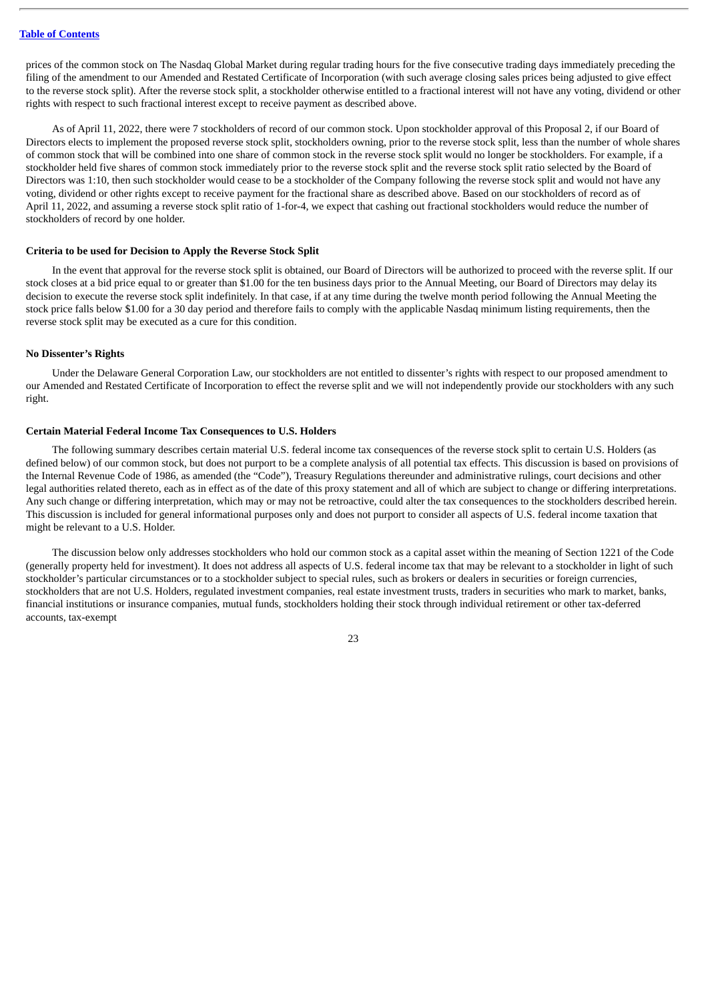prices of the common stock on The Nasdaq Global Market during regular trading hours for the five consecutive trading days immediately preceding the filing of the amendment to our Amended and Restated Certificate of Incorporation (with such average closing sales prices being adjusted to give effect to the reverse stock split). After the reverse stock split, a stockholder otherwise entitled to a fractional interest will not have any voting, dividend or other rights with respect to such fractional interest except to receive payment as described above.

As of April 11, 2022, there were 7 stockholders of record of our common stock. Upon stockholder approval of this Proposal 2, if our Board of Directors elects to implement the proposed reverse stock split, stockholders owning, prior to the reverse stock split, less than the number of whole shares of common stock that will be combined into one share of common stock in the reverse stock split would no longer be stockholders. For example, if a stockholder held five shares of common stock immediately prior to the reverse stock split and the reverse stock split ratio selected by the Board of Directors was 1:10, then such stockholder would cease to be a stockholder of the Company following the reverse stock split and would not have any voting, dividend or other rights except to receive payment for the fractional share as described above. Based on our stockholders of record as of April 11, 2022, and assuming a reverse stock split ratio of 1-for-4, we expect that cashing out fractional stockholders would reduce the number of stockholders of record by one holder.

#### **Criteria to be used for Decision to Apply the Reverse Stock Split**

In the event that approval for the reverse stock split is obtained, our Board of Directors will be authorized to proceed with the reverse split. If our stock closes at a bid price equal to or greater than \$1.00 for the ten business days prior to the Annual Meeting, our Board of Directors may delay its decision to execute the reverse stock split indefinitely. In that case, if at any time during the twelve month period following the Annual Meeting the stock price falls below \$1.00 for a 30 day period and therefore fails to comply with the applicable Nasdaq minimum listing requirements, then the reverse stock split may be executed as a cure for this condition.

#### **No Dissenter's Rights**

Under the Delaware General Corporation Law, our stockholders are not entitled to dissenter's rights with respect to our proposed amendment to our Amended and Restated Certificate of Incorporation to effect the reverse split and we will not independently provide our stockholders with any such right.

#### **Certain Material Federal Income Tax Consequences to U.S. Holders**

The following summary describes certain material U.S. federal income tax consequences of the reverse stock split to certain U.S. Holders (as defined below) of our common stock, but does not purport to be a complete analysis of all potential tax effects. This discussion is based on provisions of the Internal Revenue Code of 1986, as amended (the "Code"), Treasury Regulations thereunder and administrative rulings, court decisions and other legal authorities related thereto, each as in effect as of the date of this proxy statement and all of which are subject to change or differing interpretations. Any such change or differing interpretation, which may or may not be retroactive, could alter the tax consequences to the stockholders described herein. This discussion is included for general informational purposes only and does not purport to consider all aspects of U.S. federal income taxation that might be relevant to a U.S. Holder.

The discussion below only addresses stockholders who hold our common stock as a capital asset within the meaning of Section 1221 of the Code (generally property held for investment). It does not address all aspects of U.S. federal income tax that may be relevant to a stockholder in light of such stockholder's particular circumstances or to a stockholder subject to special rules, such as brokers or dealers in securities or foreign currencies, stockholders that are not U.S. Holders, regulated investment companies, real estate investment trusts, traders in securities who mark to market, banks, financial institutions or insurance companies, mutual funds, stockholders holding their stock through individual retirement or other tax-deferred accounts, tax-exempt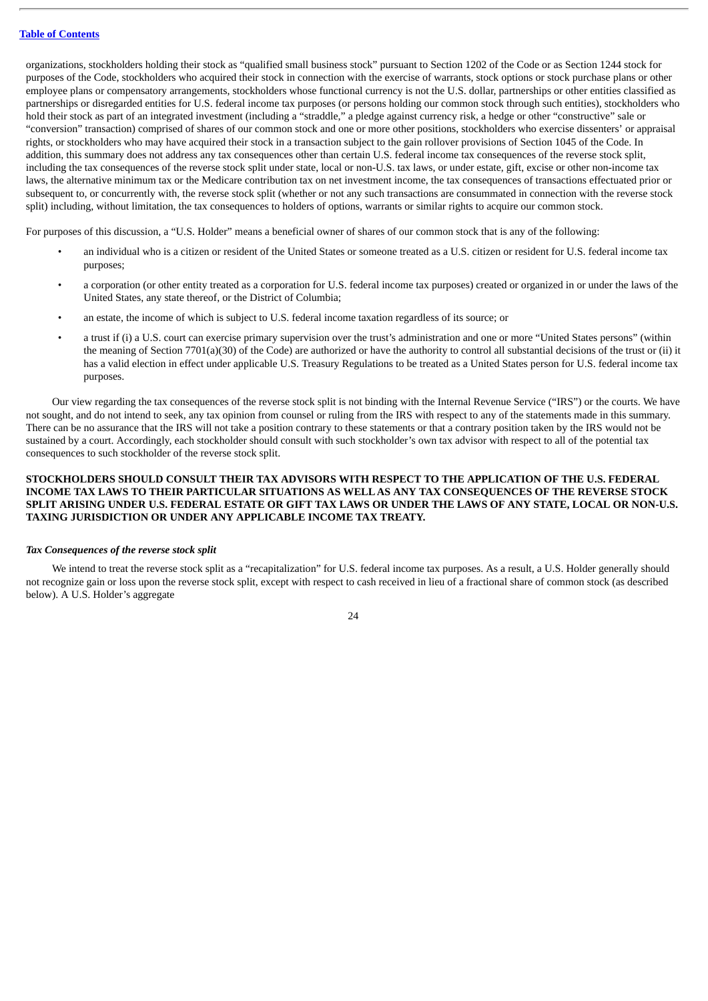organizations, stockholders holding their stock as "qualified small business stock" pursuant to Section 1202 of the Code or as Section 1244 stock for purposes of the Code, stockholders who acquired their stock in connection with the exercise of warrants, stock options or stock purchase plans or other employee plans or compensatory arrangements, stockholders whose functional currency is not the U.S. dollar, partnerships or other entities classified as partnerships or disregarded entities for U.S. federal income tax purposes (or persons holding our common stock through such entities), stockholders who hold their stock as part of an integrated investment (including a "straddle," a pledge against currency risk, a hedge or other "constructive" sale or "conversion" transaction) comprised of shares of our common stock and one or more other positions, stockholders who exercise dissenters' or appraisal rights, or stockholders who may have acquired their stock in a transaction subject to the gain rollover provisions of Section 1045 of the Code. In addition, this summary does not address any tax consequences other than certain U.S. federal income tax consequences of the reverse stock split, including the tax consequences of the reverse stock split under state, local or non-U.S. tax laws, or under estate, gift, excise or other non-income tax laws, the alternative minimum tax or the Medicare contribution tax on net investment income, the tax consequences of transactions effectuated prior or subsequent to, or concurrently with, the reverse stock split (whether or not any such transactions are consummated in connection with the reverse stock split) including, without limitation, the tax consequences to holders of options, warrants or similar rights to acquire our common stock.

For purposes of this discussion, a "U.S. Holder" means a beneficial owner of shares of our common stock that is any of the following:

- an individual who is a citizen or resident of the United States or someone treated as a U.S. citizen or resident for U.S. federal income tax purposes;
- a corporation (or other entity treated as a corporation for U.S. federal income tax purposes) created or organized in or under the laws of the United States, any state thereof, or the District of Columbia;
- an estate, the income of which is subject to U.S. federal income taxation regardless of its source; or
- a trust if (i) a U.S. court can exercise primary supervision over the trust's administration and one or more "United States persons" (within the meaning of Section 7701(a)(30) of the Code) are authorized or have the authority to control all substantial decisions of the trust or (ii) it has a valid election in effect under applicable U.S. Treasury Regulations to be treated as a United States person for U.S. federal income tax purposes.

Our view regarding the tax consequences of the reverse stock split is not binding with the Internal Revenue Service ("IRS") or the courts. We have not sought, and do not intend to seek, any tax opinion from counsel or ruling from the IRS with respect to any of the statements made in this summary. There can be no assurance that the IRS will not take a position contrary to these statements or that a contrary position taken by the IRS would not be sustained by a court. Accordingly, each stockholder should consult with such stockholder's own tax advisor with respect to all of the potential tax consequences to such stockholder of the reverse stock split.

#### **STOCKHOLDERS SHOULD CONSULT THEIR TAX ADVISORS WITH RESPECT TO THE APPLICATION OF THE U.S. FEDERAL INCOME TAX LAWS TO THEIR PARTICULAR SITUATIONS AS WELLAS ANY TAX CONSEQUENCES OF THE REVERSE STOCK** SPLIT ARISING UNDER U.S. FEDERAL ESTATE OR GIFT TAX LAWS OR UNDER THE LAWS OF ANY STATE, LOCAL OR NON-U.S. **TAXING JURISDICTION OR UNDER ANY APPLICABLE INCOME TAX TREATY.**

#### *Tax Consequences of the reverse stock split*

We intend to treat the reverse stock split as a "recapitalization" for U.S. federal income tax purposes. As a result, a U.S. Holder generally should not recognize gain or loss upon the reverse stock split, except with respect to cash received in lieu of a fractional share of common stock (as described below). A U.S. Holder's aggregate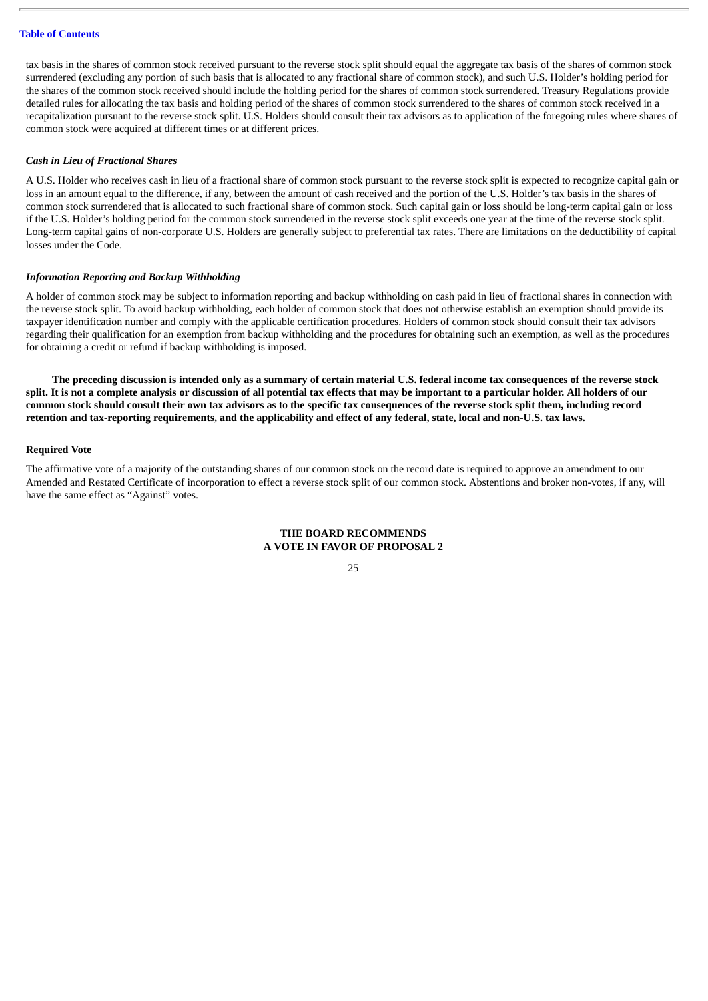tax basis in the shares of common stock received pursuant to the reverse stock split should equal the aggregate tax basis of the shares of common stock surrendered (excluding any portion of such basis that is allocated to any fractional share of common stock), and such U.S. Holder's holding period for the shares of the common stock received should include the holding period for the shares of common stock surrendered. Treasury Regulations provide detailed rules for allocating the tax basis and holding period of the shares of common stock surrendered to the shares of common stock received in a recapitalization pursuant to the reverse stock split. U.S. Holders should consult their tax advisors as to application of the foregoing rules where shares of common stock were acquired at different times or at different prices.

#### *Cash in Lieu of Fractional Shares*

A U.S. Holder who receives cash in lieu of a fractional share of common stock pursuant to the reverse stock split is expected to recognize capital gain or loss in an amount equal to the difference, if any, between the amount of cash received and the portion of the U.S. Holder's tax basis in the shares of common stock surrendered that is allocated to such fractional share of common stock. Such capital gain or loss should be long-term capital gain or loss if the U.S. Holder's holding period for the common stock surrendered in the reverse stock split exceeds one year at the time of the reverse stock split. Long-term capital gains of non-corporate U.S. Holders are generally subject to preferential tax rates. There are limitations on the deductibility of capital losses under the Code.

#### *Information Reporting and Backup Withholding*

A holder of common stock may be subject to information reporting and backup withholding on cash paid in lieu of fractional shares in connection with the reverse stock split. To avoid backup withholding, each holder of common stock that does not otherwise establish an exemption should provide its taxpayer identification number and comply with the applicable certification procedures. Holders of common stock should consult their tax advisors regarding their qualification for an exemption from backup withholding and the procedures for obtaining such an exemption, as well as the procedures for obtaining a credit or refund if backup withholding is imposed.

The preceding discussion is intended only as a summary of certain material U.S. federal income tax consequences of the reverse stock split. It is not a complete analysis or discussion of all potential tax effects that may be important to a particular holder. All holders of our common stock should consult their own tax advisors as to the specific tax consequences of the reverse stock split them, including record retention and tax-reporting requirements, and the applicability and effect of any federal, state, local and non-U.S. tax laws.

#### **Required Vote**

The affirmative vote of a majority of the outstanding shares of our common stock on the record date is required to approve an amendment to our Amended and Restated Certificate of incorporation to effect a reverse stock split of our common stock. Abstentions and broker non-votes, if any, will have the same effect as "Against" votes.

#### **THE BOARD RECOMMENDS A VOTE IN FAVOR OF PROPOSAL 2**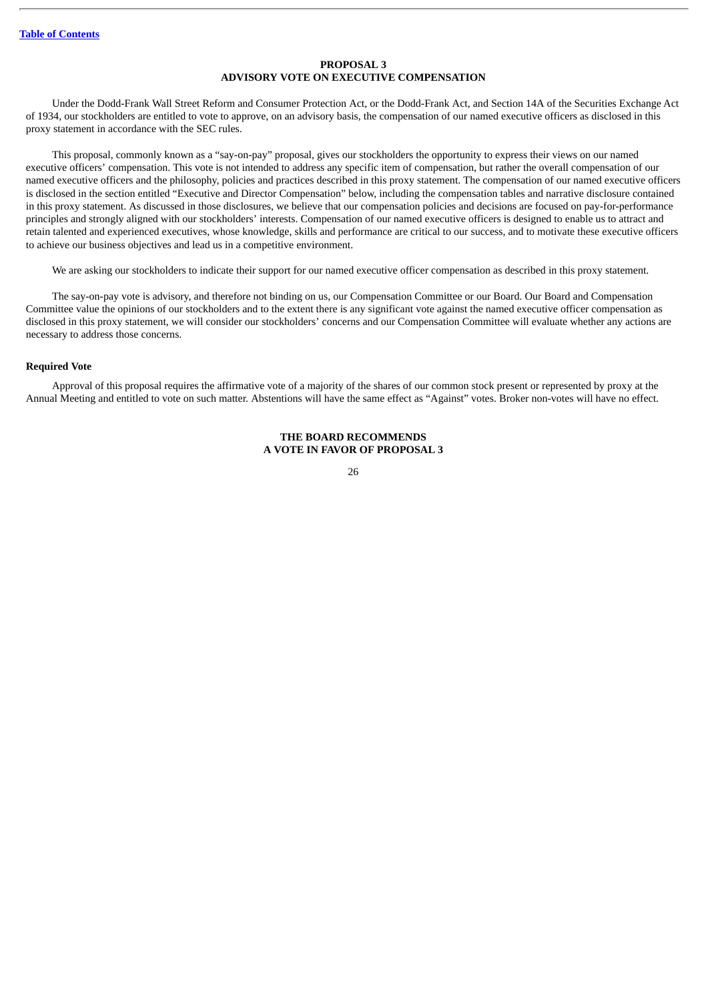#### **PROPOSAL 3 ADVISORY VOTE ON EXECUTIVE COMPENSATION**

<span id="page-28-0"></span>Under the Dodd-Frank Wall Street Reform and Consumer Protection Act, or the Dodd-Frank Act, and Section 14A of the Securities Exchange Act of 1934, our stockholders are entitled to vote to approve, on an advisory basis, the compensation of our named executive officers as disclosed in this proxy statement in accordance with the SEC rules.

This proposal, commonly known as a "say-on-pay" proposal, gives our stockholders the opportunity to express their views on our named executive officers' compensation. This vote is not intended to address any specific item of compensation, but rather the overall compensation of our named executive officers and the philosophy, policies and practices described in this proxy statement. The compensation of our named executive officers is disclosed in the section entitled "Executive and Director Compensation" below, including the compensation tables and narrative disclosure contained in this proxy statement. As discussed in those disclosures, we believe that our compensation policies and decisions are focused on pay-for-performance principles and strongly aligned with our stockholders' interests. Compensation of our named executive officers is designed to enable us to attract and retain talented and experienced executives, whose knowledge, skills and performance are critical to our success, and to motivate these executive officers to achieve our business objectives and lead us in a competitive environment.

We are asking our stockholders to indicate their support for our named executive officer compensation as described in this proxy statement.

The say-on-pay vote is advisory, and therefore not binding on us, our Compensation Committee or our Board. Our Board and Compensation Committee value the opinions of our stockholders and to the extent there is any significant vote against the named executive officer compensation as disclosed in this proxy statement, we will consider our stockholders' concerns and our Compensation Committee will evaluate whether any actions are necessary to address those concerns.

#### **Required Vote**

Approval of this proposal requires the affirmative vote of a majority of the shares of our common stock present or represented by proxy at the Annual Meeting and entitled to vote on such matter. Abstentions will have the same effect as "Against" votes. Broker non-votes will have no effect.

#### **THE BOARD RECOMMENDS A VOTE IN FAVOR OF PROPOSAL 3**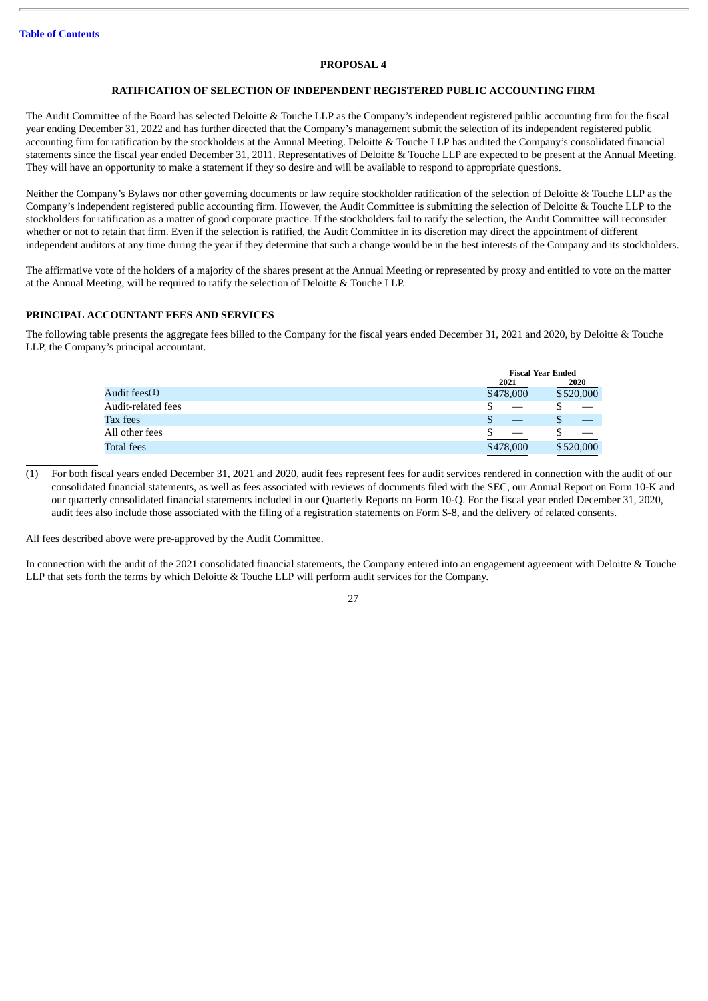#### **PROPOSAL 4**

#### **RATIFICATION OF SELECTION OF INDEPENDENT REGISTERED PUBLIC ACCOUNTING FIRM**

<span id="page-29-0"></span>The Audit Committee of the Board has selected Deloitte & Touche LLP as the Company's independent registered public accounting firm for the fiscal year ending December 31, 2022 and has further directed that the Company's management submit the selection of its independent registered public accounting firm for ratification by the stockholders at the Annual Meeting. Deloitte & Touche LLP has audited the Company's consolidated financial statements since the fiscal year ended December 31, 2011. Representatives of Deloitte & Touche LLP are expected to be present at the Annual Meeting. They will have an opportunity to make a statement if they so desire and will be available to respond to appropriate questions.

Neither the Company's Bylaws nor other governing documents or law require stockholder ratification of the selection of Deloitte & Touche LLP as the Company's independent registered public accounting firm. However, the Audit Committee is submitting the selection of Deloitte & Touche LLP to the stockholders for ratification as a matter of good corporate practice. If the stockholders fail to ratify the selection, the Audit Committee will reconsider whether or not to retain that firm. Even if the selection is ratified, the Audit Committee in its discretion may direct the appointment of different independent auditors at any time during the year if they determine that such a change would be in the best interests of the Company and its stockholders.

The affirmative vote of the holders of a majority of the shares present at the Annual Meeting or represented by proxy and entitled to vote on the matter at the Annual Meeting, will be required to ratify the selection of Deloitte & Touche LLP.

#### **PRINCIPAL ACCOUNTANT FEES AND SERVICES**

The following table presents the aggregate fees billed to the Company for the fiscal years ended December 31, 2021 and 2020, by Deloitte & Touche LLP, the Company's principal accountant.

|                    | <b>Fiscal Year Ended</b> |           |
|--------------------|--------------------------|-----------|
|                    | 2021                     | 2020      |
| Audit fees(1)      | \$478,000                | \$520,000 |
| Audit-related fees |                          |           |
| Tax fees           | J                        |           |
| All other fees     |                          |           |
| <b>Total fees</b>  | \$478,000                | \$520,000 |

(1) For both fiscal years ended December 31, 2021 and 2020, audit fees represent fees for audit services rendered in connection with the audit of our consolidated financial statements, as well as fees associated with reviews of documents filed with the SEC, our Annual Report on Form 10-K and our quarterly consolidated financial statements included in our Quarterly Reports on Form 10-Q. For the fiscal year ended December 31, 2020, audit fees also include those associated with the filing of a registration statements on Form S-8, and the delivery of related consents.

All fees described above were pre-approved by the Audit Committee.

In connection with the audit of the 2021 consolidated financial statements, the Company entered into an engagement agreement with Deloitte & Touche LLP that sets forth the terms by which Deloitte & Touche LLP will perform audit services for the Company.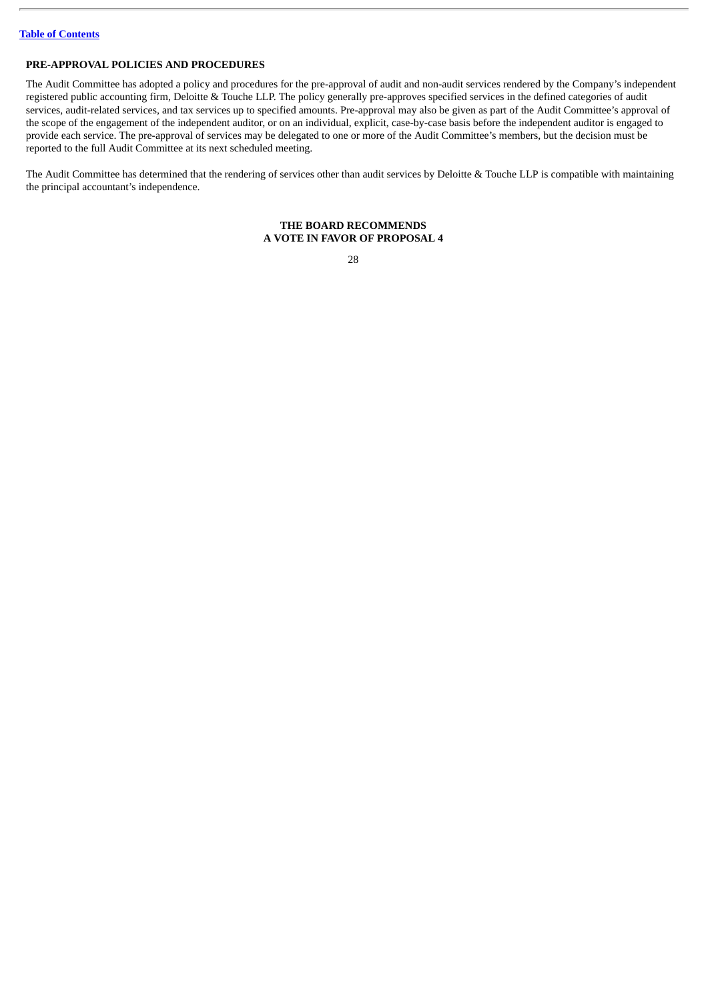#### **PRE-APPROVAL POLICIES AND PROCEDURES**

The Audit Committee has adopted a policy and procedures for the pre-approval of audit and non-audit services rendered by the Company's independent registered public accounting firm, Deloitte & Touche LLP. The policy generally pre-approves specified services in the defined categories of audit services, audit-related services, and tax services up to specified amounts. Pre-approval may also be given as part of the Audit Committee's approval of the scope of the engagement of the independent auditor, or on an individual, explicit, case-by-case basis before the independent auditor is engaged to provide each service. The pre-approval of services may be delegated to one or more of the Audit Committee's members, but the decision must be reported to the full Audit Committee at its next scheduled meeting.

The Audit Committee has determined that the rendering of services other than audit services by Deloitte & Touche LLP is compatible with maintaining the principal accountant's independence.

#### **THE BOARD RECOMMENDS A VOTE IN FAVOR OF PROPOSAL 4**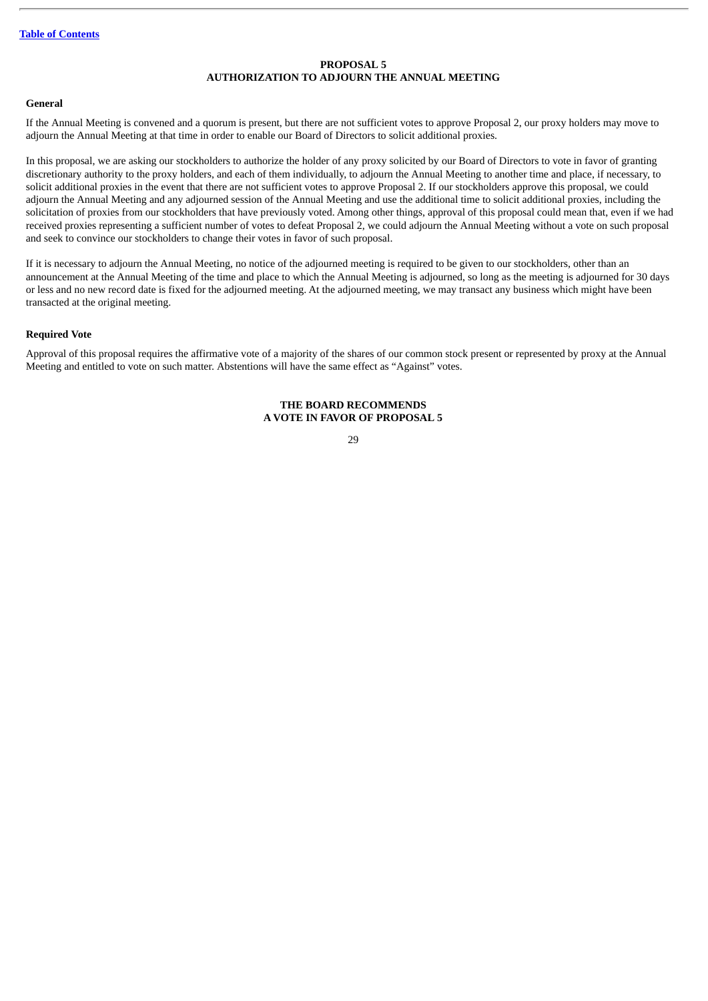#### **PROPOSAL 5 AUTHORIZATION TO ADJOURN THE ANNUAL MEETING**

#### <span id="page-31-0"></span>**General**

If the Annual Meeting is convened and a quorum is present, but there are not sufficient votes to approve Proposal 2, our proxy holders may move to adjourn the Annual Meeting at that time in order to enable our Board of Directors to solicit additional proxies.

In this proposal, we are asking our stockholders to authorize the holder of any proxy solicited by our Board of Directors to vote in favor of granting discretionary authority to the proxy holders, and each of them individually, to adjourn the Annual Meeting to another time and place, if necessary, to solicit additional proxies in the event that there are not sufficient votes to approve Proposal 2. If our stockholders approve this proposal, we could adjourn the Annual Meeting and any adjourned session of the Annual Meeting and use the additional time to solicit additional proxies, including the solicitation of proxies from our stockholders that have previously voted. Among other things, approval of this proposal could mean that, even if we had received proxies representing a sufficient number of votes to defeat Proposal 2, we could adjourn the Annual Meeting without a vote on such proposal and seek to convince our stockholders to change their votes in favor of such proposal.

If it is necessary to adjourn the Annual Meeting, no notice of the adjourned meeting is required to be given to our stockholders, other than an announcement at the Annual Meeting of the time and place to which the Annual Meeting is adjourned, so long as the meeting is adjourned for 30 days or less and no new record date is fixed for the adjourned meeting. At the adjourned meeting, we may transact any business which might have been transacted at the original meeting.

#### **Required Vote**

Approval of this proposal requires the affirmative vote of a majority of the shares of our common stock present or represented by proxy at the Annual Meeting and entitled to vote on such matter. Abstentions will have the same effect as "Against" votes.

#### **THE BOARD RECOMMENDS A VOTE IN FAVOR OF PROPOSAL 5**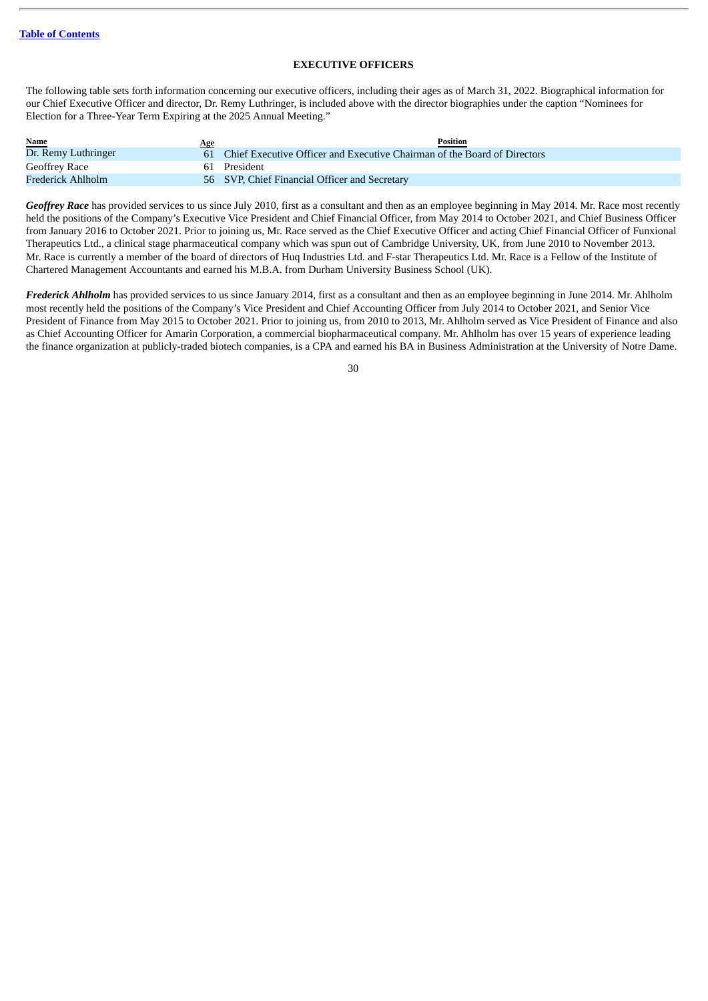#### **EXECUTIVE OFFICERS**

<span id="page-32-0"></span>The following table sets forth information concerning our executive officers, including their ages as of March 31, 2022. Biographical information for our Chief Executive Officer and director, Dr. Remy Luthringer, is included above with the director biographies under the caption "Nominees for Election for a Three-Year Term Expiring at the 2025 Annual Meeting."

| <b>Name</b>         | Age | <b>Position</b>                                                             |
|---------------------|-----|-----------------------------------------------------------------------------|
| Dr. Remy Luthringer |     | 61 Chief Executive Officer and Executive Chairman of the Board of Directors |
| Geoffrey Race       |     | 61 President                                                                |
| Frederick Ahlholm   |     | 56 SVP, Chief Financial Officer and Secretary                               |

*Geoffrey Race* has provided services to us since July 2010, first as a consultant and then as an employee beginning in May 2014. Mr. Race most recently held the positions of the Company's Executive Vice President and Chief Financial Officer, from May 2014 to October 2021, and Chief Business Officer from January 2016 to October 2021. Prior to joining us, Mr. Race served as the Chief Executive Officer and acting Chief Financial Officer of Funxional Therapeutics Ltd., a clinical stage pharmaceutical company which was spun out of Cambridge University, UK, from June 2010 to November 2013. Mr. Race is currently a member of the board of directors of Huq Industries Ltd. and F-star Therapeutics Ltd. Mr. Race is a Fellow of the Institute of Chartered Management Accountants and earned his M.B.A. from Durham University Business School (UK).

*Frederick Ahlholm* has provided services to us since January 2014, first as a consultant and then as an employee beginning in June 2014. Mr. Ahlholm most recently held the positions of the Company's Vice President and Chief Accounting Officer from July 2014 to October 2021, and Senior Vice President of Finance from May 2015 to October 2021. Prior to joining us, from 2010 to 2013, Mr. Ahlholm served as Vice President of Finance and also as Chief Accounting Officer for Amarin Corporation, a commercial biopharmaceutical company. Mr. Ahlholm has over 15 years of experience leading the finance organization at publicly-traded biotech companies, is a CPA and earned his BA in Business Administration at the University of Notre Dame.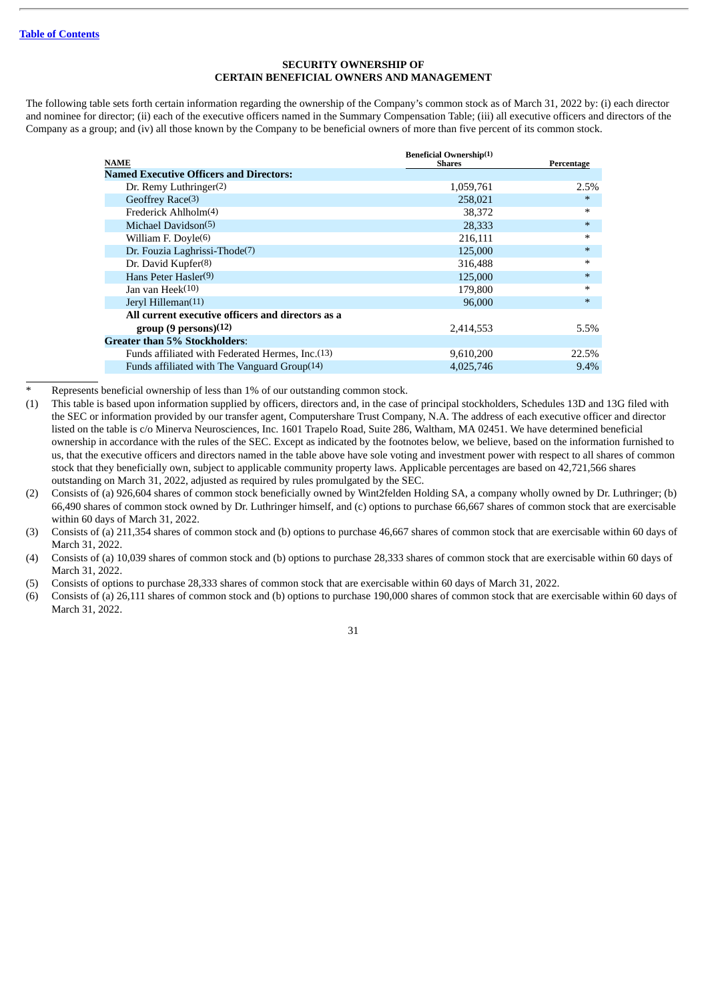#### **SECURITY OWNERSHIP OF CERTAIN BENEFICIAL OWNERS AND MANAGEMENT**

<span id="page-33-0"></span>The following table sets forth certain information regarding the ownership of the Company's common stock as of March 31, 2022 by: (i) each director and nominee for director; (ii) each of the executive officers named in the Summary Compensation Table; (iii) all executive officers and directors of the Company as a group; and (iv) all those known by the Company to be beneficial owners of more than five percent of its common stock.

| <b>NAME</b>                                       | <b>Beneficial Ownership(1)</b><br><b>Shares</b> | Percentage |
|---------------------------------------------------|-------------------------------------------------|------------|
| <b>Named Executive Officers and Directors:</b>    |                                                 |            |
| Dr. Remy Luthringer(2)                            | 1,059,761                                       | 2.5%       |
| Geoffrey Race(3)                                  | 258,021                                         | $\ast$     |
| Frederick Ahlholm(4)                              | 38,372                                          | $\ast$     |
| Michael Davidson(5)                               | 28,333                                          | $\ast$     |
| William F. Doyle $(6)$                            | 216,111                                         | $\ast$     |
| Dr. Fouzia Laghrissi-Thode(7)                     | 125,000                                         | $\ast$     |
| Dr. David Kupfer(8)                               | 316,488                                         | $\ast$     |
| Hans Peter Hasler(9)                              | 125,000                                         | $\ast$     |
| Jan van $Heek(10)$                                | 179.800                                         | $\ast$     |
| Jeryl Hilleman <sup>(11)</sup>                    | 96,000                                          | $\ast$     |
| All current executive officers and directors as a |                                                 |            |
| group(9 persons)(12)                              | 2,414,553                                       | 5.5%       |
| <b>Greater than 5% Stockholders:</b>              |                                                 |            |
| Funds affiliated with Federated Hermes, Inc. (13) | 9,610,200                                       | 22.5%      |
| Funds affiliated with The Vanguard $Group(14)$    | 4,025,746                                       | $9.4\%$    |
|                                                   |                                                 |            |

Represents beneficial ownership of less than 1% of our outstanding common stock.

- (1) This table is based upon information supplied by officers, directors and, in the case of principal stockholders, Schedules 13D and 13G filed with the SEC or information provided by our transfer agent, Computershare Trust Company, N.A. The address of each executive officer and director listed on the table is c/o Minerva Neurosciences, Inc. 1601 Trapelo Road, Suite 286, Waltham, MA 02451. We have determined beneficial ownership in accordance with the rules of the SEC. Except as indicated by the footnotes below, we believe, based on the information furnished to us, that the executive officers and directors named in the table above have sole voting and investment power with respect to all shares of common stock that they beneficially own, subject to applicable community property laws. Applicable percentages are based on 42,721,566 shares outstanding on March 31, 2022, adjusted as required by rules promulgated by the SEC.
- (2) Consists of (a) 926,604 shares of common stock beneficially owned by Wint2felden Holding SA, a company wholly owned by Dr. Luthringer; (b) 66,490 shares of common stock owned by Dr. Luthringer himself, and (c) options to purchase 66,667 shares of common stock that are exercisable within 60 days of March 31, 2022.
- (3) Consists of (a) 211,354 shares of common stock and (b) options to purchase 46,667 shares of common stock that are exercisable within 60 days of March 31, 2022.
- (4) Consists of (a) 10,039 shares of common stock and (b) options to purchase 28,333 shares of common stock that are exercisable within 60 days of March 31, 2022.
- (5) Consists of options to purchase 28,333 shares of common stock that are exercisable within 60 days of March 31, 2022.
- (6) Consists of (a) 26,111 shares of common stock and (b) options to purchase 190,000 shares of common stock that are exercisable within 60 days of March 31, 2022.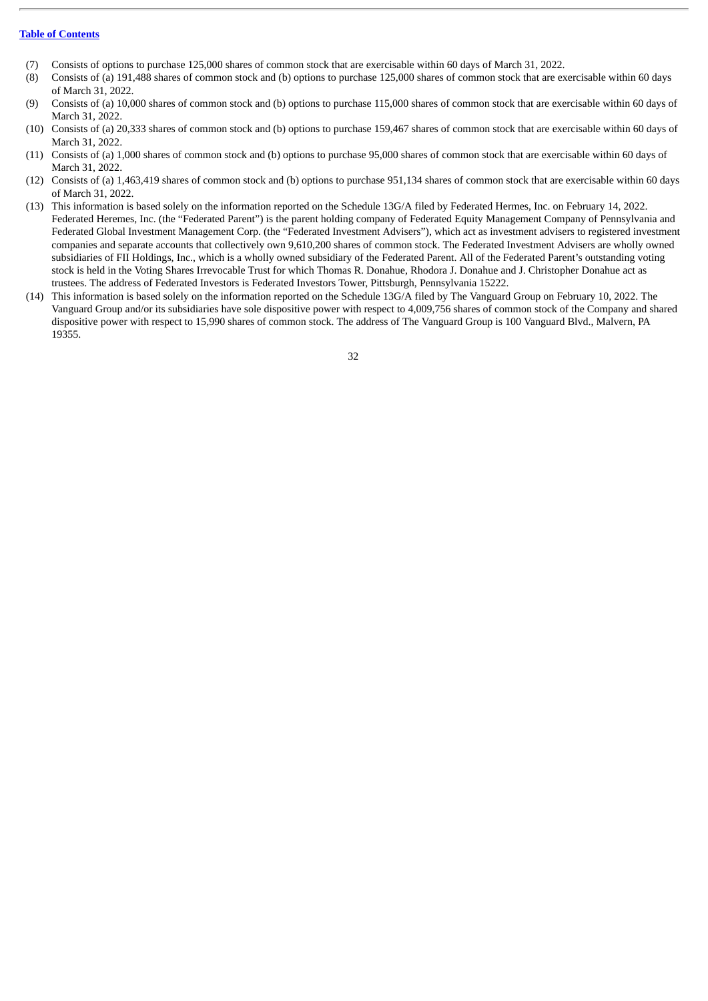- (7) Consists of options to purchase 125,000 shares of common stock that are exercisable within 60 days of March 31, 2022.
- (8) Consists of (a) 191,488 shares of common stock and (b) options to purchase 125,000 shares of common stock that are exercisable within 60 days of March 31, 2022.
- (9) Consists of (a) 10,000 shares of common stock and (b) options to purchase 115,000 shares of common stock that are exercisable within 60 days of March 31, 2022.
- (10) Consists of (a) 20,333 shares of common stock and (b) options to purchase 159,467 shares of common stock that are exercisable within 60 days of March 31, 2022.
- (11) Consists of (a) 1,000 shares of common stock and (b) options to purchase 95,000 shares of common stock that are exercisable within 60 days of March 31, 2022.
- (12) Consists of (a) 1,463,419 shares of common stock and (b) options to purchase 951,134 shares of common stock that are exercisable within 60 days of March 31, 2022.
- (13) This information is based solely on the information reported on the Schedule 13G/A filed by Federated Hermes, Inc. on February 14, 2022. Federated Heremes, Inc. (the "Federated Parent") is the parent holding company of Federated Equity Management Company of Pennsylvania and Federated Global Investment Management Corp. (the "Federated Investment Advisers"), which act as investment advisers to registered investment companies and separate accounts that collectively own 9,610,200 shares of common stock. The Federated Investment Advisers are wholly owned subsidiaries of FII Holdings, Inc., which is a wholly owned subsidiary of the Federated Parent. All of the Federated Parent's outstanding voting stock is held in the Voting Shares Irrevocable Trust for which Thomas R. Donahue, Rhodora J. Donahue and J. Christopher Donahue act as trustees. The address of Federated Investors is Federated Investors Tower, Pittsburgh, Pennsylvania 15222.
- (14) This information is based solely on the information reported on the Schedule 13G/A filed by The Vanguard Group on February 10, 2022. The Vanguard Group and/or its subsidiaries have sole dispositive power with respect to 4,009,756 shares of common stock of the Company and shared dispositive power with respect to 15,990 shares of common stock. The address of The Vanguard Group is 100 Vanguard Blvd., Malvern, PA 19355.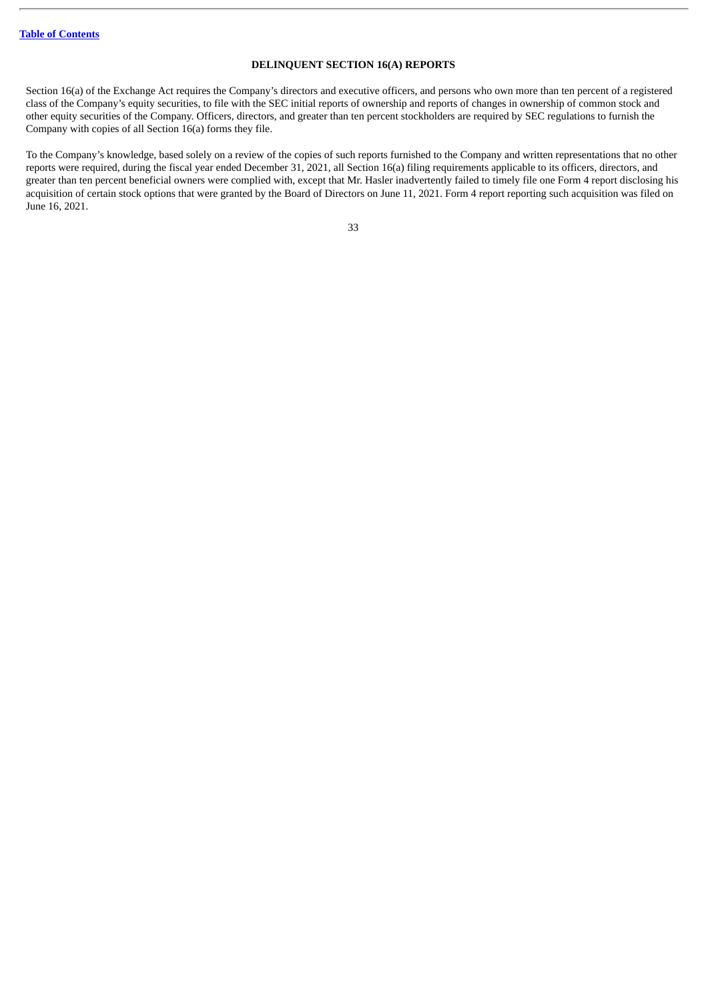#### **DELINQUENT SECTION 16(A) REPORTS**

Section 16(a) of the Exchange Act requires the Company's directors and executive officers, and persons who own more than ten percent of a registered class of the Company's equity securities, to file with the SEC initial reports of ownership and reports of changes in ownership of common stock and other equity securities of the Company. Officers, directors, and greater than ten percent stockholders are required by SEC regulations to furnish the Company with copies of all Section 16(a) forms they file.

To the Company's knowledge, based solely on a review of the copies of such reports furnished to the Company and written representations that no other reports were required, during the fiscal year ended December 31, 2021, all Section 16(a) filing requirements applicable to its officers, directors, and greater than ten percent beneficial owners were complied with, except that Mr. Hasler inadvertently failed to timely file one Form 4 report disclosing his acquisition of certain stock options that were granted by the Board of Directors on June 11, 2021. Form 4 report reporting such acquisition was filed on June 16, 2021.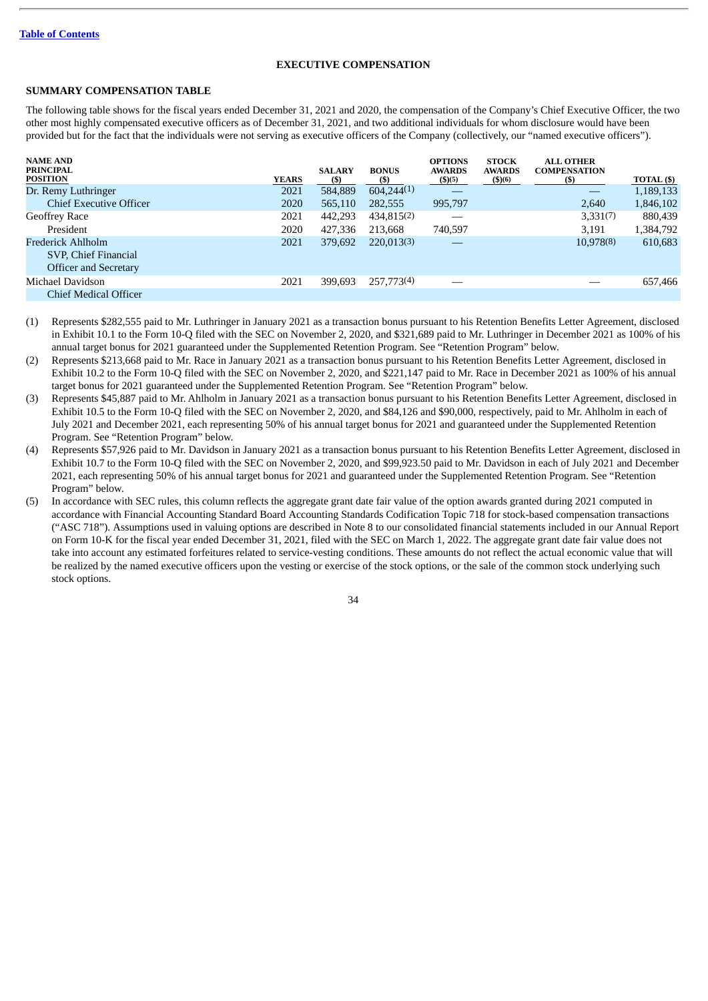#### **EXECUTIVE COMPENSATION**

#### <span id="page-36-1"></span><span id="page-36-0"></span>**SUMMARY COMPENSATION TABLE**

The following table shows for the fiscal years ended December 31, 2021 and 2020, the compensation of the Company's Chief Executive Officer, the two other most highly compensated executive officers as of December 31, 2021, and two additional individuals for whom disclosure would have been provided but for the fact that the individuals were not serving as executive officers of the Company (collectively, our "named executive officers").

| <b>NAME AND</b><br><b>PRINCIPAL</b><br><b>POSITION</b>                    | <b>YEARS</b> | <b>SALARY</b><br>(S) | <b>BONUS</b><br>(S) | <b>OPTIONS</b><br><b>AWARDS</b><br>(\$)(5) | <b>STOCK</b><br><b>AWARDS</b><br>\$)(6) | <b>ALL OTHER</b><br><b>COMPENSATION</b><br>(\$) | TOTAL (\$) |
|---------------------------------------------------------------------------|--------------|----------------------|---------------------|--------------------------------------------|-----------------------------------------|-------------------------------------------------|------------|
| Dr. Remy Luthringer                                                       | 2021         | 584,889              | 604,244(1)          | __                                         |                                         |                                                 | 1,189,133  |
| <b>Chief Executive Officer</b>                                            | 2020         | 565,110              | 282,555             | 995,797                                    |                                         | 2.640                                           | 1,846,102  |
| Geoffrey Race                                                             | 2021         | 442,293              | 434,815(2)          |                                            |                                         | 3,331(7)                                        | 880,439    |
| President                                                                 | 2020         | 427,336              | 213.668             | 740,597                                    |                                         | 3,191                                           | 1,384,792  |
| Frederick Ahlholm<br>SVP, Chief Financial<br><b>Officer and Secretary</b> | 2021         | 379,692              | 220.013(3)          |                                            |                                         | 10,978(8)                                       | 610,683    |
| Michael Davidson                                                          | 2021         | 399,693              | 257,773(4)          |                                            |                                         |                                                 | 657,466    |
| <b>Chief Medical Officer</b>                                              |              |                      |                     |                                            |                                         |                                                 |            |

(1) Represents \$282,555 paid to Mr. Luthringer in January 2021 as a transaction bonus pursuant to his Retention Benefits Letter Agreement, disclosed in Exhibit 10.1 to the Form 10-Q filed with the SEC on November 2, 2020, and \$321,689 paid to Mr. Luthringer in December 2021 as 100% of his annual target bonus for 2021 guaranteed under the Supplemented Retention Program. See "Retention Program" below.

(2) Represents \$213,668 paid to Mr. Race in January 2021 as a transaction bonus pursuant to his Retention Benefits Letter Agreement, disclosed in Exhibit 10.2 to the Form 10-Q filed with the SEC on November 2, 2020, and \$221,147 paid to Mr. Race in December 2021 as 100% of his annual target bonus for 2021 guaranteed under the Supplemented Retention Program. See "Retention Program" below.

(3) Represents \$45,887 paid to Mr. Ahlholm in January 2021 as a transaction bonus pursuant to his Retention Benefits Letter Agreement, disclosed in Exhibit 10.5 to the Form 10-Q filed with the SEC on November 2, 2020, and \$84,126 and \$90,000, respectively, paid to Mr. Ahlholm in each of July 2021 and December 2021, each representing 50% of his annual target bonus for 2021 and guaranteed under the Supplemented Retention Program. See "Retention Program" below.

(4) Represents \$57,926 paid to Mr. Davidson in January 2021 as a transaction bonus pursuant to his Retention Benefits Letter Agreement, disclosed in Exhibit 10.7 to the Form 10-Q filed with the SEC on November 2, 2020, and \$99,923.50 paid to Mr. Davidson in each of July 2021 and December 2021, each representing 50% of his annual target bonus for 2021 and guaranteed under the Supplemented Retention Program. See "Retention Program" below.

(5) In accordance with SEC rules, this column reflects the aggregate grant date fair value of the option awards granted during 2021 computed in accordance with Financial Accounting Standard Board Accounting Standards Codification Topic 718 for stock-based compensation transactions ("ASC 718"). Assumptions used in valuing options are described in Note 8 to our consolidated financial statements included in our Annual Report on Form 10-K for the fiscal year ended December 31, 2021, filed with the SEC on March 1, 2022. The aggregate grant date fair value does not take into account any estimated forfeitures related to service-vesting conditions. These amounts do not reflect the actual economic value that will be realized by the named executive officers upon the vesting or exercise of the stock options, or the sale of the common stock underlying such stock options.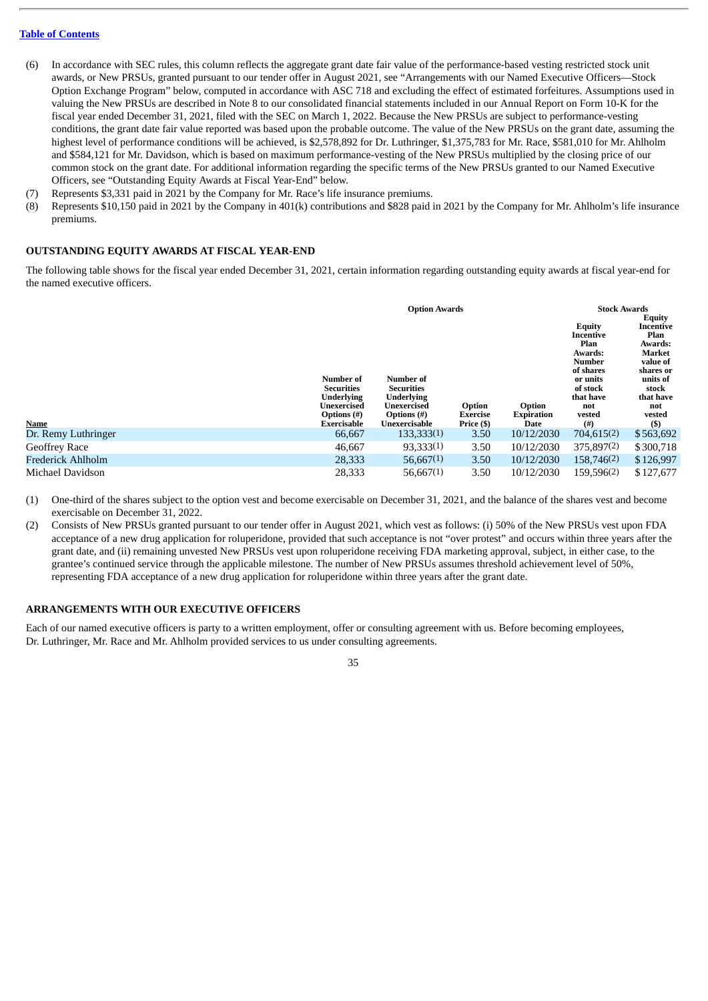- (6) In accordance with SEC rules, this column reflects the aggregate grant date fair value of the performance-based vesting restricted stock unit awards, or New PRSUs, granted pursuant to our tender offer in August 2021, see "Arrangements with our Named Executive Officers—Stock Option Exchange Program" below, computed in accordance with ASC 718 and excluding the effect of estimated forfeitures. Assumptions used in valuing the New PRSUs are described in Note 8 to our consolidated financial statements included in our Annual Report on Form 10-K for the fiscal year ended December 31, 2021, filed with the SEC on March 1, 2022. Because the New PRSUs are subject to performance-vesting conditions, the grant date fair value reported was based upon the probable outcome. The value of the New PRSUs on the grant date, assuming the highest level of performance conditions will be achieved, is \$2,578,892 for Dr. Luthringer, \$1,375,783 for Mr. Race, \$581,010 for Mr. Ahlholm and \$584,121 for Mr. Davidson, which is based on maximum performance-vesting of the New PRSUs multiplied by the closing price of our common stock on the grant date. For additional information regarding the specific terms of the New PRSUs granted to our Named Executive Officers, see "Outstanding Equity Awards at Fiscal Year-End" below.
- (7) Represents \$3,331 paid in 2021 by the Company for Mr. Race's life insurance premiums.
- (8) Represents \$10,150 paid in 2021 by the Company in 401(k) contributions and \$828 paid in 2021 by the Company for Mr. Ahlholm's life insurance premiums.

#### <span id="page-37-0"></span>**OUTSTANDING EQUITY AWARDS AT FISCAL YEAR-END**

The following table shows for the fiscal year ended December 31, 2021, certain information regarding outstanding equity awards at fiscal year-end for the named executive officers.

| <b>Name</b>         | Number of<br><b>Securities</b><br><b>Underlying</b><br>Unexercised<br>Options (#)<br><b>Exercisable</b> | <b>Option Awards</b><br>Number of<br><b>Securities</b><br><b>Underlying</b><br>Unexercised<br>Options (#)<br>Unexercisable | Option<br>Exercise<br>Price (\$) | Option<br><b>Expiration</b><br>Date | <b>Stock Awards</b><br><b>Equity</b><br>Incentive<br>Plan<br>Awards:<br>Number<br>of shares<br>or units<br>of stock<br>that have<br>not<br>vested<br>(#) | <b>Equity</b><br>Incentive<br>Plan<br>Awards:<br>Market<br>value of<br>shares or<br>units of<br>stock<br>that have<br>not<br>vested<br>$($)$ |
|---------------------|---------------------------------------------------------------------------------------------------------|----------------------------------------------------------------------------------------------------------------------------|----------------------------------|-------------------------------------|----------------------------------------------------------------------------------------------------------------------------------------------------------|----------------------------------------------------------------------------------------------------------------------------------------------|
| Dr. Remy Luthringer | 66,667                                                                                                  | 133,333(1)                                                                                                                 | 3.50                             | 10/12/2030                          | 704,615(2)                                                                                                                                               | \$563,692                                                                                                                                    |
|                     |                                                                                                         |                                                                                                                            |                                  |                                     |                                                                                                                                                          |                                                                                                                                              |
| Geoffrey Race       | 46,667                                                                                                  | 93,333(1)                                                                                                                  | 3.50                             | 10/12/2030                          | 375,897(2)                                                                                                                                               | \$300,718                                                                                                                                    |
| Frederick Ahlholm   | 28,333                                                                                                  | 56,667(1)                                                                                                                  | 3.50                             | 10/12/2030                          | 158,746(2)                                                                                                                                               | \$126,997                                                                                                                                    |
| Michael Davidson    | 28,333                                                                                                  | 56,667(1)                                                                                                                  | 3.50                             | 10/12/2030                          | 159,596(2)                                                                                                                                               | \$127,677                                                                                                                                    |

(1) One-third of the shares subject to the option vest and become exercisable on December 31, 2021, and the balance of the shares vest and become exercisable on December 31, 2022.

(2) Consists of New PRSUs granted pursuant to our tender offer in August 2021, which vest as follows: (i) 50% of the New PRSUs vest upon FDA acceptance of a new drug application for roluperidone, provided that such acceptance is not "over protest" and occurs within three years after the grant date, and (ii) remaining unvested New PRSUs vest upon roluperidone receiving FDA marketing approval, subject, in either case, to the grantee's continued service through the applicable milestone. The number of New PRSUs assumes threshold achievement level of 50%, representing FDA acceptance of a new drug application for roluperidone within three years after the grant date.

#### <span id="page-37-1"></span>**ARRANGEMENTS WITH OUR EXECUTIVE OFFICERS**

Each of our named executive officers is party to a written employment, offer or consulting agreement with us. Before becoming employees, Dr. Luthringer, Mr. Race and Mr. Ahlholm provided services to us under consulting agreements.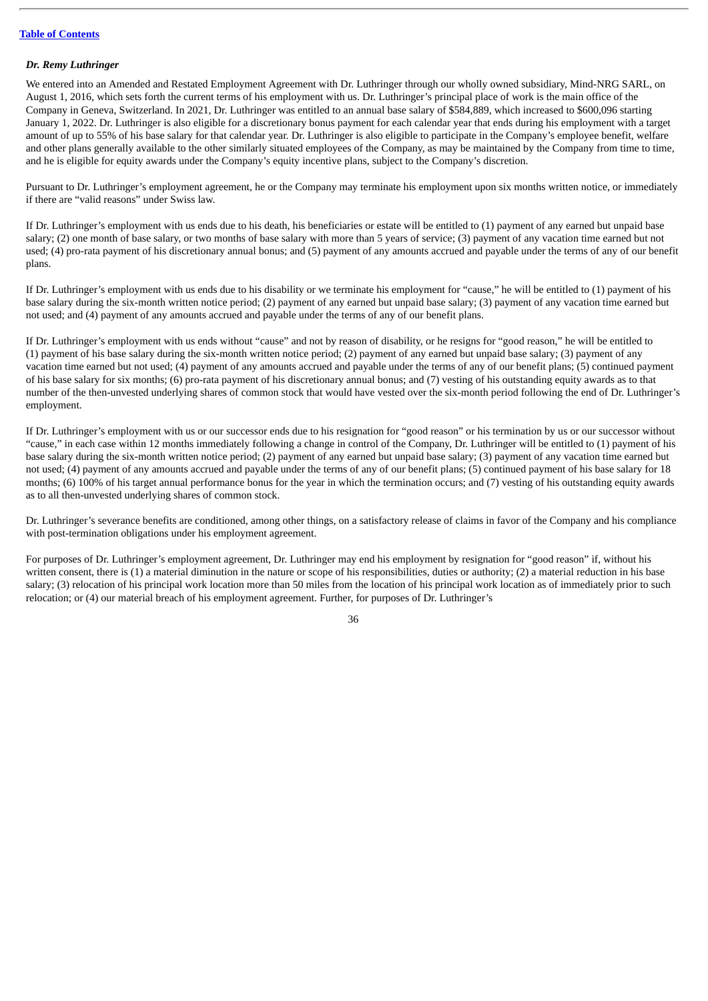#### *Dr. Remy Luthringer*

We entered into an Amended and Restated Employment Agreement with Dr. Luthringer through our wholly owned subsidiary, Mind-NRG SARL, on August 1, 2016, which sets forth the current terms of his employment with us. Dr. Luthringer's principal place of work is the main office of the Company in Geneva, Switzerland. In 2021, Dr. Luthringer was entitled to an annual base salary of \$584,889, which increased to \$600,096 starting January 1, 2022. Dr. Luthringer is also eligible for a discretionary bonus payment for each calendar year that ends during his employment with a target amount of up to 55% of his base salary for that calendar year. Dr. Luthringer is also eligible to participate in the Company's employee benefit, welfare and other plans generally available to the other similarly situated employees of the Company, as may be maintained by the Company from time to time, and he is eligible for equity awards under the Company's equity incentive plans, subject to the Company's discretion.

Pursuant to Dr. Luthringer's employment agreement, he or the Company may terminate his employment upon six months written notice, or immediately if there are "valid reasons" under Swiss law.

If Dr. Luthringer's employment with us ends due to his death, his beneficiaries or estate will be entitled to (1) payment of any earned but unpaid base salary; (2) one month of base salary, or two months of base salary with more than 5 years of service; (3) payment of any vacation time earned but not used; (4) pro-rata payment of his discretionary annual bonus; and (5) payment of any amounts accrued and payable under the terms of any of our benefit plans.

If Dr. Luthringer's employment with us ends due to his disability or we terminate his employment for "cause," he will be entitled to (1) payment of his base salary during the six-month written notice period; (2) payment of any earned but unpaid base salary; (3) payment of any vacation time earned but not used; and (4) payment of any amounts accrued and payable under the terms of any of our benefit plans.

If Dr. Luthringer's employment with us ends without "cause" and not by reason of disability, or he resigns for "good reason," he will be entitled to (1) payment of his base salary during the six-month written notice period; (2) payment of any earned but unpaid base salary; (3) payment of any vacation time earned but not used; (4) payment of any amounts accrued and payable under the terms of any of our benefit plans; (5) continued payment of his base salary for six months; (6) pro-rata payment of his discretionary annual bonus; and (7) vesting of his outstanding equity awards as to that number of the then-unvested underlying shares of common stock that would have vested over the six-month period following the end of Dr. Luthringer's employment.

If Dr. Luthringer's employment with us or our successor ends due to his resignation for "good reason" or his termination by us or our successor without "cause," in each case within 12 months immediately following a change in control of the Company, Dr. Luthringer will be entitled to (1) payment of his base salary during the six-month written notice period; (2) payment of any earned but unpaid base salary; (3) payment of any vacation time earned but not used; (4) payment of any amounts accrued and payable under the terms of any of our benefit plans; (5) continued payment of his base salary for 18 months; (6) 100% of his target annual performance bonus for the year in which the termination occurs; and (7) vesting of his outstanding equity awards as to all then-unvested underlying shares of common stock.

Dr. Luthringer's severance benefits are conditioned, among other things, on a satisfactory release of claims in favor of the Company and his compliance with post-termination obligations under his employment agreement.

For purposes of Dr. Luthringer's employment agreement, Dr. Luthringer may end his employment by resignation for "good reason" if, without his written consent, there is (1) a material diminution in the nature or scope of his responsibilities, duties or authority; (2) a material reduction in his base salary; (3) relocation of his principal work location more than 50 miles from the location of his principal work location as of immediately prior to such relocation; or (4) our material breach of his employment agreement. Further, for purposes of Dr. Luthringer's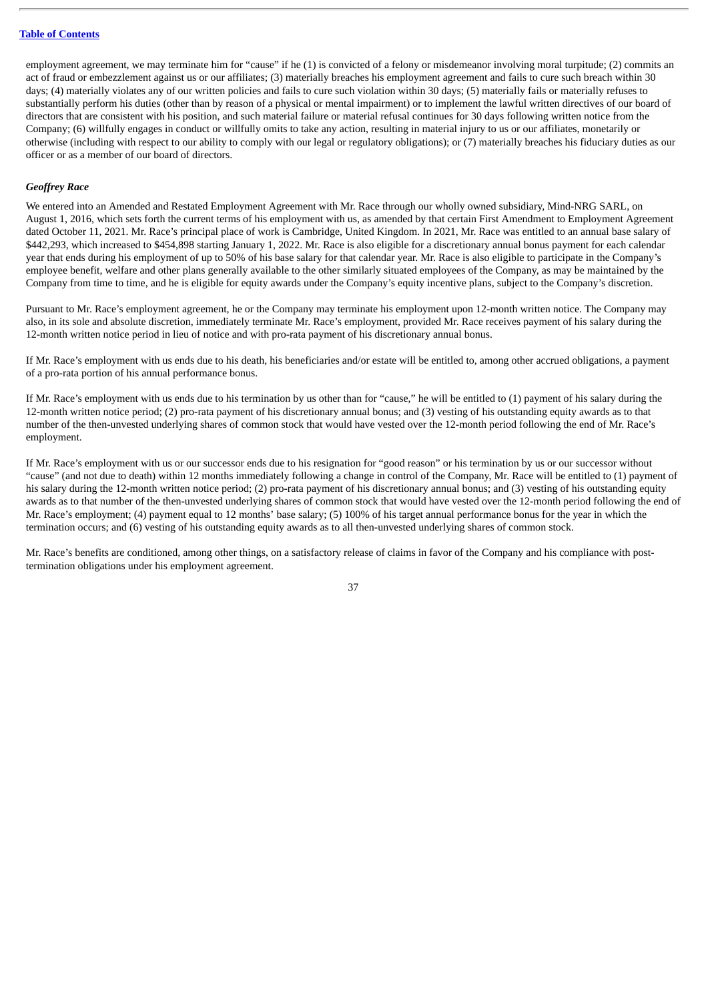employment agreement, we may terminate him for "cause" if he (1) is convicted of a felony or misdemeanor involving moral turpitude; (2) commits an act of fraud or embezzlement against us or our affiliates; (3) materially breaches his employment agreement and fails to cure such breach within 30 days; (4) materially violates any of our written policies and fails to cure such violation within 30 days; (5) materially fails or materially refuses to substantially perform his duties (other than by reason of a physical or mental impairment) or to implement the lawful written directives of our board of directors that are consistent with his position, and such material failure or material refusal continues for 30 days following written notice from the Company; (6) willfully engages in conduct or willfully omits to take any action, resulting in material injury to us or our affiliates, monetarily or otherwise (including with respect to our ability to comply with our legal or regulatory obligations); or (7) materially breaches his fiduciary duties as our officer or as a member of our board of directors.

#### *Geoffrey Race*

We entered into an Amended and Restated Employment Agreement with Mr. Race through our wholly owned subsidiary, Mind-NRG SARL, on August 1, 2016, which sets forth the current terms of his employment with us, as amended by that certain First Amendment to Employment Agreement dated October 11, 2021. Mr. Race's principal place of work is Cambridge, United Kingdom. In 2021, Mr. Race was entitled to an annual base salary of \$442,293, which increased to \$454,898 starting January 1, 2022. Mr. Race is also eligible for a discretionary annual bonus payment for each calendar year that ends during his employment of up to 50% of his base salary for that calendar year. Mr. Race is also eligible to participate in the Company's employee benefit, welfare and other plans generally available to the other similarly situated employees of the Company, as may be maintained by the Company from time to time, and he is eligible for equity awards under the Company's equity incentive plans, subject to the Company's discretion.

Pursuant to Mr. Race's employment agreement, he or the Company may terminate his employment upon 12-month written notice. The Company may also, in its sole and absolute discretion, immediately terminate Mr. Race's employment, provided Mr. Race receives payment of his salary during the 12-month written notice period in lieu of notice and with pro-rata payment of his discretionary annual bonus.

If Mr. Race's employment with us ends due to his death, his beneficiaries and/or estate will be entitled to, among other accrued obligations, a payment of a pro-rata portion of his annual performance bonus.

If Mr. Race's employment with us ends due to his termination by us other than for "cause," he will be entitled to (1) payment of his salary during the 12-month written notice period; (2) pro-rata payment of his discretionary annual bonus; and (3) vesting of his outstanding equity awards as to that number of the then-unvested underlying shares of common stock that would have vested over the 12-month period following the end of Mr. Race's employment.

If Mr. Race's employment with us or our successor ends due to his resignation for "good reason" or his termination by us or our successor without "cause" (and not due to death) within 12 months immediately following a change in control of the Company, Mr. Race will be entitled to (1) payment of his salary during the 12-month written notice period; (2) pro-rata payment of his discretionary annual bonus; and (3) vesting of his outstanding equity awards as to that number of the then-unvested underlying shares of common stock that would have vested over the 12-month period following the end of Mr. Race's employment; (4) payment equal to 12 months' base salary; (5) 100% of his target annual performance bonus for the year in which the termination occurs; and (6) vesting of his outstanding equity awards as to all then-unvested underlying shares of common stock.

Mr. Race's benefits are conditioned, among other things, on a satisfactory release of claims in favor of the Company and his compliance with posttermination obligations under his employment agreement.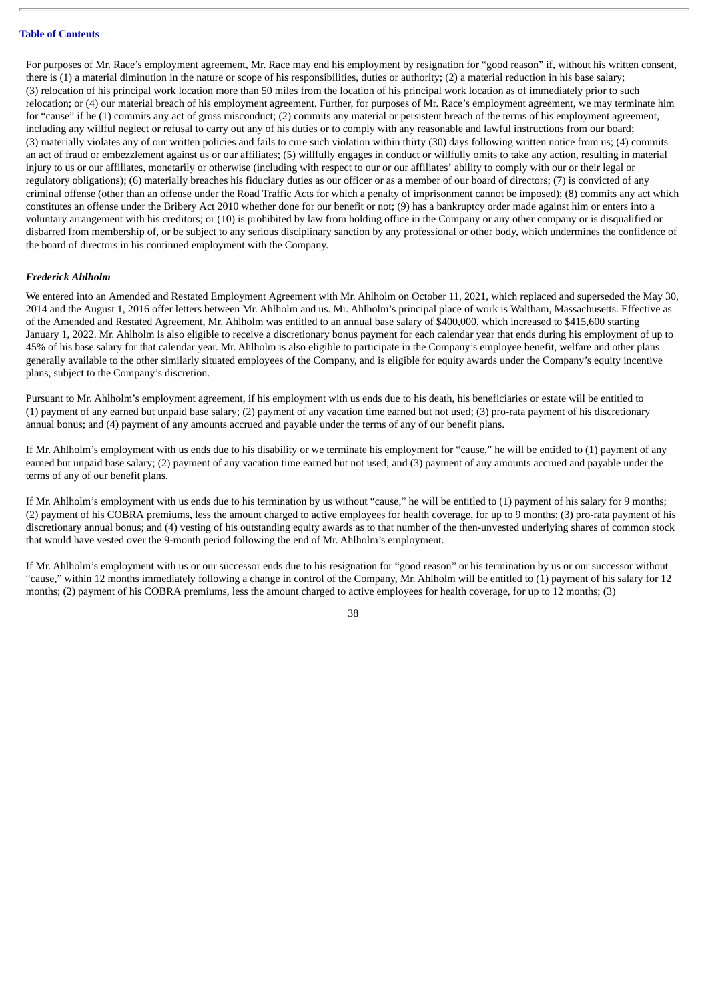For purposes of Mr. Race's employment agreement, Mr. Race may end his employment by resignation for "good reason" if, without his written consent, there is (1) a material diminution in the nature or scope of his responsibilities, duties or authority; (2) a material reduction in his base salary; (3) relocation of his principal work location more than 50 miles from the location of his principal work location as of immediately prior to such relocation; or (4) our material breach of his employment agreement. Further, for purposes of Mr. Race's employment agreement, we may terminate him for "cause" if he (1) commits any act of gross misconduct; (2) commits any material or persistent breach of the terms of his employment agreement, including any willful neglect or refusal to carry out any of his duties or to comply with any reasonable and lawful instructions from our board; (3) materially violates any of our written policies and fails to cure such violation within thirty (30) days following written notice from us; (4) commits an act of fraud or embezzlement against us or our affiliates; (5) willfully engages in conduct or willfully omits to take any action, resulting in material injury to us or our affiliates, monetarily or otherwise (including with respect to our or our affiliates' ability to comply with our or their legal or regulatory obligations); (6) materially breaches his fiduciary duties as our officer or as a member of our board of directors; (7) is convicted of any criminal offense (other than an offense under the Road Traffic Acts for which a penalty of imprisonment cannot be imposed); (8) commits any act which constitutes an offense under the Bribery Act 2010 whether done for our benefit or not; (9) has a bankruptcy order made against him or enters into a voluntary arrangement with his creditors; or (10) is prohibited by law from holding office in the Company or any other company or is disqualified or disbarred from membership of, or be subject to any serious disciplinary sanction by any professional or other body, which undermines the confidence of the board of directors in his continued employment with the Company.

#### *Frederick Ahlholm*

We entered into an Amended and Restated Employment Agreement with Mr. Ahlholm on October 11, 2021, which replaced and superseded the May 30, 2014 and the August 1, 2016 offer letters between Mr. Ahlholm and us. Mr. Ahlholm's principal place of work is Waltham, Massachusetts. Effective as of the Amended and Restated Agreement, Mr. Ahlholm was entitled to an annual base salary of \$400,000, which increased to \$415,600 starting January 1, 2022. Mr. Ahlholm is also eligible to receive a discretionary bonus payment for each calendar year that ends during his employment of up to 45% of his base salary for that calendar year. Mr. Ahlholm is also eligible to participate in the Company's employee benefit, welfare and other plans generally available to the other similarly situated employees of the Company, and is eligible for equity awards under the Company's equity incentive plans, subject to the Company's discretion.

Pursuant to Mr. Ahlholm's employment agreement, if his employment with us ends due to his death, his beneficiaries or estate will be entitled to (1) payment of any earned but unpaid base salary; (2) payment of any vacation time earned but not used; (3) pro-rata payment of his discretionary annual bonus; and (4) payment of any amounts accrued and payable under the terms of any of our benefit plans.

If Mr. Ahlholm's employment with us ends due to his disability or we terminate his employment for "cause," he will be entitled to (1) payment of any earned but unpaid base salary; (2) payment of any vacation time earned but not used; and (3) payment of any amounts accrued and payable under the terms of any of our benefit plans.

If Mr. Ahlholm's employment with us ends due to his termination by us without "cause," he will be entitled to (1) payment of his salary for 9 months; (2) payment of his COBRA premiums, less the amount charged to active employees for health coverage, for up to 9 months; (3) pro-rata payment of his discretionary annual bonus; and (4) vesting of his outstanding equity awards as to that number of the then-unvested underlying shares of common stock that would have vested over the 9-month period following the end of Mr. Ahlholm's employment.

If Mr. Ahlholm's employment with us or our successor ends due to his resignation for "good reason" or his termination by us or our successor without "cause," within 12 months immediately following a change in control of the Company, Mr. Ahlholm will be entitled to (1) payment of his salary for 12 months; (2) payment of his COBRA premiums, less the amount charged to active employees for health coverage, for up to 12 months; (3)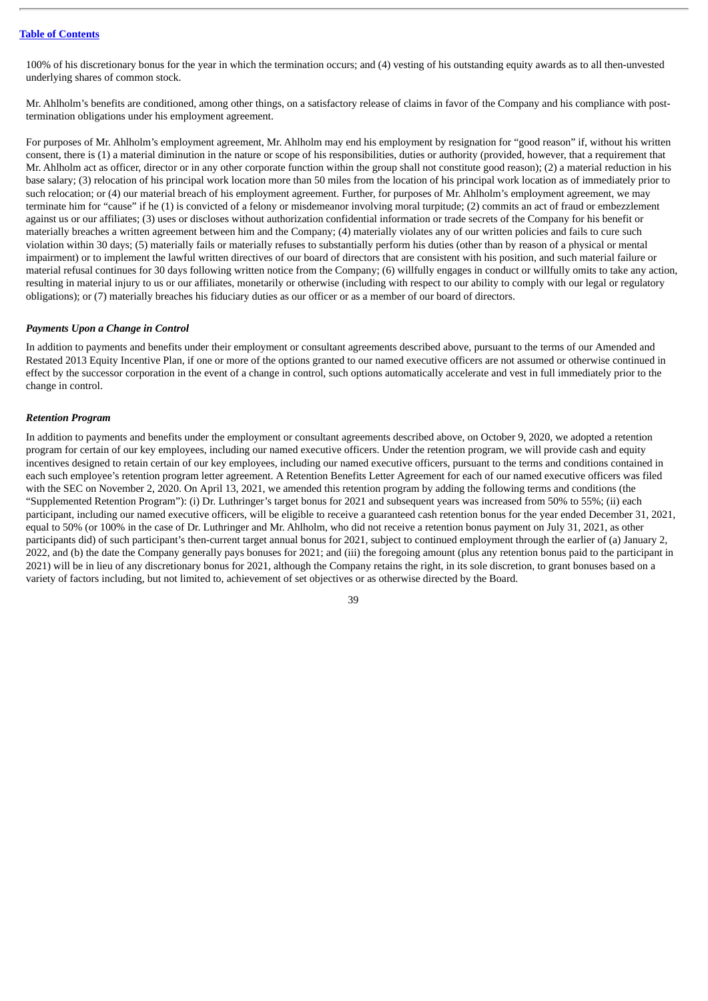100% of his discretionary bonus for the year in which the termination occurs; and (4) vesting of his outstanding equity awards as to all then-unvested underlying shares of common stock.

Mr. Ahlholm's benefits are conditioned, among other things, on a satisfactory release of claims in favor of the Company and his compliance with posttermination obligations under his employment agreement.

For purposes of Mr. Ahlholm's employment agreement, Mr. Ahlholm may end his employment by resignation for "good reason" if, without his written consent, there is (1) a material diminution in the nature or scope of his responsibilities, duties or authority (provided, however, that a requirement that Mr. Ahlholm act as officer, director or in any other corporate function within the group shall not constitute good reason); (2) a material reduction in his base salary; (3) relocation of his principal work location more than 50 miles from the location of his principal work location as of immediately prior to such relocation; or (4) our material breach of his employment agreement. Further, for purposes of Mr. Ahlholm's employment agreement, we may terminate him for "cause" if he (1) is convicted of a felony or misdemeanor involving moral turpitude; (2) commits an act of fraud or embezzlement against us or our affiliates; (3) uses or discloses without authorization confidential information or trade secrets of the Company for his benefit or materially breaches a written agreement between him and the Company; (4) materially violates any of our written policies and fails to cure such violation within 30 days; (5) materially fails or materially refuses to substantially perform his duties (other than by reason of a physical or mental impairment) or to implement the lawful written directives of our board of directors that are consistent with his position, and such material failure or material refusal continues for 30 days following written notice from the Company; (6) willfully engages in conduct or willfully omits to take any action, resulting in material injury to us or our affiliates, monetarily or otherwise (including with respect to our ability to comply with our legal or regulatory obligations); or (7) materially breaches his fiduciary duties as our officer or as a member of our board of directors.

#### *Payments Upon a Change in Control*

In addition to payments and benefits under their employment or consultant agreements described above, pursuant to the terms of our Amended and Restated 2013 Equity Incentive Plan, if one or more of the options granted to our named executive officers are not assumed or otherwise continued in effect by the successor corporation in the event of a change in control, such options automatically accelerate and vest in full immediately prior to the change in control.

#### *Retention Program*

In addition to payments and benefits under the employment or consultant agreements described above, on October 9, 2020, we adopted a retention program for certain of our key employees, including our named executive officers. Under the retention program, we will provide cash and equity incentives designed to retain certain of our key employees, including our named executive officers, pursuant to the terms and conditions contained in each such employee's retention program letter agreement. A Retention Benefits Letter Agreement for each of our named executive officers was filed with the SEC on November 2, 2020. On April 13, 2021, we amended this retention program by adding the following terms and conditions (the "Supplemented Retention Program"): (i) Dr. Luthringer's target bonus for 2021 and subsequent years was increased from 50% to 55%; (ii) each participant, including our named executive officers, will be eligible to receive a guaranteed cash retention bonus for the year ended December 31, 2021, equal to 50% (or 100% in the case of Dr. Luthringer and Mr. Ahlholm, who did not receive a retention bonus payment on July 31, 2021, as other participants did) of such participant's then-current target annual bonus for 2021, subject to continued employment through the earlier of (a) January 2, 2022, and (b) the date the Company generally pays bonuses for 2021; and (iii) the foregoing amount (plus any retention bonus paid to the participant in 2021) will be in lieu of any discretionary bonus for 2021, although the Company retains the right, in its sole discretion, to grant bonuses based on a variety of factors including, but not limited to, achievement of set objectives or as otherwise directed by the Board.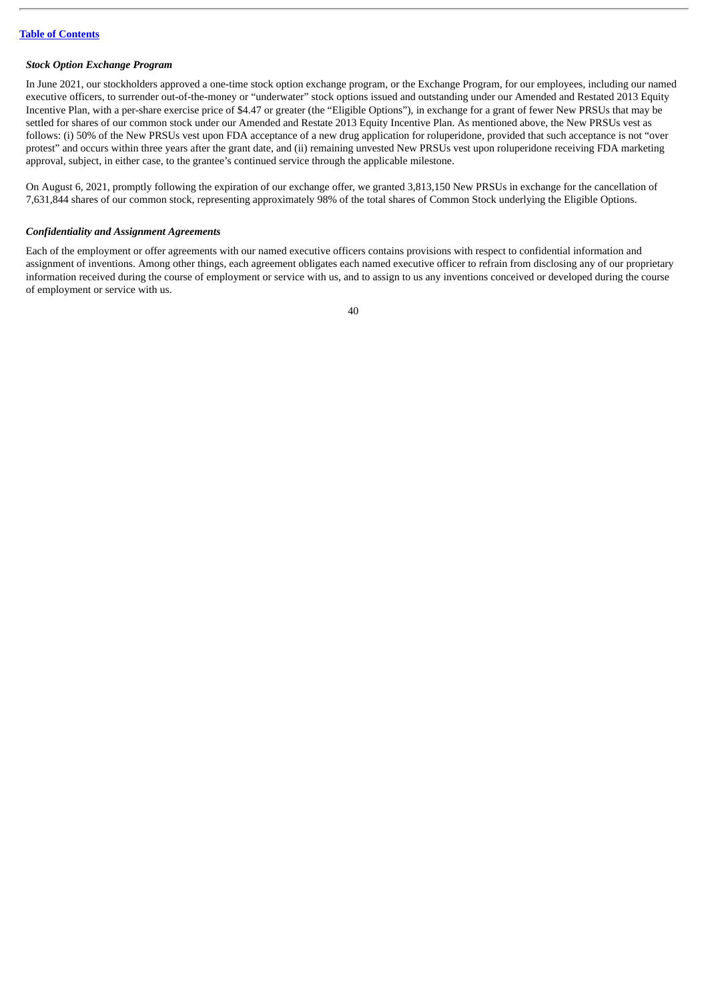#### *Stock Option Exchange Program*

In June 2021, our stockholders approved a one-time stock option exchange program, or the Exchange Program, for our employees, including our named executive officers, to surrender out-of-the-money or "underwater" stock options issued and outstanding under our Amended and Restated 2013 Equity Incentive Plan, with a per-share exercise price of \$4.47 or greater (the "Eligible Options"), in exchange for a grant of fewer New PRSUs that may be settled for shares of our common stock under our Amended and Restate 2013 Equity Incentive Plan. As mentioned above, the New PRSUs vest as follows: (i) 50% of the New PRSUs vest upon FDA acceptance of a new drug application for roluperidone, provided that such acceptance is not "over protest" and occurs within three years after the grant date, and (ii) remaining unvested New PRSUs vest upon roluperidone receiving FDA marketing approval, subject, in either case, to the grantee's continued service through the applicable milestone.

On August 6, 2021, promptly following the expiration of our exchange offer, we granted 3,813,150 New PRSUs in exchange for the cancellation of 7,631,844 shares of our common stock, representing approximately 98% of the total shares of Common Stock underlying the Eligible Options.

#### *Confidentiality and Assignment Agreements*

Each of the employment or offer agreements with our named executive officers contains provisions with respect to confidential information and assignment of inventions. Among other things, each agreement obligates each named executive officer to refrain from disclosing any of our proprietary information received during the course of employment or service with us, and to assign to us any inventions conceived or developed during the course of employment or service with us.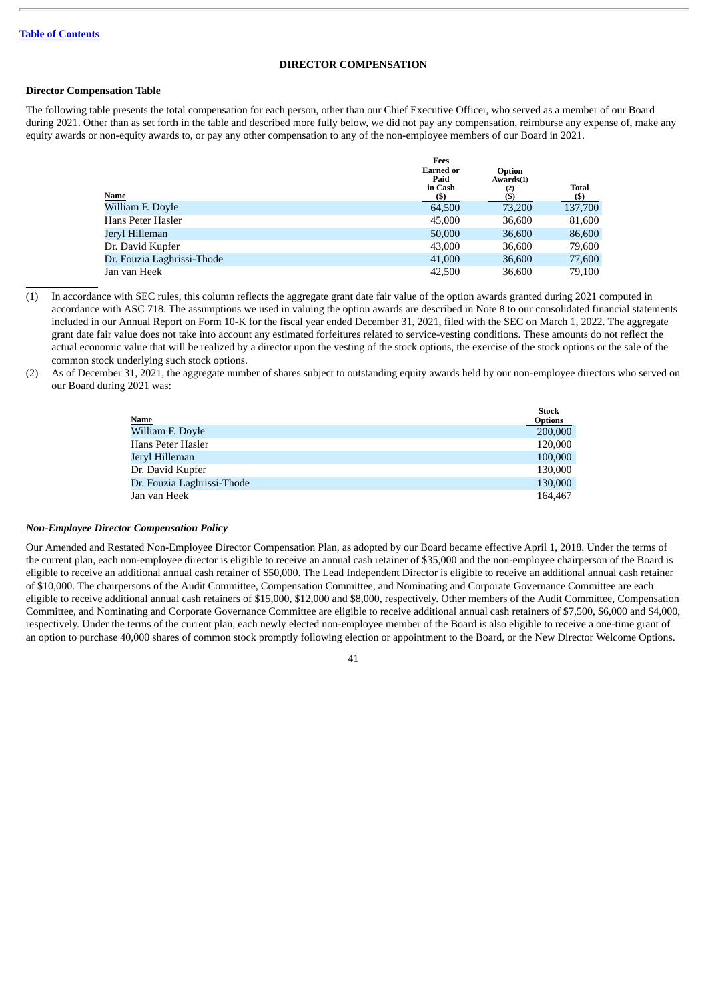#### **DIRECTOR COMPENSATION**

#### <span id="page-43-0"></span>**Director Compensation Table**

The following table presents the total compensation for each person, other than our Chief Executive Officer, who served as a member of our Board during 2021. Other than as set forth in the table and described more fully below, we did not pay any compensation, reimburse any expense of, make any equity awards or non-equity awards to, or pay any other compensation to any of the non-employee members of our Board in 2021.

| <b>Earned or</b><br>Paid<br>in Cash | Option<br>Awards(1)<br>(2) | <b>Total</b><br>(S) |
|-------------------------------------|----------------------------|---------------------|
| 64,500                              | 73,200                     | 137,700             |
| 45,000                              | 36,600                     | 81,600              |
| 50,000                              | 36,600                     | 86,600              |
| 43,000                              | 36,600                     | 79,600              |
| 41,000                              | 36,600                     | 77,600              |
| 42,500                              | 36,600                     | 79.100              |
|                                     | Fees<br>(S)                | (\$)                |

- (1) In accordance with SEC rules, this column reflects the aggregate grant date fair value of the option awards granted during 2021 computed in accordance with ASC 718. The assumptions we used in valuing the option awards are described in Note 8 to our consolidated financial statements included in our Annual Report on Form 10-K for the fiscal year ended December 31, 2021, filed with the SEC on March 1, 2022. The aggregate grant date fair value does not take into account any estimated forfeitures related to service-vesting conditions. These amounts do not reflect the actual economic value that will be realized by a director upon the vesting of the stock options, the exercise of the stock options or the sale of the common stock underlying such stock options.
- (2) As of December 31, 2021, the aggregate number of shares subject to outstanding equity awards held by our non-employee directors who served on our Board during 2021 was:

|                            | <b>Stock</b>   |
|----------------------------|----------------|
| Name                       | <b>Options</b> |
| William F. Doyle           | 200,000        |
| Hans Peter Hasler          | 120,000        |
| Jervl Hilleman             | 100,000        |
| Dr. David Kupfer           | 130,000        |
| Dr. Fouzia Laghrissi-Thode | 130,000        |
| Jan van Heek               | 164,467        |
|                            |                |

#### *Non-Employee Director Compensation Policy*

Our Amended and Restated Non-Employee Director Compensation Plan, as adopted by our Board became effective April 1, 2018. Under the terms of the current plan, each non-employee director is eligible to receive an annual cash retainer of \$35,000 and the non-employee chairperson of the Board is eligible to receive an additional annual cash retainer of \$50,000. The Lead Independent Director is eligible to receive an additional annual cash retainer of \$10,000. The chairpersons of the Audit Committee, Compensation Committee, and Nominating and Corporate Governance Committee are each eligible to receive additional annual cash retainers of \$15,000, \$12,000 and \$8,000, respectively. Other members of the Audit Committee, Compensation Committee, and Nominating and Corporate Governance Committee are eligible to receive additional annual cash retainers of \$7,500, \$6,000 and \$4,000, respectively. Under the terms of the current plan, each newly elected non-employee member of the Board is also eligible to receive a one-time grant of an option to purchase 40,000 shares of common stock promptly following election or appointment to the Board, or the New Director Welcome Options.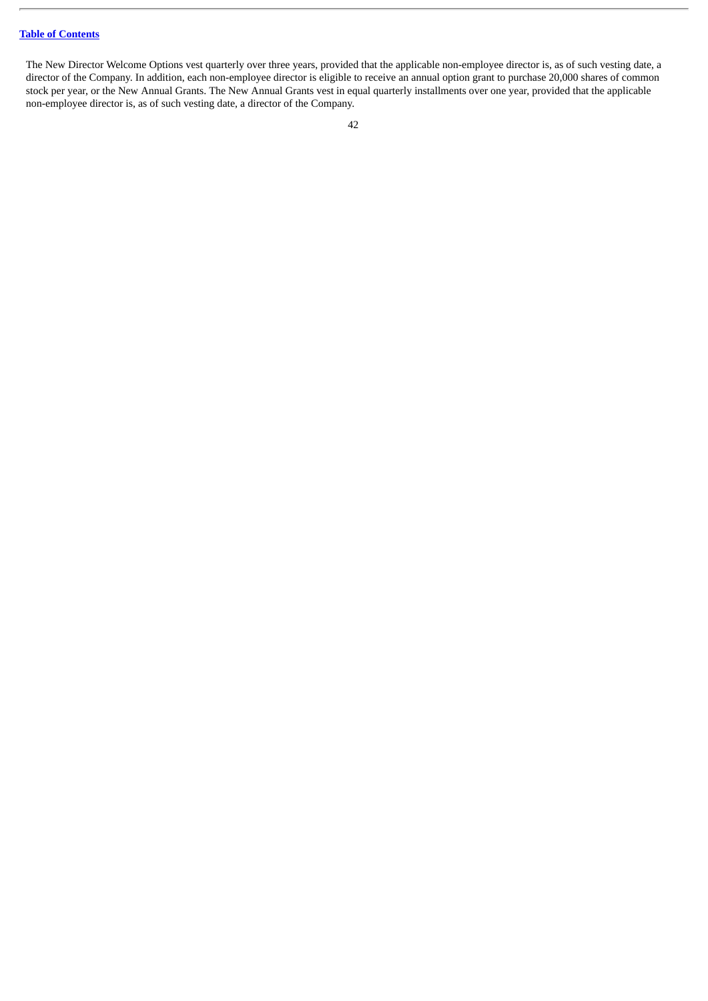The New Director Welcome Options vest quarterly over three years, provided that the applicable non-employee director is, as of such vesting date, a director of the Company. In addition, each non-employee director is eligible to receive an annual option grant to purchase 20,000 shares of common stock per year, or the New Annual Grants. The New Annual Grants vest in equal quarterly installments over one year, provided that the applicable non-employee director is, as of such vesting date, a director of the Company.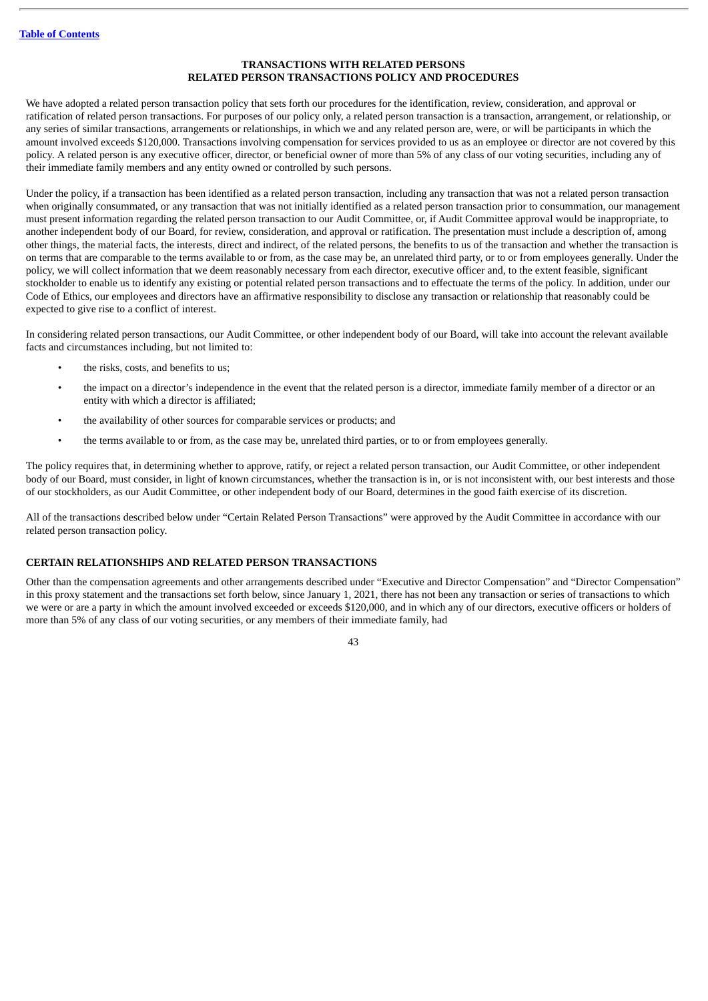#### **TRANSACTIONS WITH RELATED PERSONS RELATED PERSON TRANSACTIONS POLICY AND PROCEDURES**

<span id="page-45-0"></span>We have adopted a related person transaction policy that sets forth our procedures for the identification, review, consideration, and approval or ratification of related person transactions. For purposes of our policy only, a related person transaction is a transaction, arrangement, or relationship, or any series of similar transactions, arrangements or relationships, in which we and any related person are, were, or will be participants in which the amount involved exceeds \$120,000. Transactions involving compensation for services provided to us as an employee or director are not covered by this policy. A related person is any executive officer, director, or beneficial owner of more than 5% of any class of our voting securities, including any of their immediate family members and any entity owned or controlled by such persons.

Under the policy, if a transaction has been identified as a related person transaction, including any transaction that was not a related person transaction when originally consummated, or any transaction that was not initially identified as a related person transaction prior to consummation, our management must present information regarding the related person transaction to our Audit Committee, or, if Audit Committee approval would be inappropriate, to another independent body of our Board, for review, consideration, and approval or ratification. The presentation must include a description of, among other things, the material facts, the interests, direct and indirect, of the related persons, the benefits to us of the transaction and whether the transaction is on terms that are comparable to the terms available to or from, as the case may be, an unrelated third party, or to or from employees generally. Under the policy, we will collect information that we deem reasonably necessary from each director, executive officer and, to the extent feasible, significant stockholder to enable us to identify any existing or potential related person transactions and to effectuate the terms of the policy. In addition, under our Code of Ethics, our employees and directors have an affirmative responsibility to disclose any transaction or relationship that reasonably could be expected to give rise to a conflict of interest.

In considering related person transactions, our Audit Committee, or other independent body of our Board, will take into account the relevant available facts and circumstances including, but not limited to:

- the risks, costs, and benefits to us;
- the impact on a director's independence in the event that the related person is a director, immediate family member of a director or an entity with which a director is affiliated;
- the availability of other sources for comparable services or products; and
- the terms available to or from, as the case may be, unrelated third parties, or to or from employees generally.

The policy requires that, in determining whether to approve, ratify, or reject a related person transaction, our Audit Committee, or other independent body of our Board, must consider, in light of known circumstances, whether the transaction is in, or is not inconsistent with, our best interests and those of our stockholders, as our Audit Committee, or other independent body of our Board, determines in the good faith exercise of its discretion.

All of the transactions described below under "Certain Related Person Transactions" were approved by the Audit Committee in accordance with our related person transaction policy.

#### <span id="page-45-1"></span>**CERTAIN RELATIONSHIPS AND RELATED PERSON TRANSACTIONS**

Other than the compensation agreements and other arrangements described under "Executive and Director Compensation" and "Director Compensation" in this proxy statement and the transactions set forth below, since January 1, 2021, there has not been any transaction or series of transactions to which we were or are a party in which the amount involved exceeded or exceeds \$120,000, and in which any of our directors, executive officers or holders of more than 5% of any class of our voting securities, or any members of their immediate family, had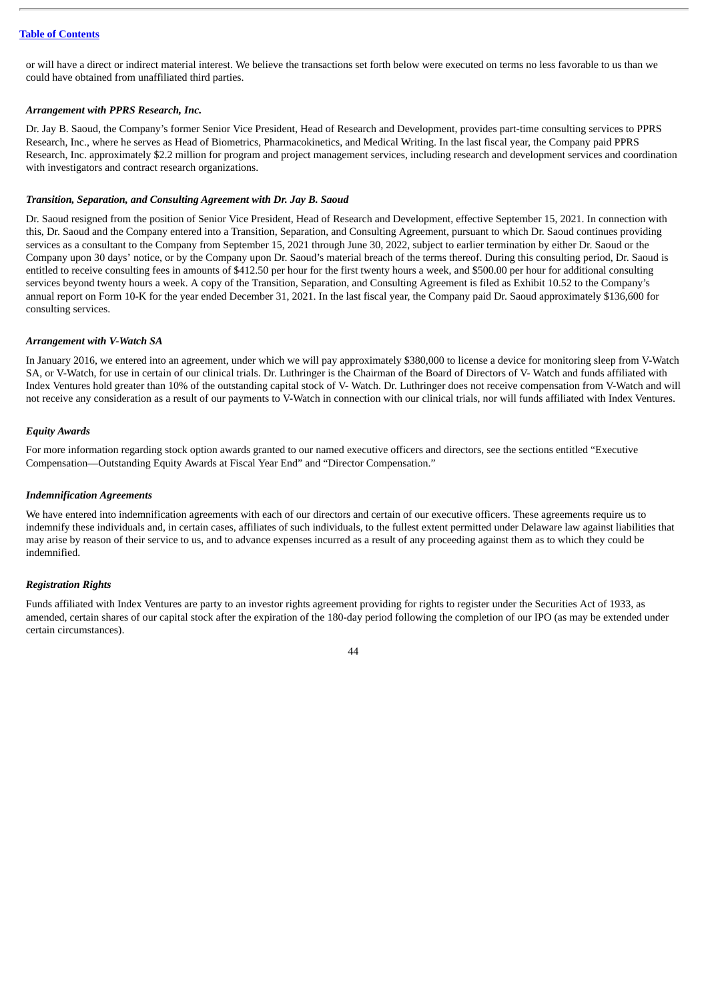or will have a direct or indirect material interest. We believe the transactions set forth below were executed on terms no less favorable to us than we could have obtained from unaffiliated third parties.

#### *Arrangement with PPRS Research, Inc.*

Dr. Jay B. Saoud, the Company's former Senior Vice President, Head of Research and Development, provides part-time consulting services to PPRS Research, Inc., where he serves as Head of Biometrics, Pharmacokinetics, and Medical Writing. In the last fiscal year, the Company paid PPRS Research, Inc. approximately \$2.2 million for program and project management services, including research and development services and coordination with investigators and contract research organizations.

#### *Transition, Separation, and Consulting Agreement with Dr. Jay B. Saoud*

Dr. Saoud resigned from the position of Senior Vice President, Head of Research and Development, effective September 15, 2021. In connection with this, Dr. Saoud and the Company entered into a Transition, Separation, and Consulting Agreement, pursuant to which Dr. Saoud continues providing services as a consultant to the Company from September 15, 2021 through June 30, 2022, subject to earlier termination by either Dr. Saoud or the Company upon 30 days' notice, or by the Company upon Dr. Saoud's material breach of the terms thereof. During this consulting period, Dr. Saoud is entitled to receive consulting fees in amounts of \$412.50 per hour for the first twenty hours a week, and \$500.00 per hour for additional consulting services beyond twenty hours a week. A copy of the Transition, Separation, and Consulting Agreement is filed as Exhibit 10.52 to the Company's annual report on Form 10-K for the year ended December 31, 2021. In the last fiscal year, the Company paid Dr. Saoud approximately \$136,600 for consulting services.

#### *Arrangement with V-Watch SA*

In January 2016, we entered into an agreement, under which we will pay approximately \$380,000 to license a device for monitoring sleep from V-Watch SA, or V-Watch, for use in certain of our clinical trials. Dr. Luthringer is the Chairman of the Board of Directors of V- Watch and funds affiliated with Index Ventures hold greater than 10% of the outstanding capital stock of V- Watch. Dr. Luthringer does not receive compensation from V-Watch and will not receive any consideration as a result of our payments to V-Watch in connection with our clinical trials, nor will funds affiliated with Index Ventures.

#### *Equity Awards*

For more information regarding stock option awards granted to our named executive officers and directors, see the sections entitled "Executive Compensation—Outstanding Equity Awards at Fiscal Year End" and "Director Compensation."

#### *Indemnification Agreements*

We have entered into indemnification agreements with each of our directors and certain of our executive officers. These agreements require us to indemnify these individuals and, in certain cases, affiliates of such individuals, to the fullest extent permitted under Delaware law against liabilities that may arise by reason of their service to us, and to advance expenses incurred as a result of any proceeding against them as to which they could be indemnified.

#### *Registration Rights*

Funds affiliated with Index Ventures are party to an investor rights agreement providing for rights to register under the Securities Act of 1933, as amended, certain shares of our capital stock after the expiration of the 180-day period following the completion of our IPO (as may be extended under certain circumstances).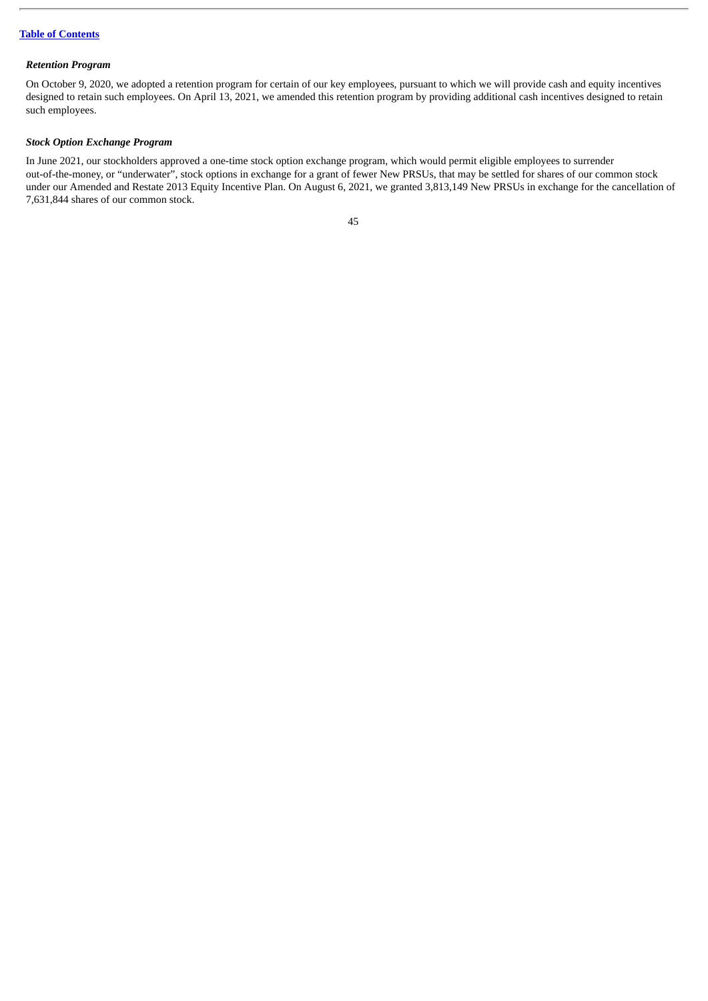#### *Retention Program*

On October 9, 2020, we adopted a retention program for certain of our key employees, pursuant to which we will provide cash and equity incentives designed to retain such employees. On April 13, 2021, we amended this retention program by providing additional cash incentives designed to retain such employees.

### *Stock Option Exchange Program*

In June 2021, our stockholders approved a one-time stock option exchange program, which would permit eligible employees to surrender out-of-the-money, or "underwater", stock options in exchange for a grant of fewer New PRSUs, that may be settled for shares of our common stock under our Amended and Restate 2013 Equity Incentive Plan. On August 6, 2021, we granted 3,813,149 New PRSUs in exchange for the cancellation of 7,631,844 shares of our common stock.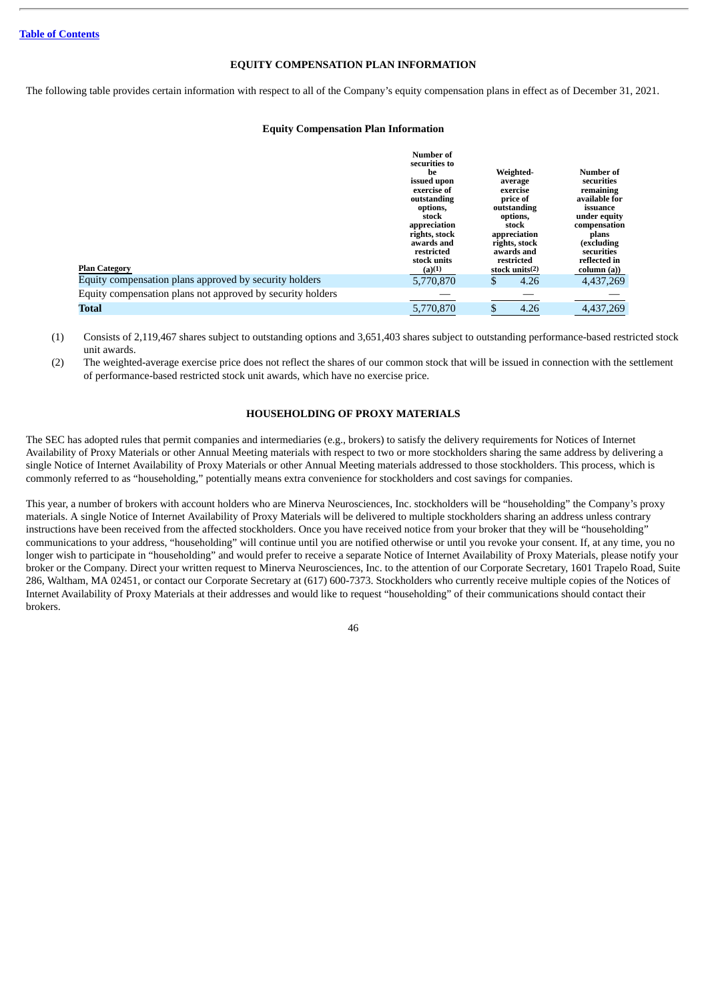#### **EQUITY COMPENSATION PLAN INFORMATION**

<span id="page-48-0"></span>The following table provides certain information with respect to all of the Company's equity compensation plans in effect as of December 31, 2021.

#### **Equity Compensation Plan Information**

| <b>Plan Category</b>                                       | Number of<br>securities to<br>he<br>issued upon<br>exercise of<br>outstanding<br>options,<br>stock<br>appreciation<br>rights, stock<br>awards and<br>restricted<br>stock units<br>(a)(1) | Weighted-<br>average<br>exercise<br>price of<br>outstanding<br>options,<br>stock<br>appreciation<br>rights, stock<br>awards and<br>restricted<br>stock units(2) | <b>Number of</b><br>securities<br>remaining<br>available for<br>issuance<br>under equity<br>compensation<br>plans<br>(excluding<br>securities<br>reflected in<br>column (a)) |
|------------------------------------------------------------|------------------------------------------------------------------------------------------------------------------------------------------------------------------------------------------|-----------------------------------------------------------------------------------------------------------------------------------------------------------------|------------------------------------------------------------------------------------------------------------------------------------------------------------------------------|
| Equity compensation plans approved by security holders     | 5,770,870                                                                                                                                                                                | 4.26<br>\$                                                                                                                                                      | 4,437,269                                                                                                                                                                    |
| Equity compensation plans not approved by security holders |                                                                                                                                                                                          |                                                                                                                                                                 |                                                                                                                                                                              |
| <b>Total</b>                                               | 5,770,870                                                                                                                                                                                | 4.26<br>\$                                                                                                                                                      | 4,437,269                                                                                                                                                                    |

(1) Consists of 2,119,467 shares subject to outstanding options and 3,651,403 shares subject to outstanding performance-based restricted stock unit awards.

(2) The weighted-average exercise price does not reflect the shares of our common stock that will be issued in connection with the settlement of performance-based restricted stock unit awards, which have no exercise price.

#### **HOUSEHOLDING OF PROXY MATERIALS**

<span id="page-48-1"></span>The SEC has adopted rules that permit companies and intermediaries (e.g., brokers) to satisfy the delivery requirements for Notices of Internet Availability of Proxy Materials or other Annual Meeting materials with respect to two or more stockholders sharing the same address by delivering a single Notice of Internet Availability of Proxy Materials or other Annual Meeting materials addressed to those stockholders. This process, which is commonly referred to as "householding," potentially means extra convenience for stockholders and cost savings for companies.

This year, a number of brokers with account holders who are Minerva Neurosciences, Inc. stockholders will be "householding" the Company's proxy materials. A single Notice of Internet Availability of Proxy Materials will be delivered to multiple stockholders sharing an address unless contrary instructions have been received from the affected stockholders. Once you have received notice from your broker that they will be "householding" communications to your address, "householding" will continue until you are notified otherwise or until you revoke your consent. If, at any time, you no longer wish to participate in "householding" and would prefer to receive a separate Notice of Internet Availability of Proxy Materials, please notify your broker or the Company. Direct your written request to Minerva Neurosciences, Inc. to the attention of our Corporate Secretary, 1601 Trapelo Road, Suite 286, Waltham, MA 02451, or contact our Corporate Secretary at (617) 600-7373. Stockholders who currently receive multiple copies of the Notices of Internet Availability of Proxy Materials at their addresses and would like to request "householding" of their communications should contact their brokers.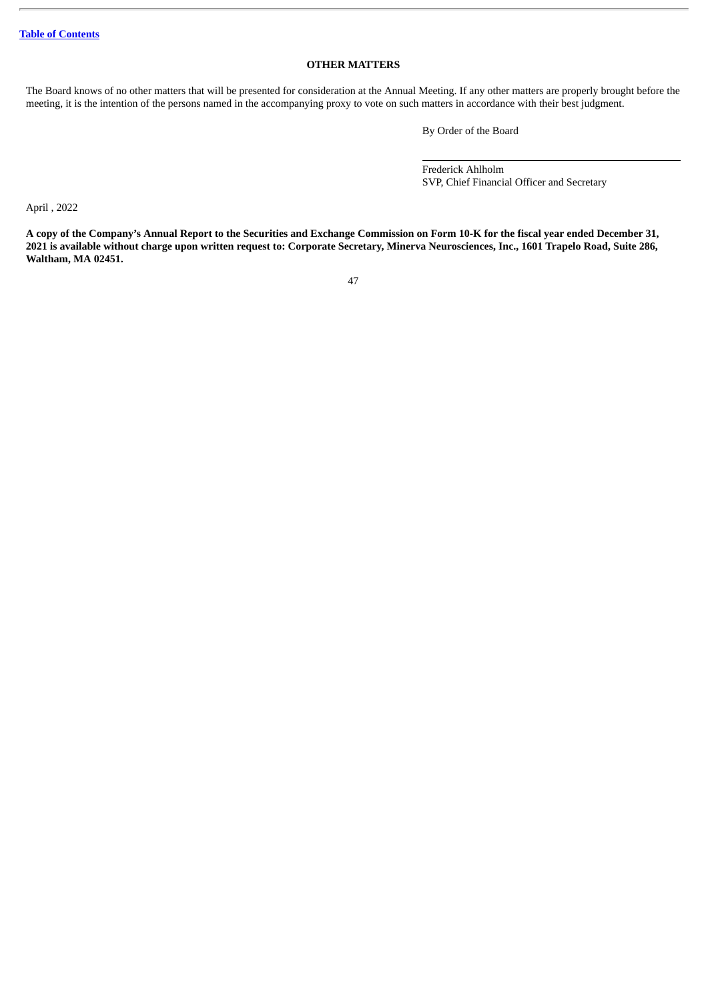#### **OTHER MATTERS**

<span id="page-49-0"></span>The Board knows of no other matters that will be presented for consideration at the Annual Meeting. If any other matters are properly brought before the meeting, it is the intention of the persons named in the accompanying proxy to vote on such matters in accordance with their best judgment.

By Order of the Board

Frederick Ahlholm SVP, Chief Financial Officer and Secretary

April , 2022

A copy of the Company's Annual Report to the Securities and Exchange Commission on Form 10-K for the fiscal year ended December 31, 2021 is available without charge upon written request to: Corporate Secretary, Minerva Neurosciences, Inc., 1601 Trapelo Road, Suite 286, **Waltham, MA 02451.**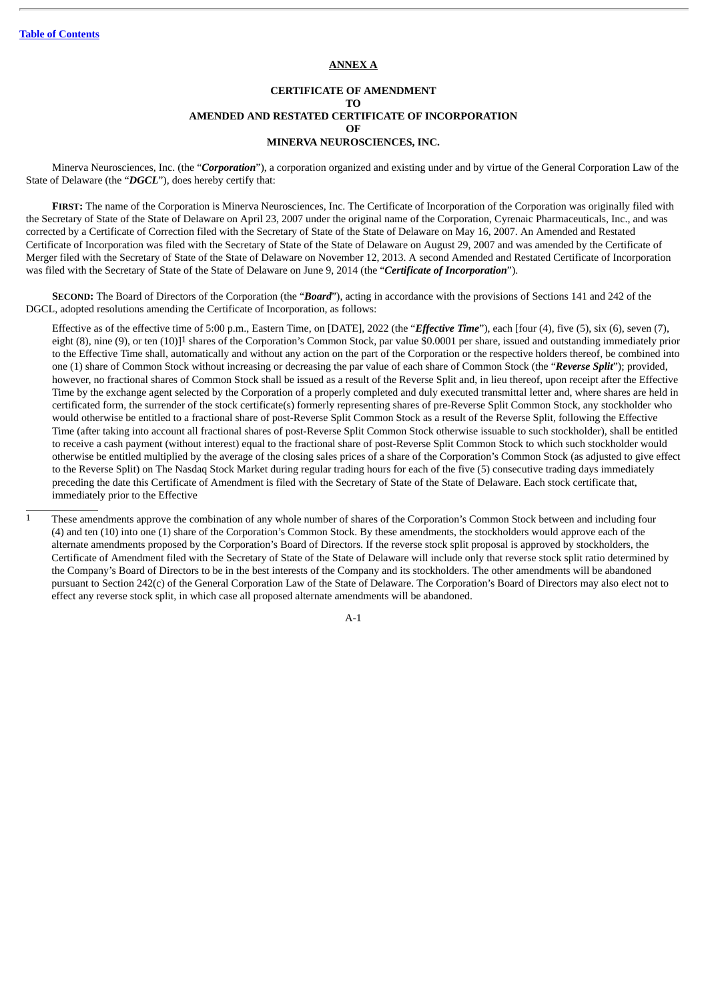#### **ANNEX A**

#### **CERTIFICATE OF AMENDMENT TO AMENDED AND RESTATED CERTIFICATE OF INCORPORATION OF MINERVA NEUROSCIENCES, INC.**

Minerva Neurosciences, Inc. (the "*Corporation*"), a corporation organized and existing under and by virtue of the General Corporation Law of the State of Delaware (the "*DGCL*"), does hereby certify that:

**FIRST:** The name of the Corporation is Minerva Neurosciences, Inc. The Certificate of Incorporation of the Corporation was originally filed with the Secretary of State of the State of Delaware on April 23, 2007 under the original name of the Corporation, Cyrenaic Pharmaceuticals, Inc., and was corrected by a Certificate of Correction filed with the Secretary of State of the State of Delaware on May 16, 2007. An Amended and Restated Certificate of Incorporation was filed with the Secretary of State of the State of Delaware on August 29, 2007 and was amended by the Certificate of Merger filed with the Secretary of State of the State of Delaware on November 12, 2013. A second Amended and Restated Certificate of Incorporation was filed with the Secretary of State of the State of Delaware on June 9, 2014 (the "*Certificate of Incorporation*").

**SECOND:** The Board of Directors of the Corporation (the "*Board*"), acting in accordance with the provisions of Sections 141 and 242 of the DGCL, adopted resolutions amending the Certificate of Incorporation, as follows:

Effective as of the effective time of 5:00 p.m., Eastern Time, on [DATE], 2022 (the "*Effective Time*"), each [four (4), five (5), six (6), seven (7), eight (8), nine (9), or ten (10)]1 shares of the Corporation's Common Stock, par value \$0.0001 per share, issued and outstanding immediately prior to the Effective Time shall, automatically and without any action on the part of the Corporation or the respective holders thereof, be combined into one (1) share of Common Stock without increasing or decreasing the par value of each share of Common Stock (the "*Reverse Split*"); provided, however, no fractional shares of Common Stock shall be issued as a result of the Reverse Split and, in lieu thereof, upon receipt after the Effective Time by the exchange agent selected by the Corporation of a properly completed and duly executed transmittal letter and, where shares are held in certificated form, the surrender of the stock certificate(s) formerly representing shares of pre-Reverse Split Common Stock, any stockholder who would otherwise be entitled to a fractional share of post-Reverse Split Common Stock as a result of the Reverse Split, following the Effective Time (after taking into account all fractional shares of post-Reverse Split Common Stock otherwise issuable to such stockholder), shall be entitled to receive a cash payment (without interest) equal to the fractional share of post-Reverse Split Common Stock to which such stockholder would otherwise be entitled multiplied by the average of the closing sales prices of a share of the Corporation's Common Stock (as adjusted to give effect to the Reverse Split) on The Nasdaq Stock Market during regular trading hours for each of the five (5) consecutive trading days immediately preceding the date this Certificate of Amendment is filed with the Secretary of State of the State of Delaware. Each stock certificate that, immediately prior to the Effective

A-1

<sup>1</sup> These amendments approve the combination of any whole number of shares of the Corporation's Common Stock between and including four (4) and ten (10) into one (1) share of the Corporation's Common Stock. By these amendments, the stockholders would approve each of the alternate amendments proposed by the Corporation's Board of Directors. If the reverse stock split proposal is approved by stockholders, the Certificate of Amendment filed with the Secretary of State of the State of Delaware will include only that reverse stock split ratio determined by the Company's Board of Directors to be in the best interests of the Company and its stockholders. The other amendments will be abandoned pursuant to Section 242(c) of the General Corporation Law of the State of Delaware. The Corporation's Board of Directors may also elect not to effect any reverse stock split, in which case all proposed alternate amendments will be abandoned.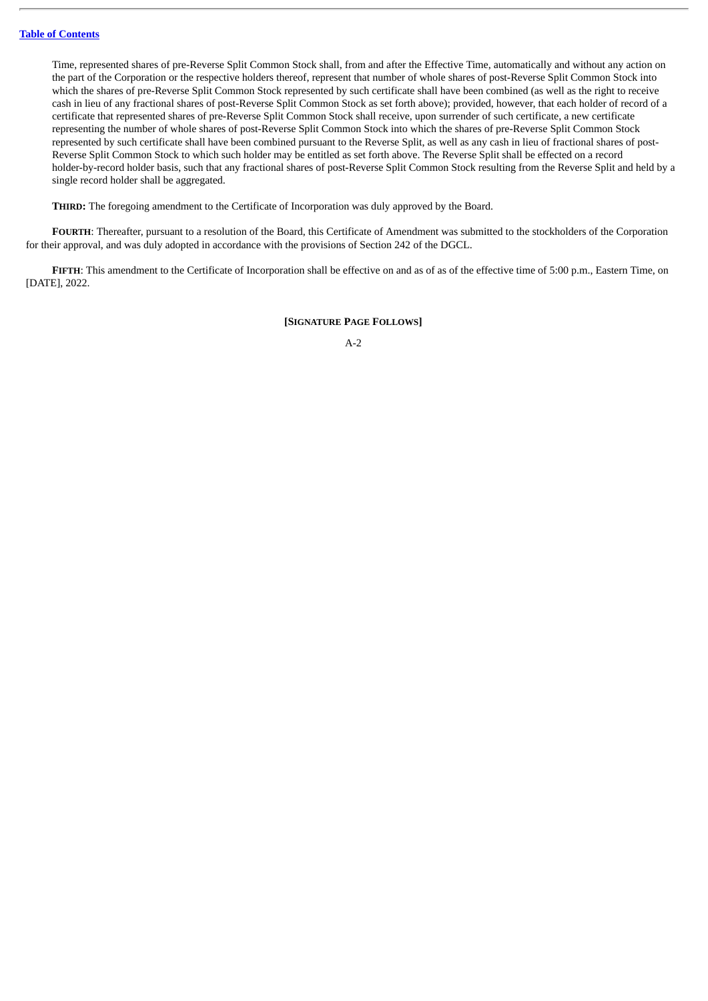Time, represented shares of pre-Reverse Split Common Stock shall, from and after the Effective Time, automatically and without any action on the part of the Corporation or the respective holders thereof, represent that number of whole shares of post-Reverse Split Common Stock into which the shares of pre-Reverse Split Common Stock represented by such certificate shall have been combined (as well as the right to receive cash in lieu of any fractional shares of post-Reverse Split Common Stock as set forth above); provided, however, that each holder of record of a certificate that represented shares of pre-Reverse Split Common Stock shall receive, upon surrender of such certificate, a new certificate representing the number of whole shares of post-Reverse Split Common Stock into which the shares of pre-Reverse Split Common Stock represented by such certificate shall have been combined pursuant to the Reverse Split, as well as any cash in lieu of fractional shares of post-Reverse Split Common Stock to which such holder may be entitled as set forth above. The Reverse Split shall be effected on a record holder-by-record holder basis, such that any fractional shares of post-Reverse Split Common Stock resulting from the Reverse Split and held by a single record holder shall be aggregated.

**THIRD:** The foregoing amendment to the Certificate of Incorporation was duly approved by the Board.

**FOURTH**: Thereafter, pursuant to a resolution of the Board, this Certificate of Amendment was submitted to the stockholders of the Corporation for their approval, and was duly adopted in accordance with the provisions of Section 242 of the DGCL.

**FIFTH**: This amendment to the Certificate of Incorporation shall be effective on and as of as of the effective time of 5:00 p.m., Eastern Time, on [DATE], 2022.

#### **[SIGNATURE PAGE FOLLOWS]**

A-2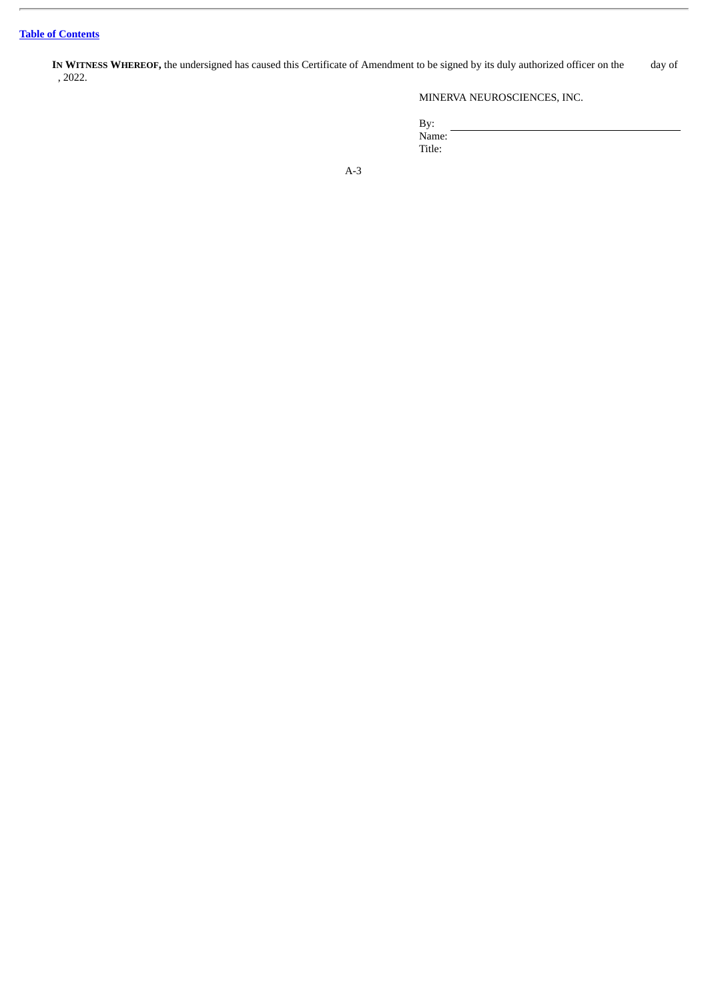**IN WITNESS WHEREOF,** the undersigned has caused this Certificate of Amendment to be signed by its duly authorized officer on the day of , 2022.

### MINERVA NEUROSCIENCES, INC.

By: Name: Title:

A-3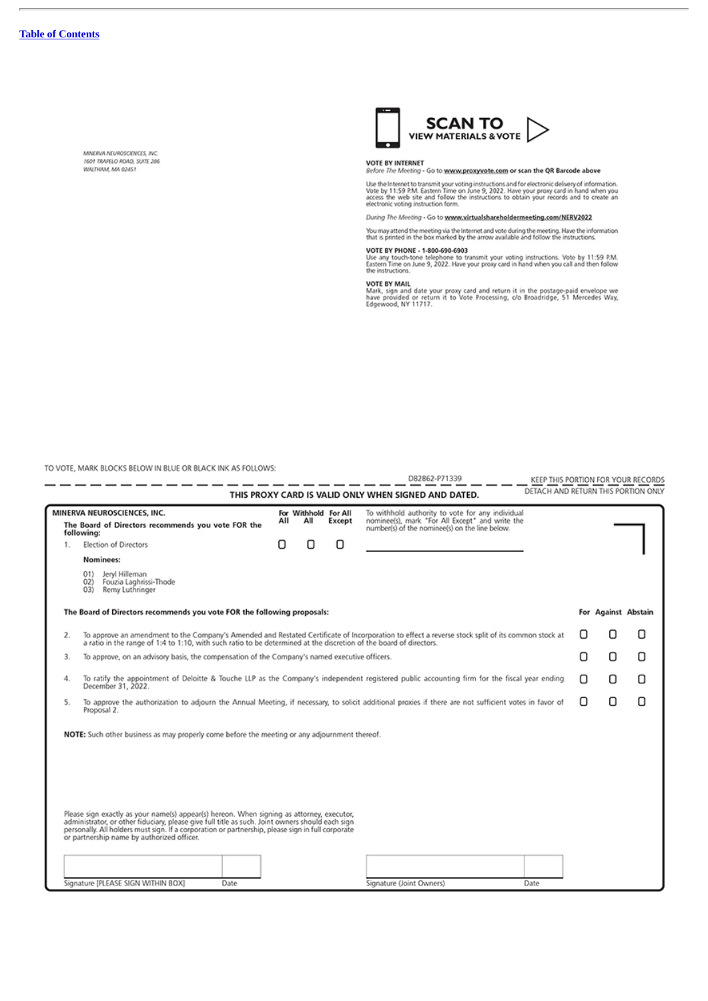Î,

MINERVA NEUROSCIENCES, INC.<br>1601 TRAPELO ROAD, SUITE 286 WALTHAM, MA 02451



VOTE BY INTERNET<br>Before The Meeting - Go to www.proxyvote.com or scan the QR Barcode above

Use the Internet to transmit your voting instructions and for electronic delivery of information.<br>Vote by 11:59 P.M. Eastern Time on June 9, 2022. Have your proxy card in hand when you<br>access the web site and follow the in

During The Meeting - Go to www.virtualshareholdermeeting.com/NERV2022

You may attend the meeting via the Internet and vote during the meeting. Have the information<br>that is printed in the box marked by the arrow available and follow the instructions.

VOTE BY PHONE - 1-800-690-6903<br>Use any touch-tone telephone to transmit your voting instructions. Vote by 11:59 P.M.<br>Eastern Time on June 9, 2022. Have your proxy card in hand when you call and then follow<br>the instructions

VOTE BY MAIL<br>Mark, sign and date your proxy card and return it in the postage-paid envelope we<br>have provided or return it to Vote Processing, c/o Broadridge, 51 Mercedes Way,<br>Edgewood, NY 11717.

TO VOTE, MARK BLOCKS BELOW IN BLUE OR BLACK INK AS FOLLOWS:

|                                                                                                                                                                                                                                                                               |                                                                                                                                                                                                                                                                                                                                                  |     |                             |        | D82862-P71339                                                                                                                                         | KEEP THIS PORTION FOR YOUR RECORDS  |                     |   |
|-------------------------------------------------------------------------------------------------------------------------------------------------------------------------------------------------------------------------------------------------------------------------------|--------------------------------------------------------------------------------------------------------------------------------------------------------------------------------------------------------------------------------------------------------------------------------------------------------------------------------------------------|-----|-----------------------------|--------|-------------------------------------------------------------------------------------------------------------------------------------------------------|-------------------------------------|---------------------|---|
|                                                                                                                                                                                                                                                                               |                                                                                                                                                                                                                                                                                                                                                  |     |                             |        | THIS PROXY CARD IS VALID ONLY WHEN SIGNED AND DATED.                                                                                                  | DETACH AND RETURN THIS PORTION ONLY |                     |   |
|                                                                                                                                                                                                                                                                               | MINERVA NEUROSCIENCES, INC.<br>The Board of Directors recommends you vote FOR the<br>following:                                                                                                                                                                                                                                                  | All | For Withhold For All<br>All | Except | To withhold authority to vote for any individual<br>nominee(s), mark "For All Except" and write the<br>number(s) of the nominee(s) on the line below. |                                     |                     |   |
| 1.                                                                                                                                                                                                                                                                            | <b>Election of Directors</b>                                                                                                                                                                                                                                                                                                                     | О   | Π                           | Ω      |                                                                                                                                                       |                                     |                     |   |
|                                                                                                                                                                                                                                                                               | Nominees:                                                                                                                                                                                                                                                                                                                                        |     |                             |        |                                                                                                                                                       |                                     |                     |   |
|                                                                                                                                                                                                                                                                               | 01<br>Jeryl Hilleman<br>02<br>Fouzia Laghrissi-Thode<br>Remy Luthringer<br>(3)                                                                                                                                                                                                                                                                   |     |                             |        |                                                                                                                                                       |                                     |                     |   |
|                                                                                                                                                                                                                                                                               | The Board of Directors recommends you vote FOR the following proposals:                                                                                                                                                                                                                                                                          |     |                             |        |                                                                                                                                                       |                                     | For Against Abstain |   |
| To approve an amendment to the Company's Amended and Restated Certificate of Incorporation to effect a reverse stock split of its common stock at<br>2.<br>a ratio in the range of 1:4 to 1:10, with such ratio to be determined at the discretion of the board of directors. |                                                                                                                                                                                                                                                                                                                                                  |     |                             |        |                                                                                                                                                       | Ω                                   | Π                   |   |
| 3.                                                                                                                                                                                                                                                                            | To approve, on an advisory basis, the compensation of the Company's named executive officers.                                                                                                                                                                                                                                                    |     |                             |        |                                                                                                                                                       | Ω                                   | О                   | Ο |
| 4.                                                                                                                                                                                                                                                                            | To ratify the appointment of Deloitte & Touche LLP as the Company's independent registered public accounting firm for the fiscal year ending<br>December 31, 2022.                                                                                                                                                                               |     |                             |        |                                                                                                                                                       | п                                   | Ω                   | Ω |
| 5.                                                                                                                                                                                                                                                                            | To approve the authorization to adjourn the Annual Meeting, if necessary, to solicit additional proxies if there are not sufficient votes in favor of<br>Proposal 2.                                                                                                                                                                             |     |                             |        |                                                                                                                                                       | П                                   | Ο                   | Ω |
|                                                                                                                                                                                                                                                                               | NOTE: Such other business as may properly come before the meeting or any adjournment thereof.                                                                                                                                                                                                                                                    |     |                             |        |                                                                                                                                                       |                                     |                     |   |
|                                                                                                                                                                                                                                                                               | Please sign exactly as your name(s) appear(s) hereon. When signing as attorney, executor,<br>administrator, or other fiduciary, please give full title as such. Joint owners should each sign<br>personally. All holders must sign. If a corporation or partnership, please sign in full corporate<br>or partnership name by authorized officer. |     |                             |        |                                                                                                                                                       |                                     |                     |   |
|                                                                                                                                                                                                                                                                               |                                                                                                                                                                                                                                                                                                                                                  |     |                             |        |                                                                                                                                                       |                                     |                     |   |
|                                                                                                                                                                                                                                                                               | Signature [PLEASE SIGN WITHIN BOX]<br>Date                                                                                                                                                                                                                                                                                                       |     |                             |        | Signature (Joint Owners)<br>Date                                                                                                                      |                                     |                     |   |